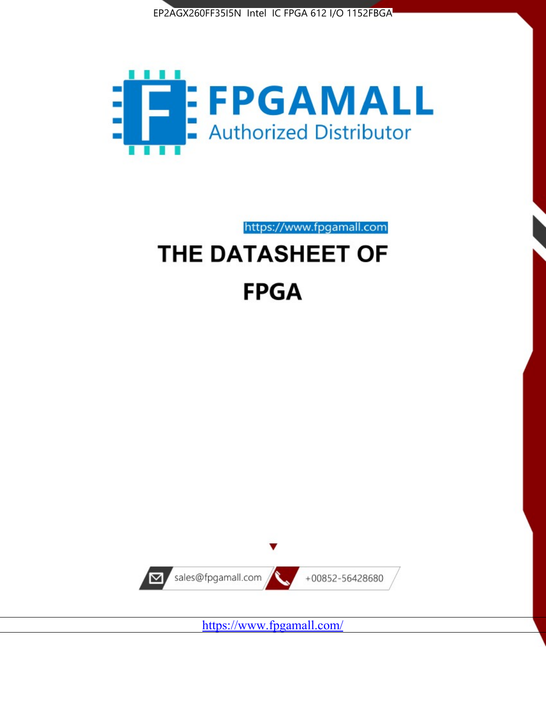



https://www.fpgamall.com

# THE DATASHEET OF **FPGA**



<https://www.fpgamall.com/>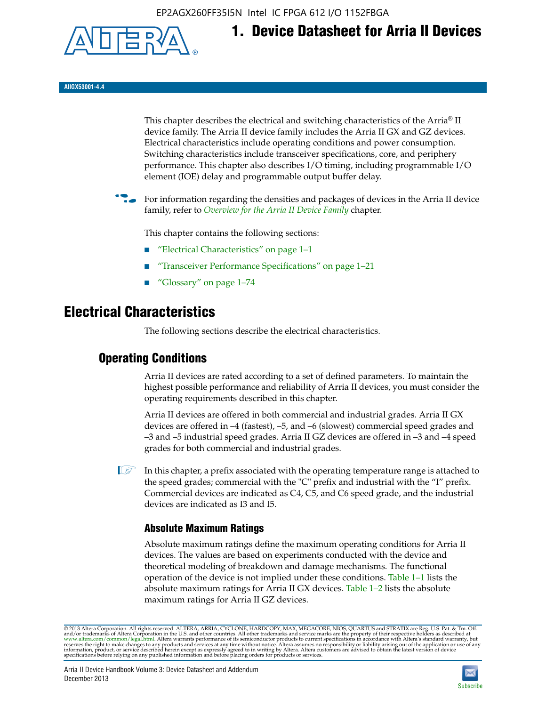EP2AGX260FF35I5N Intel IC FPGA 612 I/O 1152FBGA



**1. Device Datasheet for Arria II Devices**

**AIIGX53001-4.4**

This chapter describes the electrical and switching characteristics of the Arria® II device family. The Arria II device family includes the Arria II GX and GZ devices. Electrical characteristics include operating conditions and power consumption. Switching characteristics include transceiver specifications, core, and periphery performance. This chapter also describes I/O timing, including programmable I/O element (IOE) delay and programmable output buffer delay.

For information regarding the densities and packages of devices in the Arria II device family, refer to *[Overview for the Arria II Device Family](http://www.altera.com/literature/hb/arria-ii-gx/aiigx_51001.pdf)* chapter.

This chapter contains the following sections:

- *"Electrical Characteristics"* on page 1–1
- "Transceiver Performance Specifications" on page 1–21
- "Glossary" on page 1–74

# **Electrical Characteristics**

The following sections describe the electrical characteristics.

# **Operating Conditions**

Arria II devices are rated according to a set of defined parameters. To maintain the highest possible performance and reliability of Arria II devices, you must consider the operating requirements described in this chapter.

Arria II devices are offered in both commercial and industrial grades. Arria II GX devices are offered in –4 (fastest), –5, and –6 (slowest) commercial speed grades and –3 and –5 industrial speed grades. Arria II GZ devices are offered in –3 and –4 speed grades for both commercial and industrial grades.

 $\Box$  In this chapter, a prefix associated with the operating temperature range is attached to the speed grades; commercial with the "C" prefix and industrial with the "I" prefix. Commercial devices are indicated as C4, C5, and C6 speed grade, and the industrial devices are indicated as I3 and I5.

# **Absolute Maximum Ratings**

Absolute maximum ratings define the maximum operating conditions for Arria II devices. The values are based on experiments conducted with the device and theoretical modeling of breakdown and damage mechanisms. The functional operation of the device is not implied under these conditions. Table 1–1 lists the absolute maximum ratings for Arria II GX devices. Table 1–2 lists the absolute maximum ratings for Arria II GZ devices.

© 2013 Altera Corporation. All rights reserved. ALTERA, ARRIA, CYCLONE, HARDCOPY, MAX, MEGACORE, NIOS, QUARTUS and STRATIX are Reg. U.S. Pat. & Tm. Off. [and/or trademarks of Altera Corporat](http://www.altera.com/common/legal.html)ion in the U.S. and other countri

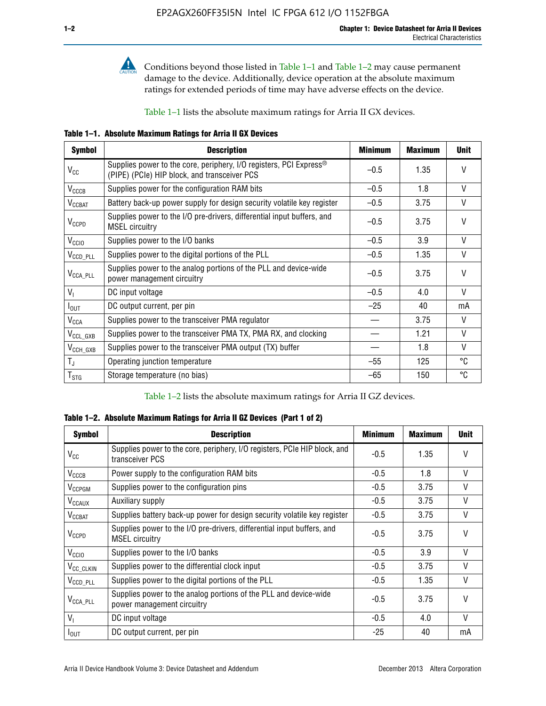

**Conditions beyond those listed in Table 1–1 and Table 1–2 may cause permanent** damage to the device. Additionally, device operation at the absolute maximum ratings for extended periods of time may have adverse effects on the device.

Table 1–1 lists the absolute maximum ratings for Arria II GX devices.

**Table 1–1. Absolute Maximum Ratings for Arria II GX Devices** 

| <b>Symbol</b>          | <b>Description</b>                                                                                                             | <b>Minimum</b> | <b>Maximum</b> | <b>Unit</b>  |
|------------------------|--------------------------------------------------------------------------------------------------------------------------------|----------------|----------------|--------------|
| $V_{\rm CC}$           | Supplies power to the core, periphery, I/O registers, PCI Express <sup>®</sup><br>(PIPE) (PCIe) HIP block, and transceiver PCS | $-0.5$         | 1.35           | $\vee$       |
| $V_{\text{CCCB}}$      | Supplies power for the configuration RAM bits                                                                                  | $-0.5$         | 1.8            | $\vee$       |
| $V_{\text{CCBAT}}$     | Battery back-up power supply for design security volatile key register                                                         | $-0.5$         | 3.75           | V            |
| $V_{CCPD}$             | Supplies power to the I/O pre-drivers, differential input buffers, and<br><b>MSEL circuitry</b>                                | $-0.5$         | 3.75           | $\mathsf{V}$ |
| V <sub>CCIO</sub>      | Supplies power to the I/O banks                                                                                                | $-0.5$         | 3.9            | $\mathsf{V}$ |
| V <sub>CCD_PLL</sub>   | Supplies power to the digital portions of the PLL                                                                              | $-0.5$         | 1.35           | $\vee$       |
| $V_{\text{CCA\_PLL}}$  | Supplies power to the analog portions of the PLL and device-wide<br>power management circuitry                                 | $-0.5$         | 3.75           | $\mathsf{V}$ |
| $V_1$                  | DC input voltage                                                                                                               | $-0.5$         | 4.0            | $\mathsf{V}$ |
| $I_{\text{OUT}}$       | DC output current, per pin                                                                                                     | $-25$          | 40             | mA           |
| <b>V<sub>CCA</sub></b> | Supplies power to the transceiver PMA regulator                                                                                |                | 3.75           | $\vee$       |
| $V_{CCL_GXB}$          | Supplies power to the transceiver PMA TX, PMA RX, and clocking                                                                 |                | 1.21           | $\mathsf{V}$ |
| $V_{\text{CCH_GXB}}$   | Supplies power to the transceiver PMA output (TX) buffer                                                                       |                | 1.8            | $\vee$       |
| $T_{\rm J}$            | Operating junction temperature                                                                                                 | $-55$          | 125            | ℃            |
| $T_{\tt STG}$          | Storage temperature (no bias)                                                                                                  | -65            | 150            | °C           |

Table 1–2 lists the absolute maximum ratings for Arria II GZ devices.

**Table 1–2. Absolute Maximum Ratings for Arria II GZ Devices (Part 1 of 2)**

| <b>Symbol</b>            | <b>Description</b>                                                                              | <b>Minimum</b> | <b>Maximum</b> | <b>Unit</b>  |
|--------------------------|-------------------------------------------------------------------------------------------------|----------------|----------------|--------------|
| $V_{CC}$                 | Supplies power to the core, periphery, I/O registers, PCIe HIP block, and<br>transceiver PCS    | -0.5           | 1.35           | $\mathsf{V}$ |
| $V_{CCCB}$               | Power supply to the configuration RAM bits                                                      | $-0.5$         | 1.8            | $\vee$       |
| V <sub>CCPGM</sub>       | Supplies power to the configuration pins                                                        | $-0.5$         | 3.75           | $\vee$       |
| <b>V<sub>CCAUX</sub></b> | Auxiliary supply                                                                                | $-0.5$         | 3.75           | $\vee$       |
| $V_{\text{CGBAT}}$       | Supplies battery back-up power for design security volatile key register                        | -0.5           | 3.75           | V            |
| $V_{CCPD}$               | Supplies power to the I/O pre-drivers, differential input buffers, and<br><b>MSEL circuitry</b> | -0.5           | 3.75           | $\mathsf{V}$ |
| V <sub>CCIO</sub>        | Supplies power to the I/O banks                                                                 | $-0.5$         | 3.9            | $\mathsf{V}$ |
| $V_{\rm CC\_CLKIN}$      | Supplies power to the differential clock input                                                  | $-0.5$         | 3.75           | $\vee$       |
| $V_{\text{CCD\_PLL}}$    | Supplies power to the digital portions of the PLL                                               | $-0.5$         | 1.35           | V            |
| $V_{\text{CCA\_PLL}}$    | Supplies power to the analog portions of the PLL and device-wide<br>power management circuitry  | $-0.5$         | 3.75           | $\mathsf{V}$ |
| V <sub>1</sub>           | DC input voltage                                                                                | $-0.5$         | 4.0            | $\vee$       |
| $I_{\text{OUT}}$         | DC output current, per pin                                                                      | $-25$          | 40             | mA           |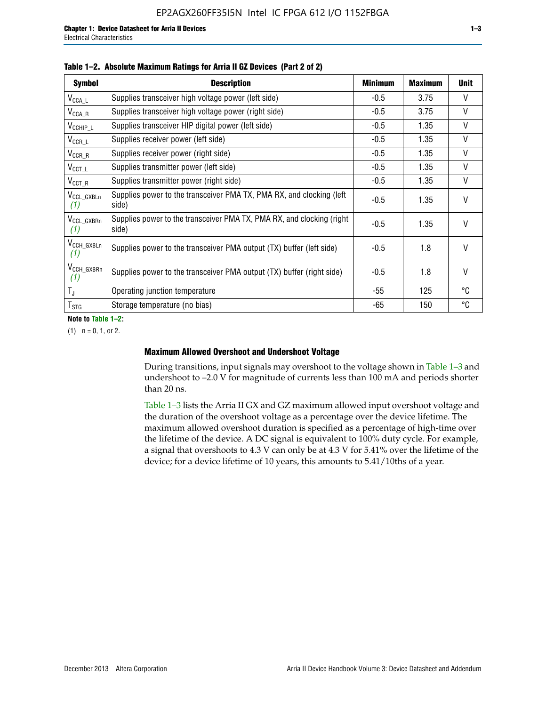| <b>Symbol</b>                  | <b>Description</b>                                                              | <b>Minimum</b> | <b>Maximum</b> | <b>Unit</b>  |
|--------------------------------|---------------------------------------------------------------------------------|----------------|----------------|--------------|
| $V_{\texttt{CCA}\_\textsf{L}}$ | Supplies transceiver high voltage power (left side)                             | -0.5           | 3.75           | $\mathsf{V}$ |
| $V_{\mathsf{CCA}\_\mathsf{R}}$ | Supplies transceiver high voltage power (right side)                            | $-0.5$         | 3.75           | $\vee$       |
| $V_{CCHIP\_L}$                 | Supplies transceiver HIP digital power (left side)                              | $-0.5$         | 1.35           | $\vee$       |
| $V_{CCR\_L}$                   | Supplies receiver power (left side)                                             | $-0.5$         | 1.35           | $\mathsf{V}$ |
| $V_{CCR\_R}$                   | Supplies receiver power (right side)                                            | $-0.5$         | 1.35           | V            |
| $V_{CCT\_L}$                   | Supplies transmitter power (left side)                                          | $-0.5$         | 1.35           | V            |
| $V_{CCT_R}$                    | Supplies transmitter power (right side)                                         | $-0.5$         | 1.35           | V            |
| V <sub>CCL GXBLn</sub><br>(1)  | Supplies power to the transceiver PMA TX, PMA RX, and clocking (left<br>side)   | $-0.5$         | 1.35           | $\vee$       |
| V <sub>CCL_GXBRn</sub><br>(1)  | Supplies power to the transceiver PMA TX, PMA RX, and clocking (right)<br>side) | $-0.5$         | 1.35           | $\vee$       |
| V <sub>CCH_GXBLn</sub><br>(1)  | Supplies power to the transceiver PMA output (TX) buffer (left side)            | $-0.5$         | 1.8            | $\mathsf{V}$ |
| V <sub>CCH_GXBRn</sub><br>(1)  | Supplies power to the transceiver PMA output (TX) buffer (right side)           | -0.5           | 1.8            | $\vee$       |
| $T_{\rm J}$                    | Operating junction temperature                                                  | $-55$          | 125            | °C           |
| $T_{STG}$                      | Storage temperature (no bias)                                                   | -65            | 150            | °C           |

|  |  | Table 1-2. Absolute Maximum Ratings for Arria II GZ Devices (Part 2 of 2) |  |  |  |
|--|--|---------------------------------------------------------------------------|--|--|--|
|--|--|---------------------------------------------------------------------------|--|--|--|

**Note to Table 1–2:**

 $(1)$   $n = 0, 1,$  or 2.

### **Maximum Allowed Overshoot and Undershoot Voltage**

During transitions, input signals may overshoot to the voltage shown in Table 1–3 and undershoot to –2.0 V for magnitude of currents less than 100 mA and periods shorter than 20 ns.

Table 1–3 lists the Arria II GX and GZ maximum allowed input overshoot voltage and the duration of the overshoot voltage as a percentage over the device lifetime. The maximum allowed overshoot duration is specified as a percentage of high-time over the lifetime of the device. A DC signal is equivalent to 100% duty cycle. For example, a signal that overshoots to 4.3 V can only be at 4.3 V for 5.41% over the lifetime of the device; for a device lifetime of 10 years, this amounts to 5.41/10ths of a year.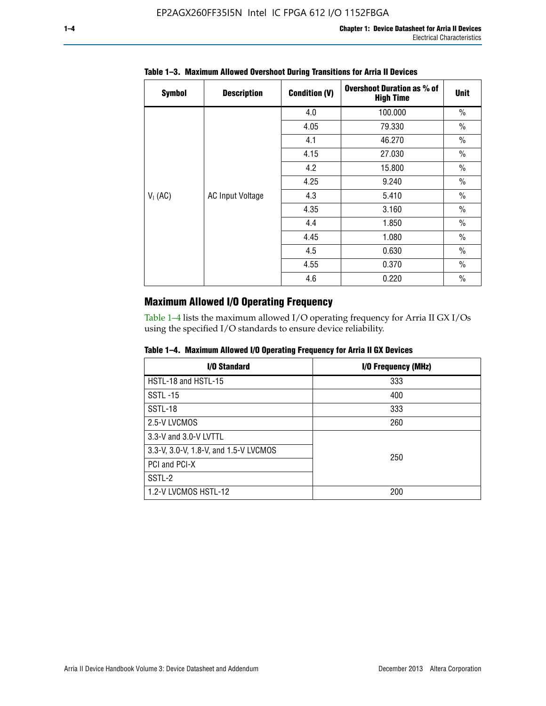| <b>Symbol</b> | <b>Description</b>      | <b>Condition (V)</b> | <b>Overshoot Duration as % of</b><br><b>High Time</b> | <b>Unit</b>   |
|---------------|-------------------------|----------------------|-------------------------------------------------------|---------------|
|               |                         | 4.0                  | 100.000                                               | $\frac{0}{0}$ |
|               |                         | 4.05                 | 79.330                                                | $\frac{0}{0}$ |
|               |                         | 4.1                  | 46.270                                                | $\frac{0}{0}$ |
|               |                         | 4.15                 | 27.030                                                | $\frac{0}{0}$ |
|               |                         | 4.2                  | 15.800                                                | $\frac{0}{0}$ |
|               |                         | 4.25                 | 9.240                                                 | $\frac{0}{0}$ |
| $V_1$ (AC)    | <b>AC Input Voltage</b> | 4.3                  | 5.410                                                 | $\frac{0}{0}$ |
|               |                         | 4.35                 | 3.160                                                 | $\frac{0}{0}$ |
|               |                         | 4.4                  | 1.850                                                 | $\frac{0}{0}$ |
|               |                         | 4.45                 | 1.080                                                 | $\frac{0}{0}$ |
|               |                         | 4.5                  | 0.630                                                 | $\frac{0}{0}$ |
|               |                         | 4.55                 | 0.370                                                 | $\frac{0}{0}$ |
|               |                         | 4.6                  | 0.220                                                 | $\frac{0}{0}$ |

# **Table 1–3. Maximum Allowed Overshoot During Transitions for Arria II Devices**

# **Maximum Allowed I/O Operating Frequency**

Table 1–4 lists the maximum allowed I/O operating frequency for Arria II GX I/Os using the specified I/O standards to ensure device reliability.

|  |  |  | Table 1–4. Maximum Allowed I/O Operating Frequency for Arria II GX Devices |
|--|--|--|----------------------------------------------------------------------------|
|--|--|--|----------------------------------------------------------------------------|

| I/O Standard                          | I/O Frequency (MHz) |
|---------------------------------------|---------------------|
| HSTL-18 and HSTL-15                   | 333                 |
| <b>SSTL-15</b>                        | 400                 |
| SSTL-18                               | 333                 |
| 2.5-V LVCMOS                          | 260                 |
| 3.3-V and 3.0-V LVTTL                 |                     |
| 3.3-V, 3.0-V, 1.8-V, and 1.5-V LVCMOS | 250                 |
| PCI and PCI-X                         |                     |
| SSTL-2                                |                     |
| 1.2-V LVCMOS HSTL-12                  | 200                 |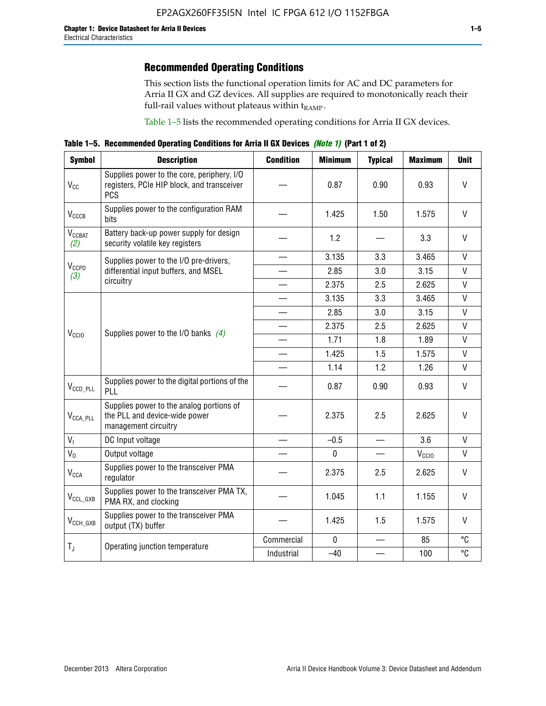# **Recommended Operating Conditions**

This section lists the functional operation limits for AC and DC parameters for Arria II GX and GZ devices. All supplies are required to monotonically reach their full-rail values without plateaus within  $t_{RAMP}$ .

Table 1–5 lists the recommended operating conditions for Arria II GX devices.

**Table 1–5. Recommended Operating Conditions for Arria II GX Devices** *(Note 1)* **(Part 1 of 2)**

| <b>Symbol</b>                   | <b>Description</b>                                                                                     | <b>Condition</b> | <b>Minimum</b> | <b>Typical</b>                    | <b>Maximum</b>                                                                                                                                                                      | <b>Unit</b>  |
|---------------------------------|--------------------------------------------------------------------------------------------------------|------------------|----------------|-----------------------------------|-------------------------------------------------------------------------------------------------------------------------------------------------------------------------------------|--------------|
| $V_{CC}$                        | Supplies power to the core, periphery, I/O<br>registers, PCIe HIP block, and transceiver<br><b>PCS</b> |                  | 0.87           | 0.90                              | 0.93                                                                                                                                                                                | $\vee$       |
| $V_{CCCB}$                      | Supplies power to the configuration RAM<br>bits                                                        |                  | 1.425          | 1.50                              | 1.575                                                                                                                                                                               | $\mathsf{V}$ |
| <b>V<sub>CCBAT</sub></b><br>(2) | Battery back-up power supply for design<br>security volatile key registers                             |                  | 1.2            |                                   | 3.3                                                                                                                                                                                 | $\vee$       |
|                                 | Supplies power to the I/O pre-drivers,                                                                 |                  | 3.135          | 3.3                               | 3.465                                                                                                                                                                               | $\mathsf{V}$ |
| $V_{CCPD}$<br>(3)               | differential input buffers, and MSEL                                                                   |                  | 2.85           | 3.0                               | 3.15                                                                                                                                                                                | $\mathsf{V}$ |
|                                 | circuitry                                                                                              |                  | 2.375          | 2.5                               | 2.625                                                                                                                                                                               | $\mathsf{V}$ |
|                                 |                                                                                                        |                  | 3.135          | 3.3                               | 3.465                                                                                                                                                                               | $\mathsf{V}$ |
|                                 |                                                                                                        |                  | 2.85           | 3.0                               | 3.15                                                                                                                                                                                | $\mathsf{V}$ |
|                                 | Supplies power to the I/O banks $(4)$                                                                  |                  | 2.375          | 2.5                               | 2.625                                                                                                                                                                               | V            |
| V <sub>CCIO</sub>               |                                                                                                        |                  | 1.71           | 1.8                               | 1.89                                                                                                                                                                                | $\mathsf{V}$ |
|                                 |                                                                                                        |                  | 1.425          | 1.5                               | 1.575                                                                                                                                                                               | $\mathsf{V}$ |
|                                 |                                                                                                        |                  | 1.14           | 1.2                               | $\mathsf{V}$<br>1.26<br>V<br>0.93<br>V<br>2.625<br>3.6<br>V<br>V<br>V <sub>CCIO</sub><br>$\mathsf{V}$<br>2.625<br>$\vee$<br>1.155<br>$\mathsf{V}$<br>1.575<br>°C<br>85<br>°C<br>100 |              |
| $V_{CCD\_PLL}$                  | Supplies power to the digital portions of the<br>PLL                                                   |                  | 0.87           | 0.90                              |                                                                                                                                                                                     |              |
| $V_{\text{CCA\_PLL}}$           | Supplies power to the analog portions of<br>the PLL and device-wide power<br>management circuitry      |                  | 2.375          | 2.5                               |                                                                                                                                                                                     |              |
| $V_{I}$                         | DC Input voltage                                                                                       |                  | $-0.5$         |                                   |                                                                                                                                                                                     |              |
| $V_0$                           | Output voltage                                                                                         |                  | $\mathbf 0$    | $\overbrace{\phantom{123221111}}$ |                                                                                                                                                                                     |              |
| <b>V<sub>CCA</sub></b>          | Supplies power to the transceiver PMA<br>regulator                                                     |                  | 2.375          | 2.5                               |                                                                                                                                                                                     |              |
| $V_{CCL_GXB}$                   | Supplies power to the transceiver PMA TX,<br>PMA RX, and clocking                                      |                  | 1.045          | 1.1                               |                                                                                                                                                                                     |              |
| $V_{CCH_GXB}$                   | Supplies power to the transceiver PMA<br>output (TX) buffer                                            |                  | 1.425          | 1.5                               |                                                                                                                                                                                     |              |
|                                 | Operating junction temperature                                                                         | Commercial       | $\mathbf 0$    |                                   |                                                                                                                                                                                     |              |
| $T_{J}$                         |                                                                                                        | Industrial       | $-40$          |                                   |                                                                                                                                                                                     |              |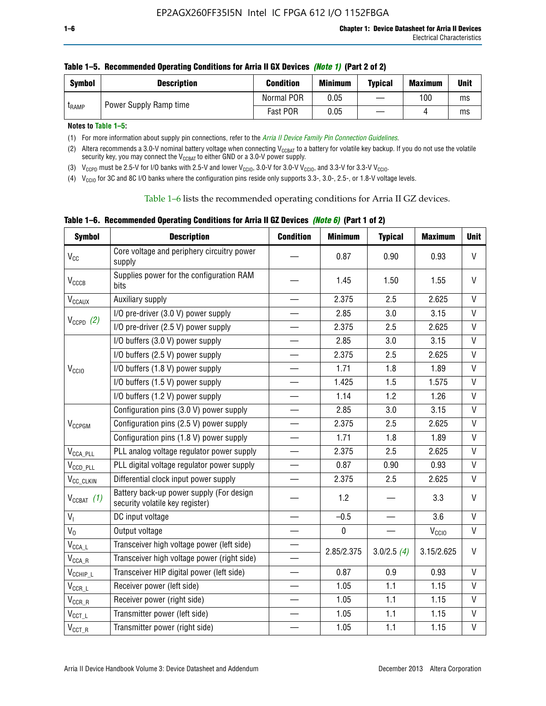| <b>Symbol</b> | <b>Description</b> | <b>Condition</b>                           | <b>Minimum</b> | <b>Typical</b> | <b>Maximum</b> | Unit |
|---------------|--------------------|--------------------------------------------|----------------|----------------|----------------|------|
|               |                    | Normal POR                                 | 0.05           |                | 100            | ms   |
| <b>LRAMP</b>  |                    | Power Supply Ramp time<br>Fast POR<br>0.05 |                | ms             |                |      |

**Notes to Table 1–5:** 

(1) For more information about supply pin connections, refer to the *[Arria II Device Family Pin Connection Guidelines](http://www.altera.com/literature/dp/arria-ii-gx/PCG-01007.pdf)*.

(2) Altera recommends a 3.0-V nominal battery voltage when connecting V<sub>CCBAT</sub> to a battery for volatile key backup. If you do not use the volatile security key, you may connect the V<sub>CCBAT</sub> to either GND or a 3.0-V power supply.

(3)  $V_{CCPD}$  must be 2.5-V for I/O banks with 2.5-V and lower  $V_{CCIO}$ , 3.0-V for 3.0-V  $V_{CCIO}$ , and 3.3-V for 3.3-V  $V_{CCIO}$ .

(4)  $V_{\text{CCIO}}$  for 3C and 8C I/O banks where the configuration pins reside only supports 3.3-, 3.0-, 2.5-, or 1.8-V voltage levels.

Table 1–6 lists the recommended operating conditions for Arria II GZ devices.

**Table 1–6. Recommended Operating Conditions for Arria II GZ Devices** *(Note 6)* **(Part 1 of 2)**

| <b>Symbol</b>                           | <b>Description</b>                                                          | <b>Condition</b> | <b>Minimum</b> | <b>Typical</b> | <b>Maximum</b>    | <b>Unit</b>  |
|-----------------------------------------|-----------------------------------------------------------------------------|------------------|----------------|----------------|-------------------|--------------|
| V <sub>CC</sub>                         | Core voltage and periphery circuitry power<br>supply                        |                  | 0.87           | 0.90           | 0.93              | $\mathsf{V}$ |
| $V_{CCCB}$                              | Supplies power for the configuration RAM<br>bits                            |                  | 1.45           | 1.50           | 1.55              | $\vee$       |
| $V_{\text{CCAUX}}$                      | Auxiliary supply                                                            |                  | 2.375          | 2.5            | 2.625             | V            |
|                                         | I/O pre-driver (3.0 V) power supply                                         |                  | 2.85           | 3.0            | 3.15              | $\mathsf{V}$ |
| $V_{CCPD}$ (2)                          | I/O pre-driver (2.5 V) power supply                                         |                  | 2.375          | 2.5            | 2.625             | $\vee$       |
|                                         | I/O buffers (3.0 V) power supply                                            |                  | 2.85           | 3.0            | 3.15              | $\mathsf{V}$ |
|                                         | I/O buffers (2.5 V) power supply                                            |                  | 2.375          | 2.5            | 2.625             | V            |
| V <sub>CCIO</sub>                       | I/O buffers (1.8 V) power supply                                            |                  | 1.71           | 1.8            | 1.89              | $\mathsf{V}$ |
|                                         | I/O buffers (1.5 V) power supply                                            |                  | 1.425          | 1.5            | 1.575             | $\mathsf{V}$ |
|                                         | I/O buffers (1.2 V) power supply                                            |                  | 1.14           | 1.2            | 1.26              | V            |
|                                         | Configuration pins (3.0 V) power supply                                     |                  | 2.85           | 3.0            | 3.15              | V            |
| V <sub>CCPGM</sub>                      | Configuration pins (2.5 V) power supply                                     |                  | 2.375          | 2.5            | 2.625             | $\vee$       |
|                                         | Configuration pins (1.8 V) power supply                                     |                  | 1.71           | 1.8            | 1.89              | V            |
| $V_{\text{CCA\_PLL}}$                   | PLL analog voltage regulator power supply                                   |                  | 2.375          | 2.5            | 2.625             | $\mathsf{V}$ |
| $V_{CCD\_PLL}$                          | PLL digital voltage regulator power supply                                  |                  | 0.87           | 0.90           | 0.93              | $\mathsf{V}$ |
| V <sub>CC_CLKIN</sub>                   | Differential clock input power supply                                       |                  | 2.375          | 2.5            | 2.625             | V            |
| $V_{CCBAT}$ (1)                         | Battery back-up power supply (For design<br>security volatile key register) |                  | 1.2            |                | 3.3               | $\vee$       |
| V <sub>I</sub>                          | DC input voltage                                                            |                  | $-0.5$         |                | 3.6               | $\mathsf{V}$ |
| $V_0$                                   | Output voltage                                                              |                  | $\pmb{0}$      |                | V <sub>CCIO</sub> | V            |
| $\mathsf{V}_{\mathsf{CCA}\_\mathsf{L}}$ | Transceiver high voltage power (left side)                                  |                  | 2.85/2.375     | 3.0/2.5(4)     | 3.15/2.625        | V            |
| $V_{\text{CCA\_R}}$                     | Transceiver high voltage power (right side)                                 |                  |                |                |                   |              |
| $V_{CCHIP\_L}$                          | Transceiver HIP digital power (left side)                                   |                  | 0.87           | 0.9            | 0.93              | $\vee$       |
| $\mathsf{V}_{\mathsf{CCR\_L}}$          | Receiver power (left side)                                                  |                  | 1.05           | 1.1            | 1.15              | $\mathsf{V}$ |
| $\mathsf{V}_{\mathsf{CCR\_R}}$          | Receiver power (right side)                                                 |                  | 1.05           | 1.1            | 1.15              | V            |
| $V_{CCT_l}$                             | Transmitter power (left side)                                               |                  | 1.05           | 1.1            | 1.15              | $\vee$       |
| $\mathsf{V}_{\mathsf{CCT\_R}}$          | Transmitter power (right side)                                              |                  | 1.05           | 1.1            | 1.15              | $\mathsf{V}$ |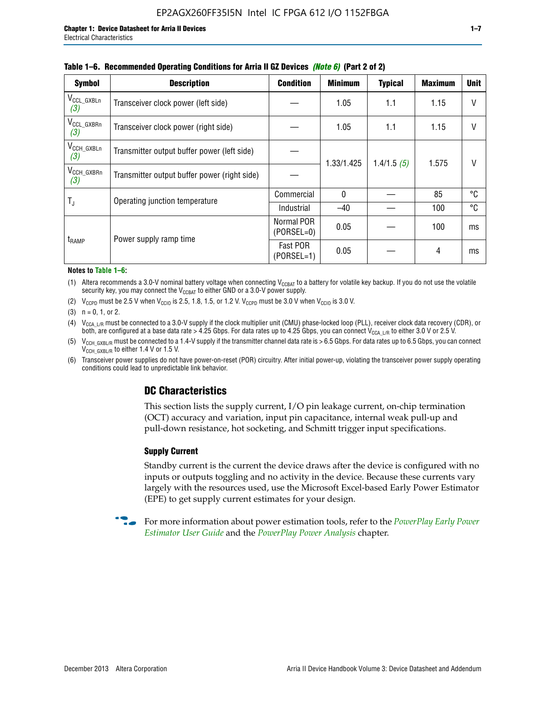| <b>Symbol</b>                 | <b>Description</b>                           | <b>Condition</b>           | <b>Minimum</b> | <b>Typical</b> | <b>Maximum</b> | <b>Unit</b> |
|-------------------------------|----------------------------------------------|----------------------------|----------------|----------------|----------------|-------------|
| $V_{CCL_GXBLn}$<br>(3)        | Transceiver clock power (left side)          |                            | 1.05           | 1.1            | 1.15           | V           |
| V <sub>CCL_GXBRn</sub><br>(3) | Transceiver clock power (right side)         |                            | 1.05           | 1.1            | 1.15           |             |
| $V_{\text{CCH_GXBLn}}$<br>(3) | Transmitter output buffer power (left side)  |                            | 1.33/1.425     | 1.4/1.5(5)     | 1.575          | V           |
| $V_{\text{CCH_GXBRn}}$<br>(3) | Transmitter output buffer power (right side) |                            |                |                |                |             |
| $T_{\rm J}$                   | Operating junction temperature               | Commercial                 | $\Omega$       |                | 85             | °C          |
|                               |                                              | Industrial                 | $-40$          |                | 100            | °C          |
| <b>t</b> <sub>RAMP</sub>      |                                              | Normal POR<br>$(PORSEL=0)$ | 0.05           |                | 100            | ms          |
|                               | Power supply ramp time                       | Fast POR<br>(PORSEL=1)     | 0.05           |                | 4              | ms          |

#### **Table 1–6. Recommended Operating Conditions for Arria II GZ Devices** *(Note 6)* **(Part 2 of 2)**

#### **Notes to Table 1–6:**

(1) Altera recommends a 3.0-V nominal battery voltage when connecting  $V_{CCBAT}$  to a battery for volatile key backup. If you do not use the volatile security key, you may connect the  $V_{CCBAT}$  to either GND or a 3.0-V power supply.

(2)  $V_{CCPD}$  must be 2.5 V when  $V_{CCIO}$  is 2.5, 1.8, 1.5, or 1.2 V.  $V_{CCPD}$  must be 3.0 V when  $V_{CCIO}$  is 3.0 V.

(3)  $n = 0, 1, or 2$ .

(4)  $V_{CCA~LR}$  must be connected to a 3.0-V supply if the clock multiplier unit (CMU) phase-locked loop (PLL), receiver clock data recovery (CDR), or both, are configured at a base data rate > 4.25 Gbps. For data rates up to 4.25 Gbps, you can connect V<sub>CCA L/R</sub> to either 3.0 V or 2.5 V.

- (5)  $V_{\text{CCH\_GXBL/R}}$  must be connected to a 1.4-V supply if the transmitter channel data rate is > 6.5 Gbps. For data rates up to 6.5 Gbps, you can connect V<sub>CCH\_GXBL/R</sub> to either 1.4 V or 1.5 V.
- (6) Transceiver power supplies do not have power-on-reset (POR) circuitry. After initial power-up, violating the transceiver power supply operating conditions could lead to unpredictable link behavior.

# **DC Characteristics**

This section lists the supply current, I/O pin leakage current, on-chip termination (OCT) accuracy and variation, input pin capacitance, internal weak pull-up and pull-down resistance, hot socketing, and Schmitt trigger input specifications.

### **Supply Current**

Standby current is the current the device draws after the device is configured with no inputs or outputs toggling and no activity in the device. Because these currents vary largely with the resources used, use the Microsoft Excel-based Early Power Estimator (EPE) to get supply current estimates for your design.

**For more information about power estimation tools, refer to the** *PowerPlay Early Power* **<b>Formation** *[Estimator User Guide](http://www.altera.com/literature/ug/ug_epe.pdf
)* and the *[PowerPlay Power Analysis](http://www.altera.com/literature/hb/qts/qts_qii53013.pdf)* chapter.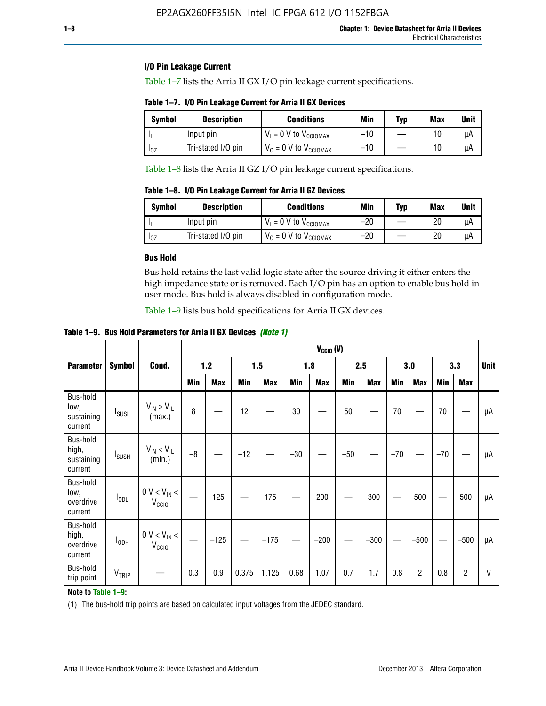### **I/O Pin Leakage Current**

Table 1–7 lists the Arria II GX I/O pin leakage current specifications.

# **Table 1–7. I/O Pin Leakage Current for Arria II GX Devices**

| Symbol   | <b>Description</b> | <b>Conditions</b>                   | <b>Min</b> | <b>Typ</b> | <b>Max</b> | <b>Unit</b> |
|----------|--------------------|-------------------------------------|------------|------------|------------|-------------|
|          | Input pin          | $V_1 = 0$ V to $V_{\text{CCIOMAX}}$ | $-10$      |            |            | uА          |
| $I_{0Z}$ | Tri-stated I/O pin | $V_0 = 0$ V to $V_{\text{CCIOMAX}}$ | $-10$      |            | 10         | uА          |

Table 1–8 lists the Arria II GZ I/O pin leakage current specifications.

**Table 1–8. I/O Pin Leakage Current for Arria II GZ Devices**

| Symbol | <b>Description</b> | <b>Conditions</b>                   | Min   | <b>Typ</b> | Max | Unit |
|--------|--------------------|-------------------------------------|-------|------------|-----|------|
|        | Input pin          | $V_1 = 0$ V to $V_{\text{CCIOMAX}}$ | $-20$ |            | 20  | uА   |
| 10Z    | Tri-stated I/O pin | $V_0 = 0$ V to $V_{\text{CCIOMAX}}$ | $-20$ |            | 20  | μA   |

# **Bus Hold**

Bus hold retains the last valid logic state after the source driving it either enters the high impedance state or is removed. Each I/O pin has an option to enable bus hold in user mode. Bus hold is always disabled in configuration mode.

Table 1–9 lists bus hold specifications for Arria II GX devices.

**Table 1–9. Bus Hold Parameters for Arria II GX Devices** *(Note 1)*

|                                            | $V_{CClO}$ (V)           |                                                  |       |            |       |            |       |            |       |            |       |                |       |            |             |
|--------------------------------------------|--------------------------|--------------------------------------------------|-------|------------|-------|------------|-------|------------|-------|------------|-------|----------------|-------|------------|-------------|
| <b>Parameter</b>                           | <b>Symbol</b>            | Cond.                                            | $1.2$ |            |       | 1.5<br>1.8 |       | 2.5        |       |            | 3.0   |                | 3.3   |            | <b>Unit</b> |
|                                            |                          |                                                  | Min   | <b>Max</b> | Min   | <b>Max</b> | Min   | <b>Max</b> | Min   | <b>Max</b> | Min   | <b>Max</b>     | Min   | <b>Max</b> |             |
| Bus-hold<br>low,<br>sustaining<br>current  | <b>I</b> <sub>SUSL</sub> | $V_{IN}$ > $V_{IL}$<br>(max.)                    | 8     |            | 12    |            | 30    |            | 50    |            | 70    |                | 70    |            | μA          |
| Bus-hold<br>high,<br>sustaining<br>current | I <sub>SUSH</sub>        | $V_{IN}$ < $V_{IL}$<br>(min.)                    | $-8$  |            | $-12$ |            | $-30$ |            | $-50$ |            | $-70$ |                | $-70$ |            | μA          |
| Bus-hold<br>low,<br>overdrive<br>current   | $I_{ODL}$                | $0 V < V_{IN} <$<br>V <sub>CCIO</sub>            |       | 125        |       | 175        |       | 200        |       | 300        |       | 500            |       | 500        | μA          |
| Bus-hold<br>high,<br>overdrive<br>current  | $I_{ODH}$                | $0$ V $<$ V $_{\rm IN}$ $<$<br>V <sub>CCIO</sub> |       | $-125$     |       | $-175$     |       | $-200$     |       | $-300$     |       | $-500$         |       | $-500$     | μA          |
| Bus-hold<br>trip point                     | VTRIP                    |                                                  | 0.3   | 0.9        | 0.375 | 1.125      | 0.68  | 1.07       | 0.7   | 1.7        | 0.8   | $\overline{c}$ | 0.8   | 2          | V           |

### **Note to Table 1–9:**

(1) The bus-hold trip points are based on calculated input voltages from the JEDEC standard.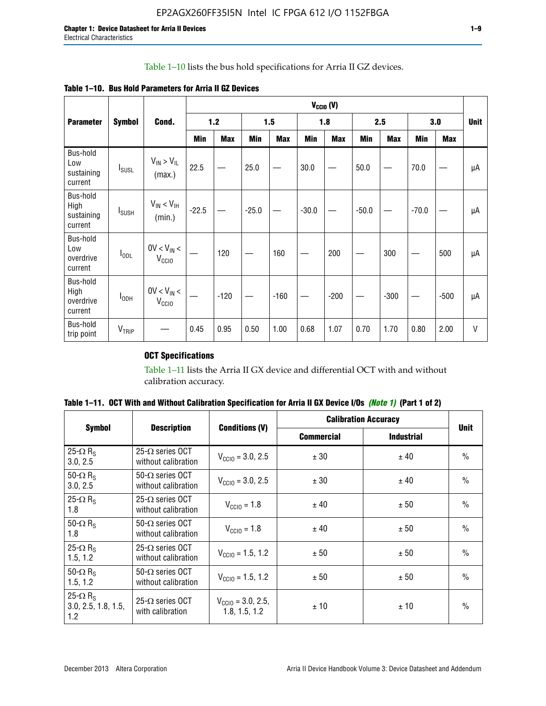# Table 1–10 lists the bus hold specifications for Arria II GZ devices.

| <b>Table 1–10. Bus Hold Parameters for Arria II GZ Devices</b> |  |  |  |  |
|----------------------------------------------------------------|--|--|--|--|
|----------------------------------------------------------------|--|--|--|--|

|                                           |                          |                                    | $V_{CClO}$ (V) |            |         |            |         |            |         |            |         |            |             |
|-------------------------------------------|--------------------------|------------------------------------|----------------|------------|---------|------------|---------|------------|---------|------------|---------|------------|-------------|
| <b>Parameter</b>                          | <b>Symbol</b>            | Cond.                              |                | $1.2$      |         | 1.5        |         | 1.8        |         | 2.5        |         | 3.0        | <b>Unit</b> |
|                                           |                          |                                    | Min            | <b>Max</b> | Min     | <b>Max</b> | Min     | <b>Max</b> | Min     | <b>Max</b> | Min     | <b>Max</b> |             |
| Bus-hold<br>Low<br>sustaining<br>current  | $I_{SUSL}$               | $V_{IN} > V_{IL}$<br>(max.)        | 22.5           |            | 25.0    |            | 30.0    |            | 50.0    |            | 70.0    |            | μA          |
| Bus-hold<br>High<br>sustaining<br>current | <b>I</b> <sub>SUSH</sub> | $V_{IN}$ < $V_{IH}$<br>(min.)      | $-22.5$        |            | $-25.0$ |            | $-30.0$ |            | $-50.0$ |            | $-70.0$ |            | μA          |
| Bus-hold<br>Low<br>overdrive<br>current   | $I_{ODL}$                | $0V < V_{IN}$<br>V <sub>CCIO</sub> |                | 120        |         | 160        |         | 200        |         | 300        |         | 500        | μA          |
| Bus-hold<br>High<br>overdrive<br>current  | $I_{ODH}$                | $0V < V_{IN}$<br>V <sub>CCIO</sub> |                | $-120$     |         | $-160$     |         | $-200$     |         | $-300$     |         | $-500$     | μA          |
| Bus-hold<br>trip point                    | V <sub>TRIP</sub>        |                                    | 0.45           | 0.95       | 0.50    | 1.00       | 0.68    | 1.07       | 0.70    | 1.70       | 0.80    | 2.00       | $\vee$      |

# **OCT Specifications**

Table 1–11 lists the Arria II GX device and differential OCT with and without calibration accuracy.

|                                                           |                                                 |                                                | <b>Calibration Accuracy</b> | <b>Unit</b>       |               |  |
|-----------------------------------------------------------|-------------------------------------------------|------------------------------------------------|-----------------------------|-------------------|---------------|--|
| Symbol                                                    | <b>Description</b>                              | <b>Conditions (V)</b>                          | <b>Commercial</b>           | <b>Industrial</b> |               |  |
| 25- $\Omega$ R <sub>S</sub><br>3.0, 2.5                   | 25- $\Omega$ series OCT<br>without calibration  | $V_{\text{CC10}} = 3.0, 2.5$                   | ± 30                        | ± 40              | $\frac{0}{0}$ |  |
| 50- $\Omega$ R <sub>s</sub><br>3.0, 2.5                   | $50-\Omega$ series OCT<br>without calibration   | $V_{\text{CC10}} = 3.0, 2.5$                   | ± 30                        | ± 40              | $\frac{0}{0}$ |  |
| 25- $\Omega$ R <sub>S</sub><br>1.8                        | $25-\Omega$ series OCT<br>without calibration   | $V_{CCl0} = 1.8$                               | ± 40                        | ± 50              | $\frac{0}{0}$ |  |
| 50- $\Omega$ R <sub>s</sub><br>1.8                        | $50-\Omega$ series OCT<br>without calibration   | $V_{CCl0} = 1.8$                               | ± 40                        | ± 50              | $\frac{0}{0}$ |  |
| 25- $\Omega$ R <sub>S</sub><br>1.5, 1.2                   | 25- $\Omega$ series OCT<br>without calibration  | $V_{CCD} = 1.5, 1.2$                           | ± 50                        | ± 50              | $\frac{0}{0}$ |  |
| 50- $\Omega$ R <sub>s</sub><br>1.5, 1.2                   | $50 - \Omega$ series OCT<br>without calibration | $V_{\text{CC10}} = 1.5, 1.2$                   | ± 50                        | ± 50              | $\frac{0}{0}$ |  |
| 25- $\Omega$ R <sub>s</sub><br>3.0, 2.5, 1.8, 1.5,<br>1.2 | 25- $\Omega$ series OCT<br>with calibration     | $V_{\text{CC10}} = 3.0, 2.5,$<br>1.8, 1.5, 1.2 | ±10                         | ± 10              | $\frac{0}{0}$ |  |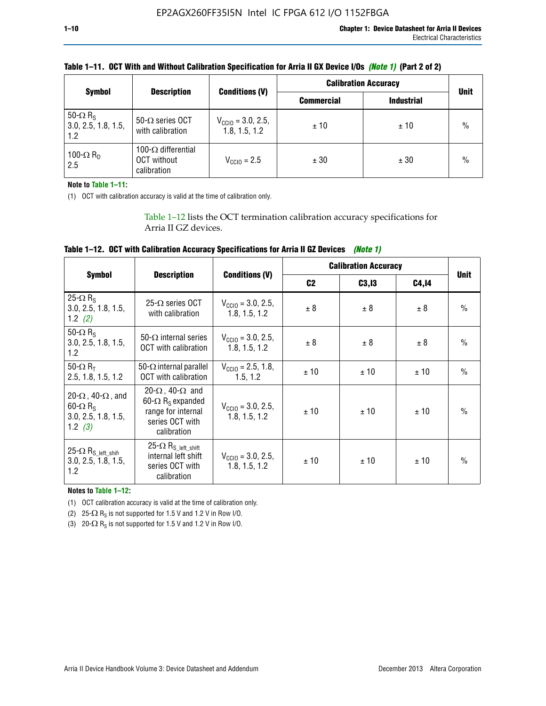|                                                           | <b>Description</b>                                              |                                                | <b>Calibration Accuracy</b> | <b>Unit</b>       |               |
|-----------------------------------------------------------|-----------------------------------------------------------------|------------------------------------------------|-----------------------------|-------------------|---------------|
| <b>Symbol</b>                                             |                                                                 | <b>Conditions (V)</b>                          | <b>Commercial</b>           | <b>Industrial</b> |               |
| 50- $\Omega$ R <sub>S</sub><br>3.0, 2.5, 1.8, 1.5,<br>1.2 | 50- $\Omega$ series OCT<br>with calibration                     | $V_{\text{CCIO}} = 3.0, 2.5,$<br>1.8, 1.5, 1.2 | ± 10                        | ± 10              | $\frac{0}{0}$ |
| 100- $\Omega$ R <sub>D</sub><br>2.5                       | 100- $\Omega$ differential<br><b>OCT</b> without<br>calibration | $V_{\text{CC10}} = 2.5$                        | ± 30                        | ± 30              | $\frac{0}{0}$ |

# **Table 1–11. OCT With and Without Calibration Specification for Arria II GX Device I/Os** *(Note 1)* **(Part 2 of 2)**

**Note to Table 1–11:**

(1) OCT with calibration accuracy is valid at the time of calibration only.

Table 1–12 lists the OCT termination calibration accuracy specifications for Arria II GZ devices.

| Table 1–12. OCT with Calibration Accuracy Specifications for Arria II GZ Devices (Note 1) |  |  |  |  |
|-------------------------------------------------------------------------------------------|--|--|--|--|
|-------------------------------------------------------------------------------------------|--|--|--|--|

|                                                                                                       |                                                                                                                                 |                                                | <b>Calibration Accuracy</b> |        | <b>Unit</b> |               |
|-------------------------------------------------------------------------------------------------------|---------------------------------------------------------------------------------------------------------------------------------|------------------------------------------------|-----------------------------|--------|-------------|---------------|
| <b>Symbol</b>                                                                                         | <b>Description</b>                                                                                                              | <b>Conditions (V)</b>                          | C <sub>2</sub>              | C3, I3 | C4,14       |               |
| 25- $\Omega$ R <sub>s</sub><br>3.0, 2.5, 1.8, 1.5,<br>1.2 $(2)$                                       | $25-\Omega$ series OCT<br>with calibration                                                                                      | $V_{CGI0} = 3.0, 2.5,$<br>1.8, 1.5, 1.2        | ± 8                         | ± 8    | ± 8         | $\frac{0}{0}$ |
| 50- $\Omega$ R <sub>s</sub><br>3.0, 2.5, 1.8, 1.5,<br>1.2                                             | 50- $\Omega$ internal series<br>OCT with calibration                                                                            | $V_{\text{CC10}} = 3.0, 2.5,$<br>1.8, 1.5, 1.2 | ± 8                         | ± 8    | ± 8         | $\frac{0}{0}$ |
| 50- $\Omega$ R <sub>T</sub><br>2.5, 1.8, 1.5, 1.2                                                     | 50- $\Omega$ internal parallel<br><b>OCT</b> with calibration                                                                   | $V_{\text{CC10}} = 2.5, 1.8,$<br>1.5.1.2       | ± 10                        | ± 10   | ± 10        | $\frac{0}{0}$ |
| 20- $\Omega$ , 40- $\Omega$ , and<br>$60 - \Omega$ R <sub>S</sub><br>3.0, 2.5, 1.8, 1.5,<br>1.2 $(3)$ | 20- $\Omega$ , 40- $\Omega$ and<br>60- $\Omega$ R <sub>s</sub> expanded<br>range for internal<br>series OCT with<br>calibration | $V_{\text{CC10}} = 3.0, 2.5,$<br>1.8, 1.5, 1.2 | ± 10                        | ± 10   | ± 10        | $\frac{0}{0}$ |
| 25- $\Omega$ R <sub>S</sub> left_shift<br>3.0, 2.5, 1.8, 1.5,<br>1.2                                  | $25-\Omega R_{S\_left\_shift}$<br>internal left shift<br>series OCT with<br>calibration                                         | $V_{\text{CC10}} = 3.0, 2.5,$<br>1.8, 1.5, 1.2 | ± 10                        | ±10    | ± 10        | $\frac{0}{0}$ |

**Notes to Table 1–12:**

(1) OCT calibration accuracy is valid at the time of calibration only.

(2) 25- $\Omega$  R<sub>S</sub> is not supported for 1.5 V and 1.2 V in Row I/O.

(3)  $20-\Omega$  R<sub>S</sub> is not supported for 1.5 V and 1.2 V in Row I/O.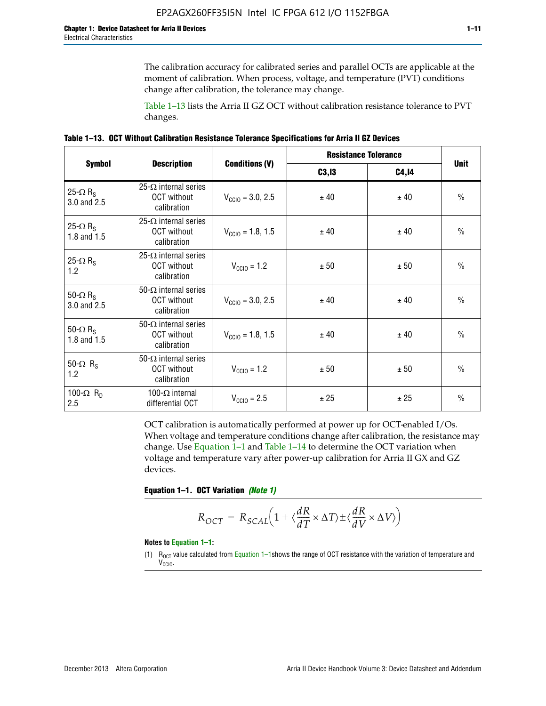The calibration accuracy for calibrated series and parallel OCTs are applicable at the moment of calibration. When process, voltage, and temperature (PVT) conditions change after calibration, the tolerance may change.

Table 1–13 lists the Arria II GZ OCT without calibration resistance tolerance to PVT changes.

|  | Table 1–13. OCT Without Calibration Resistance Tolerance Specifications for Arria II GZ Devices |  |  |
|--|-------------------------------------------------------------------------------------------------|--|--|
|--|-------------------------------------------------------------------------------------------------|--|--|

|                                            | <b>Description</b>                                                |                              | <b>Resistance Tolerance</b> | <b>Unit</b>  |               |
|--------------------------------------------|-------------------------------------------------------------------|------------------------------|-----------------------------|--------------|---------------|
| <b>Symbol</b>                              |                                                                   | <b>Conditions (V)</b>        | C3, I3                      | <b>C4,14</b> |               |
| 25- $\Omega$ R <sub>S</sub><br>3.0 and 2.5 | $25-\Omega$ internal series<br><b>OCT</b> without<br>calibration  | $V_{\text{CC10}} = 3.0, 2.5$ | ± 40                        | ± 40         | $\frac{0}{0}$ |
| 25- $\Omega$ R <sub>S</sub><br>1.8 and 1.5 | 25- $\Omega$ internal series<br><b>OCT</b> without<br>calibration | $V_{CGI0} = 1.8, 1.5$        | ± 40                        | ± 40         | $\frac{0}{0}$ |
| 25- $\Omega$ R <sub>S</sub><br>1.2         | 25- $\Omega$ internal series<br><b>OCT</b> without<br>calibration | $V_{\text{CC10}} = 1.2$      | ± 50                        | ± 50         | $\frac{0}{0}$ |
| 50- $\Omega$ R <sub>S</sub><br>3.0 and 2.5 | $50-\Omega$ internal series<br><b>OCT</b> without<br>calibration  | $V_{\text{CC10}} = 3.0, 2.5$ | ± 40                        | ± 40         | $\frac{0}{0}$ |
| 50- $\Omega$ R <sub>S</sub><br>1.8 and 1.5 | 50- $\Omega$ internal series<br><b>OCT</b> without<br>calibration | $V_{\text{CC10}} = 1.8, 1.5$ | ± 40                        | ± 40         | $\frac{0}{0}$ |
| 50- $\Omega$ R <sub>s</sub><br>1.2         | 50- $\Omega$ internal series<br><b>OCT</b> without<br>calibration | $V_{\text{CC10}} = 1.2$      | ± 50                        | ± 50         | $\frac{0}{0}$ |
| 100- $\Omega$ R <sub>D</sub><br>2.5        | 100- $\Omega$ internal<br>differential OCT                        | $V_{\text{CC10}} = 2.5$      | ± 25                        | ± 25         | $\frac{0}{0}$ |

OCT calibration is automatically performed at power up for OCT-enabled I/Os. When voltage and temperature conditions change after calibration, the resistance may change. Use Equation 1–1 and Table 1–14 to determine the OCT variation when voltage and temperature vary after power-up calibration for Arria II GX and GZ devices.

**Equation 1–1. OCT Variation** *(Note 1)*

$$
R_{OCT} = R_{SCAL} \Big( 1 + \langle \frac{dR}{dT} \times \Delta T \rangle \pm \langle \frac{dR}{dV} \times \Delta V \rangle \Big)
$$

#### **Notes to Equation 1–1:**

(1)  $R_{OCT}$  value calculated from Equation 1–1shows the range of OCT resistance with the variation of temperature and V<sub>CCIO</sub>.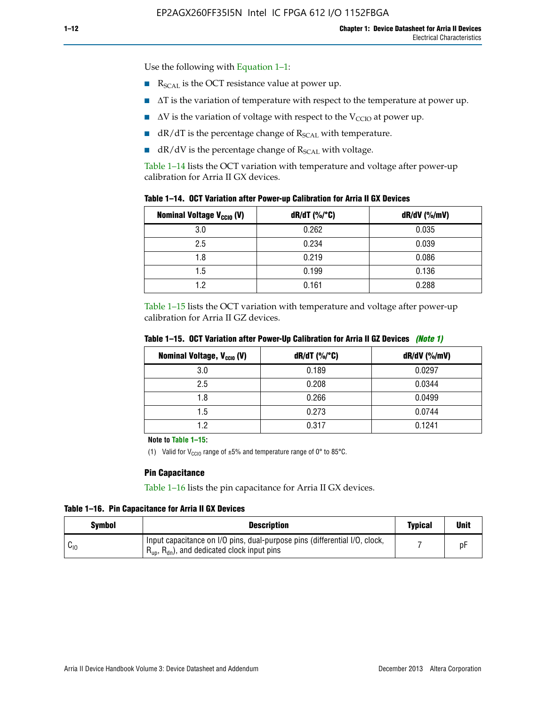Use the following with Equation 1–1:

- $\blacksquare$  R<sub>SCAL</sub> is the OCT resistance value at power up.
- $\blacksquare$   $\Delta T$  is the variation of temperature with respect to the temperature at power up.
- $\blacksquare$   $\Delta V$  is the variation of voltage with respect to the V<sub>CCIO</sub> at power up.
- $\blacksquare$  dR/dT is the percentage change of  $R_{\text{SCAL}}$  with temperature.
- $\blacksquare$  dR/dV is the percentage change of R<sub>SCAL</sub> with voltage.

Table 1–14 lists the OCT variation with temperature and voltage after power-up calibration for Arria II GX devices.

| Table 1–14. OCT Variation after Power-up Calibration for Arria II GX Devices |  |  |  |  |  |  |  |  |  |
|------------------------------------------------------------------------------|--|--|--|--|--|--|--|--|--|
|------------------------------------------------------------------------------|--|--|--|--|--|--|--|--|--|

| <b>Nominal Voltage V<sub>CCIO</sub> (V)</b> | $dR/dT$ (%/°C) | $dR/dV$ (%/mV) |
|---------------------------------------------|----------------|----------------|
| 3.0                                         | 0.262          | 0.035          |
| 2.5                                         | 0.234          | 0.039          |
| 1.8                                         | 0.219          | 0.086          |
| 1.5                                         | 0.199          | 0.136          |
| 1.2                                         | 0.161          | 0.288          |

Table 1–15 lists the OCT variation with temperature and voltage after power-up calibration for Arria II GZ devices.

| <b>Nominal Voltage, V<sub>ccio</sub> (V)</b> | $dR/dT$ (%/°C) | dR/dV (%/mV) |
|----------------------------------------------|----------------|--------------|
| 3.0                                          | 0.189          | 0.0297       |
| 2.5                                          | 0.208          | 0.0344       |
| 1.8                                          | 0.266          | 0.0499       |
| 1.5                                          | 0.273          | 0.0744       |
| 19                                           | 0.317          | 0.1241       |

**Table 1–15. OCT Variation after Power-Up Calibration for Arria II GZ Devices** *(Note 1)*

**Note to Table 1–15:**

(1) Valid for V<sub>CCIO</sub> range of  $\pm 5\%$  and temperature range of 0° to 85°C.

### **Pin Capacitance**

Table 1–16 lists the pin capacitance for Arria II GX devices.

**Table 1–16. Pin Capacitance for Arria II GX Devices**

| Symbol   | <b>Description</b>                                                                                                                               | <b>Typical</b> | <b>Unit</b> |
|----------|--------------------------------------------------------------------------------------------------------------------------------------------------|----------------|-------------|
| $v_{10}$ | Input capacitance on I/O pins, dual-purpose pins (differential I/O, clock,<br>$R_{\text{up}}$ , $R_{\text{dn}}$ , and dedicated clock input pins |                | рŀ          |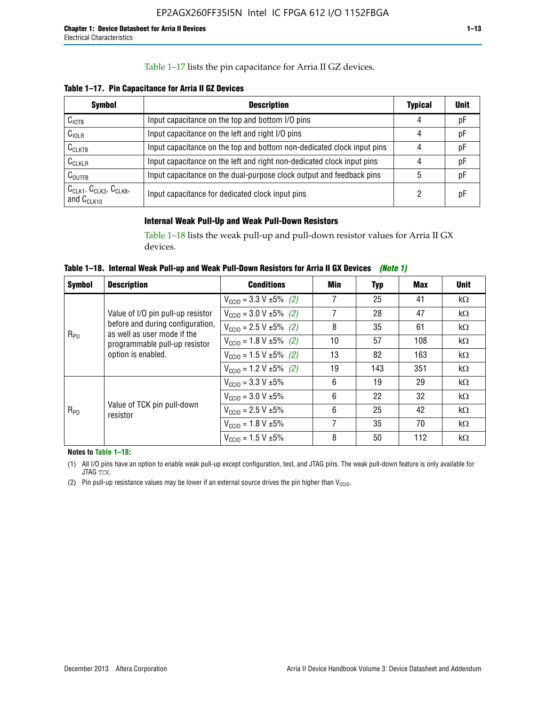### Table 1–17 lists the pin capacitance for Arria II GZ devices.

**Table 1–17. Pin Capacitance for Arria II GZ Devices** 

| <b>Symbol</b>                                    | <b>Description</b>                                                     | <b>Typical</b> | <b>Unit</b> |
|--------------------------------------------------|------------------------------------------------------------------------|----------------|-------------|
| $C_{\text{IOTB}}$                                | Input capacitance on the top and bottom I/O pins                       | 4              | pF          |
| C <sub>IOLR</sub>                                | Input capacitance on the left and right I/O pins                       | 4              | pF          |
| $C_{CLKTB}$                                      | Input capacitance on the top and bottom non-dedicated clock input pins |                | рF          |
| $C_{CLKLR}$                                      | Input capacitance on the left and right non-dedicated clock input pins |                | pF          |
| $C_{\text{OUTFB}}$                               | Input capacitance on the dual-purpose clock output and feedback pins   | 5              | pF          |
| $CCLK1$ , $CCLK3$ , $CCLK8$ ,<br>and $C_{CLK10}$ | Input capacitance for dedicated clock input pins                       |                | рF          |

# **Internal Weak Pull-Up and Weak Pull-Down Resistors**

Table 1–18 lists the weak pull-up and pull-down resistor values for Arria II GX devices.

**Table 1–18. Internal Weak Pull-up and Weak Pull-Down Resistors for Arria II GX Devices** *(Note 1)* 

| <b>Symbol</b> | <b>Description</b>                                                                                                                                                               | <b>Conditions</b>                             | Min | Typ                                                                                                                                                                                                       | Max | <b>Unit</b> |
|---------------|----------------------------------------------------------------------------------------------------------------------------------------------------------------------------------|-----------------------------------------------|-----|-----------------------------------------------------------------------------------------------------------------------------------------------------------------------------------------------------------|-----|-------------|
|               |                                                                                                                                                                                  | $V_{\text{CC10}} = 3.3 \text{ V} \pm 5\%$ (2) | 7   | 25                                                                                                                                                                                                        | 41  | $k\Omega$   |
|               | Value of I/O pin pull-up resistor                                                                                                                                                | $V_{\text{CC10}} = 3.0 V \pm 5\%$ (2)         | 7   | 28                                                                                                                                                                                                        | 47  | $k\Omega$   |
|               | before and during configuration,<br>8<br>$V_{\text{CC10}} = 2.5 V \pm 5\%$ (2)<br>as well as user mode if the<br>$R_{PU}$<br>10<br>$V_{\text{CC10}} = 1.8 \text{ V} \pm 5\%$ (2) | 35                                            | 61  | $k\Omega$                                                                                                                                                                                                 |     |             |
|               | programmable pull-up resistor                                                                                                                                                    |                                               |     | 57<br>108<br>$k\Omega$<br>82<br>163<br>$k\Omega$<br>143<br>351<br>$k\Omega$<br>19<br>29<br>$k\Omega$<br>22<br>32<br>$k\Omega$<br>25<br>42<br>$k\Omega$<br>35<br>70<br>$k\Omega$<br>112<br>50<br>$k\Omega$ |     |             |
|               | option is enabled.                                                                                                                                                               | $V_{\text{CC10}} = 1.5 \text{ V} \pm 5\%$ (2) | 13  |                                                                                                                                                                                                           |     |             |
|               |                                                                                                                                                                                  | $V_{\text{CC10}} = 1.2 V \pm 5\%$ (2)         | 19  |                                                                                                                                                                                                           |     |             |
|               |                                                                                                                                                                                  | $V_{\text{CC10}} = 3.3 \text{ V} \pm 5\%$     | 6   |                                                                                                                                                                                                           |     |             |
| $R_{PD}$      |                                                                                                                                                                                  | $V_{\text{CC10}} = 3.0 V \pm 5\%$             | 6   |                                                                                                                                                                                                           |     |             |
|               | Value of TCK pin pull-down<br>resistor                                                                                                                                           | $V_{\text{CC10}} = 2.5 V \pm 5\%$             | 6   |                                                                                                                                                                                                           |     |             |
|               |                                                                                                                                                                                  | $V_{\text{CC10}} = 1.8 V \pm 5\%$             | 7   |                                                                                                                                                                                                           |     |             |
|               |                                                                                                                                                                                  | $V_{\text{CC10}} = 1.5 V \pm 5\%$             | 8   |                                                                                                                                                                                                           |     |             |

**Notes to Table 1–18:**

(1) All I/O pins have an option to enable weak pull-up except configuration, test, and JTAG pins. The weak pull-down feature is only available for JTAG TCK.

(2) Pin pull-up resistance values may be lower if an external source drives the pin higher than  $V_{\text{CCIO}}$ .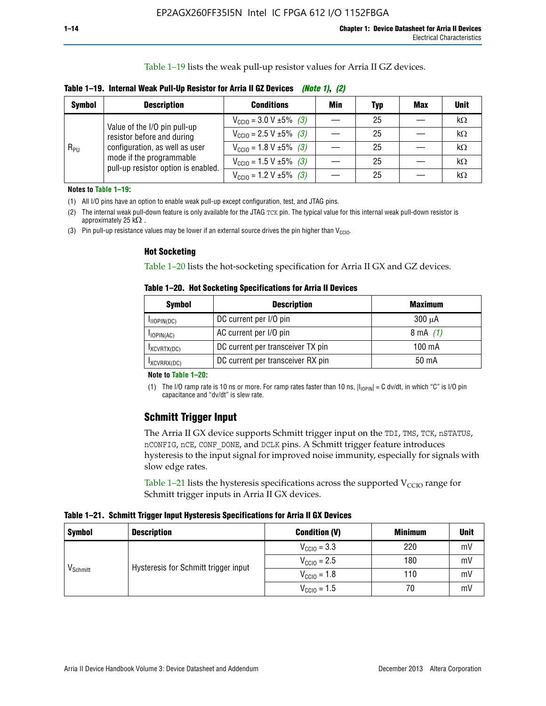Table 1–19 lists the weak pull-up resistor values for Arria II GZ devices.

**Table 1–19. Internal Weak Pull-Up Resistor for Arria II GZ Devices** *(Note 1)***,** *(2)*

| <b>Symbol</b> | <b>Description</b>                                                                                                              | <b>Conditions</b>                             | Min | <b>Typ</b> | <b>Max</b> | <b>Unit</b> |
|---------------|---------------------------------------------------------------------------------------------------------------------------------|-----------------------------------------------|-----|------------|------------|-------------|
|               | Value of the I/O pin pull-up                                                                                                    | $V_{\text{CC10}} = 3.0 V \pm 5\%$ (3)         |     | 25         |            | kΩ          |
| $R_{PU}$      | resistor before and during<br>configuration, as well as user<br>mode if the programmable<br>pull-up resistor option is enabled. | $V_{\text{CC10}} = 2.5 V \pm 5\%$ (3)         |     | 25         |            | kΩ          |
|               |                                                                                                                                 | $V_{\text{CC10}} = 1.8 \text{ V} \pm 5\%$ (3) |     | 25         |            | kΩ          |
|               |                                                                                                                                 | $V_{\text{CC10}} = 1.5 \text{ V} \pm 5\%$ (3) |     | 25         |            | kΩ          |
|               |                                                                                                                                 | $V_{\text{CC10}} = 1.2 V \pm 5\%$ (3)         |     | 25         |            | kΩ          |

**Notes to Table 1–19:**

(1) All I/O pins have an option to enable weak pull-up except configuration, test, and JTAG pins.

(2) The internal weak pull-down feature is only available for the JTAG TCK pin. The typical value for this internal weak pull-down resistor is approximately 25 k $\Omega$ .

(3) Pin pull-up resistance values may be lower if an external source drives the pin higher than  $V_{\text{CCIO}}$ .

#### **Hot Socketing**

Table 1–20 lists the hot-socketing specification for Arria II GX and GZ devices.

**Table 1–20. Hot Socketing Specifications for Arria II Devices** 

| <b>Symbol</b> | <b>Description</b>                | <b>Maximum</b>     |
|---------------|-----------------------------------|--------------------|
| IIOPIN(DC)    | DC current per I/O pin            | $300 \mu A$        |
| $I$ IOPIN(AC) | AC current per I/O pin            | $8 \text{ mA}$ (1) |
| IXCVRTX(DC)   | DC current per transceiver TX pin | 100 mA             |
| IXCVRRX(DC)   | DC current per transceiver RX pin | 50 mA              |

#### **Note to Table 1–20:**

(1) The I/O ramp rate is 10 ns or more. For ramp rates faster than 10 ns,  $|I_{10\text{PIN}}| = C$  dv/dt, in which "C" is I/O pin capacitance and "dv/dt" is slew rate.

# **Schmitt Trigger Input**

The Arria II GX device supports Schmitt trigger input on the TDI, TMS, TCK, nSTATUS, nCONFIG, nCE, CONF\_DONE, and DCLK pins. A Schmitt trigger feature introduces hysteresis to the input signal for improved noise immunity, especially for signals with slow edge rates.

Table 1–21 lists the hysteresis specifications across the supported  $V<sub>CCIO</sub>$  range for Schmitt trigger inputs in Arria II GX devices.

**Table 1–21. Schmitt Trigger Input Hysteresis Specifications for Arria II GX Devices**

| <b>Symbol</b>        | <b>Description</b>                   | <b>Condition (V)</b>    | <b>Minimum</b> | <b>Unit</b> |
|----------------------|--------------------------------------|-------------------------|----------------|-------------|
|                      |                                      | $V_{\text{CGI0}} = 3.3$ | 220            | mV          |
| V <sub>Schmitt</sub> | Hysteresis for Schmitt trigger input | $V_{\text{CCIO}} = 2.5$ | 180            | mV          |
|                      |                                      | $V_{\text{CCIO}} = 1.8$ | 110            | mV          |
|                      |                                      | $V_{\text{CCIO}} = 1.5$ | 70             | mV          |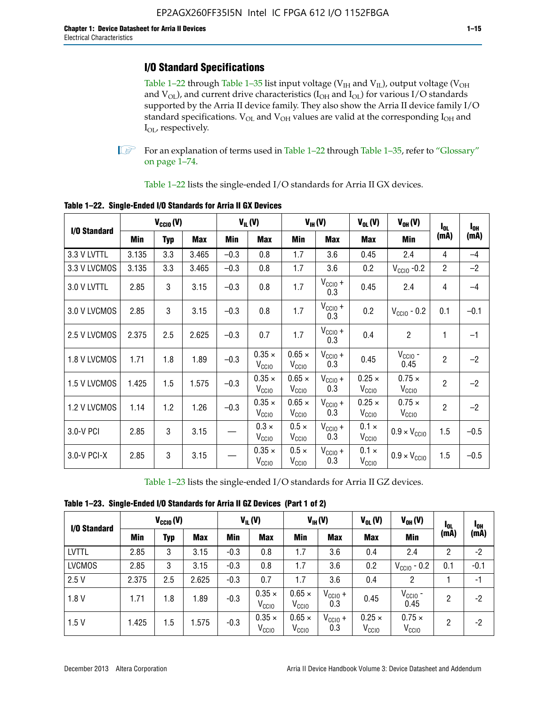# **I/O Standard Specifications**

Table 1–22 through Table 1–35 list input voltage ( $V_{IH}$  and  $V_{IL}$ ), output voltage ( $V_{OH}$ and  $V_{OL}$ ), and current drive characteristics ( $I_{OH}$  and  $I_{OL}$ ) for various I/O standards supported by the Arria II device family. They also show the Arria II device family I/O standard specifications.  $V_{OL}$  and  $V_{OH}$  values are valid at the corresponding  $I_{OH}$  and I<sub>OL</sub>, respectively.

**1.** For an explanation of terms used in Table 1–22 through Table 1–35, refer to "Glossary" on page 1–74.

Table 1–22 lists the single-ended I/O standards for Arria II GX devices.

| I/O Standard |       | $V_{CGI0} (V)$ |       |        | $V_{IL}(V)$                        |                                    | $V_{IH}(V)$                | $V_{OL}(V)$                        | $V_{OH} (V)$                       | $I_{0L}$       | l <sub>oh</sub> |
|--------------|-------|----------------|-------|--------|------------------------------------|------------------------------------|----------------------------|------------------------------------|------------------------------------|----------------|-----------------|
|              | Min   | <b>Typ</b>     | Max   | Min    | Max                                | Min                                | <b>Max</b>                 | Max                                | Min                                | (mA)           | (mA)            |
| 3.3 V LVTTL  | 3.135 | 3.3            | 3.465 | $-0.3$ | 0.8                                | 1.7                                | 3.6                        | 0.45                               | 2.4                                | 4              | $-4$            |
| 3.3 V LVCMOS | 3.135 | 3.3            | 3.465 | $-0.3$ | 0.8                                | 1.7                                | 3.6                        | 0.2                                | $V_{\text{CCIO}}$ -0.2             | $\overline{2}$ | $-2$            |
| 3.0 V LVTTL  | 2.85  | 3              | 3.15  | $-0.3$ | 0.8                                | 1.7                                | $V_{\text{CCIO}} +$<br>0.3 | 0.45                               | 2.4                                | 4              | $-4$            |
| 3.0 V LVCMOS | 2.85  | 3              | 3.15  | $-0.3$ | 0.8                                | 1.7                                | $V_{CC10} +$<br>0.3        | 0.2                                | $V_{\text{CC10}}$ - 0.2            | 0.1            | $-0.1$          |
| 2.5 V LVCMOS | 2.375 | 2.5            | 2.625 | $-0.3$ | 0.7                                | 1.7                                | $V_{CC10} +$<br>0.3        | 0.4                                | $\overline{c}$                     | 1              | $-1$            |
| 1.8 V LVCMOS | 1.71  | 1.8            | 1.89  | $-0.3$ | $0.35 \times$<br>V <sub>CCIO</sub> | $0.65 \times$<br>V <sub>CCIO</sub> | $V_{CClO}$ +<br>0.3        | 0.45                               | $V_{\text{CCIO}}$ -<br>0.45        | $\overline{2}$ | $-2$            |
| 1.5 V LVCMOS | 1.425 | 1.5            | 1.575 | $-0.3$ | $0.35 \times$<br>V <sub>CCIO</sub> | $0.65 \times$<br>V <sub>CCIO</sub> | $V_{CC10} +$<br>0.3        | $0.25 \times$<br>V <sub>CCIO</sub> | $0.75 \times$<br>V <sub>CCIO</sub> | $\overline{2}$ | $-2$            |
| 1.2 V LVCMOS | 1.14  | 1.2            | 1.26  | $-0.3$ | $0.35 \times$<br>V <sub>CCIO</sub> | $0.65 \times$<br>$V_{\rm CCIO}$    | $V_{CC10} +$<br>0.3        | $0.25 \times$<br>V <sub>CCIO</sub> | $0.75 \times$<br>V <sub>CCIO</sub> | $\overline{2}$ | $-2$            |
| 3.0-V PCI    | 2.85  | 3              | 3.15  |        | $0.3 \times$<br>$V_{\rm CClO}$     | $0.5 \times$<br>$V_{\rm CClO}$     | $V_{CC10} +$<br>0.3        | $0.1 \times$<br>V <sub>CCIO</sub>  | $0.9 \times V_{\text{CC10}}$       | 1.5            | $-0.5$          |
| 3.0-V PCI-X  | 2.85  | 3              | 3.15  |        | $0.35 \times$<br>V <sub>CCIO</sub> | $0.5 \times$<br>V <sub>CClO</sub>  | $V_{CC10} +$<br>0.3        | $0.1 \times$<br>V <sub>CCIO</sub>  | $0.9 \times V_{\text{CC10}}$       | 1.5            | $-0.5$          |

**Table 1–22. Single-Ended I/O Standards for Arria II GX Devices**

Table 1–23 lists the single-ended I/O standards for Arria II GZ devices.

|  |  | Table 1-23. Single-Ended I/O Standards for Arria II GZ Devices (Part 1 of 2) |  |
|--|--|------------------------------------------------------------------------------|--|
|--|--|------------------------------------------------------------------------------|--|

|               | $V_{CCl0}(V)$ |     | $V_{IL}(V)$ |        | $V_{IH} (V)$                       |                                    | $V_{OL}(V)$                | $V_{OH} (V)$                    | <b>I</b> OL                        | 1 <sub>0H</sub> |        |
|---------------|---------------|-----|-------------|--------|------------------------------------|------------------------------------|----------------------------|---------------------------------|------------------------------------|-----------------|--------|
| I/O Standard  | Min           | Typ | <b>Max</b>  | Min    | <b>Max</b>                         | Min                                | <b>Max</b>                 | <b>Max</b>                      | Min                                | (mA)            | (mA)   |
| <b>LVTTL</b>  | 2.85          | 3   | 3.15        | $-0.3$ | 0.8                                | 1.7                                | 3.6                        | 0.4                             | 2.4                                | 2               | $-2$   |
| <b>LVCMOS</b> | 2.85          | 3   | 3.15        | $-0.3$ | 0.8                                | 1.7                                | 3.6                        | 0.2                             | $V_{\text{CCIO}}$ - 0.2            | 0.1             | $-0.1$ |
| 2.5V          | 2.375         | 2.5 | 2.625       | $-0.3$ | 0.7                                | 1.7                                | 3.6                        | 0.4                             | 2                                  |                 | $-1$   |
| 1.8V          | 1.71          | 1.8 | 1.89        | $-0.3$ | $0.35 \times$<br>V <sub>CCIO</sub> | $0.65 \times$<br>V <sub>CCIO</sub> | $V_{\text{CC1O}} +$<br>0.3 | 0.45                            | $V_{CGIO}$ -<br>0.45               | 2               | -2     |
| 1.5V          | 1.425         | 1.5 | .575        | $-0.3$ | $0.35 \times$<br>V <sub>CCIO</sub> | $0.65 \times$<br>V <sub>CCIO</sub> | $V_{CClO}$ +<br>0.3        | $0.25 \times$<br>$V_{\rm CCIO}$ | $0.75 \times$<br>V <sub>CCIO</sub> | 2               | -2     |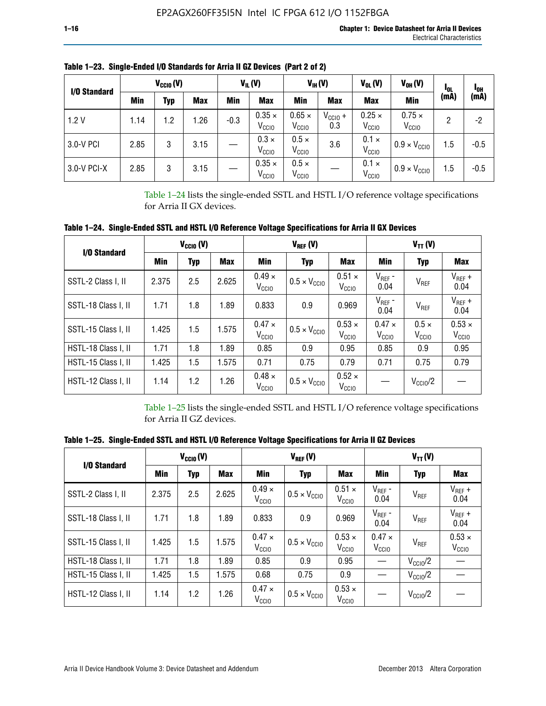| I/O Standard |      | $V_{CClO}(V)$ |            |        | $V_{IL}(V)$                        |                                    | $V_{IH} (V)$               | $V_{OL}(V)$                        | $V_{OH} (V)$                       | <b>I</b> OL | <sup>1</sup> OH |
|--------------|------|---------------|------------|--------|------------------------------------|------------------------------------|----------------------------|------------------------------------|------------------------------------|-------------|-----------------|
|              | Min  | Typ           | <b>Max</b> | Min    | <b>Max</b>                         | Min                                | <b>Max</b>                 | <b>Max</b>                         | <b>Min</b>                         | (mA)        | (mA)            |
| 1.2V         | 1.14 | 1.2           | 1.26       | $-0.3$ | $0.35 \times$<br>V <sub>CCIO</sub> | $0.65 \times$<br>V <sub>CCIO</sub> | $V_{\text{CC1O}} +$<br>0.3 | $0.25 \times$<br>V <sub>CCIO</sub> | $0.75 \times$<br>V <sub>CCIO</sub> | 2           | -2              |
| 3.0-V PCI    | 2.85 | 3             | 3.15       |        | $0.3 \times$<br>V <sub>CCIO</sub>  | $0.5 \times$<br>V <sub>CCIO</sub>  | 3.6                        | $0.1 \times$<br>V <sub>CCIO</sub>  | $0.9 \times V_{\text{CC10}}$       | 1.5         | $-0.5$          |
| 3.0-V PCI-X  | 2.85 | 3             | 3.15       |        | $0.35 \times$<br>V <sub>CCIO</sub> | $0.5 \times$<br>V <sub>CCIO</sub>  |                            | $0.1 \times$<br>V <sub>CCIO</sub>  | $0.9 \times V_{\text{CC10}}$       | 1.5         | $-0.5$          |

**Table 1–23. Single-Ended I/O Standards for Arria II GZ Devices (Part 2 of 2)**

Table 1–24 lists the single-ended SSTL and HSTL I/O reference voltage specifications for Arria II GX devices.

**Table 1–24. Single-Ended SSTL and HSTL I/O Reference Voltage Specifications for Arria II GX Devices**

| I/O Standard        |       | $V_{\text{CCIO}}(V)$ |            |                                    | $V_{REF}(V)$                 |                                    | $V_{TT} (V)$                       |                                   |                                    |  |
|---------------------|-------|----------------------|------------|------------------------------------|------------------------------|------------------------------------|------------------------------------|-----------------------------------|------------------------------------|--|
|                     | Min   | <b>Typ</b>           | <b>Max</b> | Min                                | <b>Typ</b>                   | <b>Max</b>                         | Min                                | <b>Typ</b>                        | Max                                |  |
| SSTL-2 Class I, II  | 2.375 | 2.5                  | 2.625      | $0.49 \times$<br>V <sub>CCIO</sub> | $0.5 \times V_{\text{CCIO}}$ | $0.51 \times$<br>V <sub>CClO</sub> | $V_{REF}$ -<br>0.04                | $V_{REF}$                         | $V_{REF}$ +<br>0.04                |  |
| SSTL-18 Class I, II | 1.71  | 1.8                  | 1.89       | 0.833                              | 0.9                          | 0.969                              | $V_{REF}$ -<br>0.04                | $V_{REF}$                         | $V_{REF}$ +<br>0.04                |  |
| SSTL-15 Class I, II | 1.425 | 1.5                  | 1.575      | $0.47 \times$<br>V <sub>CCIO</sub> | $0.5 \times V_{\text{CCIO}}$ | $0.53 \times$<br>V <sub>CClO</sub> | $0.47 \times$<br>V <sub>CCIO</sub> | $0.5 \times$<br>V <sub>CCIO</sub> | $0.53 \times$<br>V <sub>CCIO</sub> |  |
| HSTL-18 Class I, II | 1.71  | 1.8                  | 1.89       | 0.85                               | 0.9                          | 0.95                               | 0.85                               | 0.9                               | 0.95                               |  |
| HSTL-15 Class I, II | 1.425 | 1.5                  | 1.575      | 0.71                               | 0.75                         | 0.79                               | 0.71                               | 0.75                              | 0.79                               |  |
| HSTL-12 Class I, II | 1.14  | 1.2                  | 1.26       | $0.48 \times$<br>V <sub>CCIO</sub> | $0.5 \times V_{\text{CC10}}$ | $0.52 \times$<br>V <sub>CCIO</sub> |                                    | $V_{\text{CCIO}}/2$               |                                    |  |

Table 1–25 lists the single-ended SSTL and HSTL I/O reference voltage specifications for Arria II GZ devices.

**Table 1–25. Single-Ended SSTL and HSTL I/O Reference Voltage Specifications for Arria II GZ Devices** 

| I/O Standard        |       | $V_{\text{CCIO}}(V)$ |            |                                    | $V_{REF}(V)$                 |                                    | $V_{TT}(V)$                       |                     |                                    |  |
|---------------------|-------|----------------------|------------|------------------------------------|------------------------------|------------------------------------|-----------------------------------|---------------------|------------------------------------|--|
|                     | Min   | <b>Typ</b>           | <b>Max</b> | Min                                | Typ                          | <b>Max</b>                         | Min                               | Typ                 | Max                                |  |
| SSTL-2 Class I, II  | 2.375 | 2.5                  | 2.625      | $0.49 \times$<br>V <sub>CCIO</sub> | $0.5 \times V_{\text{CC10}}$ | $0.51 \times$<br>V <sub>CCIO</sub> | $V_{REF}$ -<br>0.04               | V <sub>REF</sub>    | $V_{REF}$ +<br>0.04                |  |
| SSTL-18 Class I, II | 1.71  | 1.8                  | 1.89       | 0.833                              | 0.9                          | 0.969                              | $V_{REF}$ -<br>0.04               | V <sub>REF</sub>    | $V_{REF}$ +<br>0.04                |  |
| SSTL-15 Class I, II | 1.425 | 1.5                  | 1.575      | $0.47 \times$<br>V <sub>CCIO</sub> | $0.5 \times V_{\text{CC10}}$ | $0.53 \times$<br>V <sub>CCIO</sub> | $0.47 \times$<br>V <sub>CCD</sub> | V <sub>REF</sub>    | $0.53 \times$<br>V <sub>CCIO</sub> |  |
| HSTL-18 Class I, II | 1.71  | 1.8                  | 1.89       | 0.85                               | 0.9                          | 0.95                               |                                   | $V_{\text{CC10}}/2$ |                                    |  |
| HSTL-15 Class I, II | 1.425 | 1.5                  | 1.575      | 0.68                               | 0.75                         | 0.9                                |                                   | $V_{\rm CC10}$ /2   |                                    |  |
| HSTL-12 Class I, II | 1.14  | 1.2                  | 1.26       | $0.47 \times$<br>V <sub>CCIO</sub> | $0.5 \times V_{\text{CC10}}$ | $0.53 \times$<br>V <sub>CCIO</sub> |                                   | $V_{\text{CC10}}/2$ |                                    |  |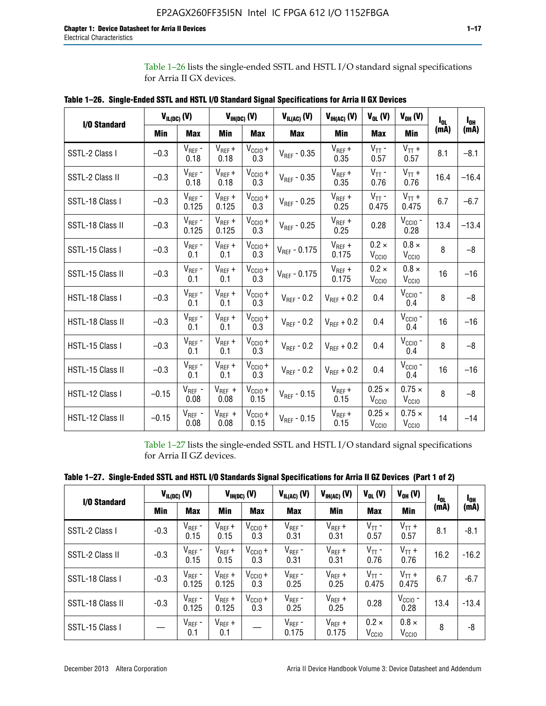Table 1–26 lists the single-ended SSTL and HSTL I/O standard signal specifications for Arria II GX devices.

|                  | $V_{IL(DC)}(V)$ |                      |                      | $V_{IH(DC)}(V)$             | $V_{IL(AC)}$ (V)  | $V_{IH(AC)}$ (V)     | $V_{OL}$ (V)                       | $V_{OH} (V)$                       | l <sub>ol</sub> | $I_{0H}$ |
|------------------|-----------------|----------------------|----------------------|-----------------------------|-------------------|----------------------|------------------------------------|------------------------------------|-----------------|----------|
| I/O Standard     | <b>Min</b>      | <b>Max</b>           | <b>Min</b>           | <b>Max</b>                  | <b>Max</b>        | Min                  | <b>Max</b>                         | <b>Min</b>                         | (mA)            | (mA)     |
| SSTL-2 Class I   | $-0.3$          | $V_{REF}$ -<br>0.18  | $V_{REF} +$<br>0.18  | $V_{\text{CCIO}} +$<br>0.3  | $V_{REF} - 0.35$  | $V_{REF} +$<br>0.35  | $V_{TT}$ -<br>0.57                 | $V_{TT}$ +<br>0.57                 | 8.1             | $-8.1$   |
| SSTL-2 Class II  | $-0.3$          | $V_{REF}$ -<br>0.18  | $V_{REF} +$<br>0.18  | $V_{CCIO} +$<br>0.3         | $V_{REF}$ - 0.35  | $V_{REF} +$<br>0.35  | $V_{TT}$ -<br>0.76                 | $V_{TT}$ +<br>0.76                 | 16.4            | $-16.4$  |
| SSTL-18 Class I  | $-0.3$          | $V_{REF}$ -<br>0.125 | $V_{REF}$ +<br>0.125 | $V_{\text{CC1O}} +$<br>0.3  | $V_{REF}$ - 0.25  | $V_{REF}$ +<br>0.25  | $V_{TT}$ -<br>0.475                | $V_{TT}$ +<br>0.475                | 6.7             | $-6.7$   |
| SSTL-18 Class II | $-0.3$          | $V_{REF}$ -<br>0.125 | $V_{REF}$ +<br>0.125 | $V_{\text{CC1O}} +$<br>0.3  | $V_{REF}$ - 0.25  | $V_{REF}$ +<br>0.25  | 0.28                               | $V_{CGIO}$ -<br>0.28               | 13.4            | $-13.4$  |
| SSTL-15 Class I  | $-0.3$          | $V_{REF}$ -<br>0.1   | $V_{REF}$ +<br>0.1   | $V_{\text{CCIO}} +$<br>0.3  | $V_{REF} - 0.175$ | $V_{REF}$ +<br>0.175 | $0.2 \times$<br>V <sub>CCIO</sub>  | $0.8 \times$<br>V <sub>CCIO</sub>  | 8               | $-8$     |
| SSTL-15 Class II | $-0.3$          | $V_{REF}$ -<br>0.1   | $V_{REF}$ +<br>0.1   | $V_{CCIO} +$<br>0.3         | $V_{REF}$ - 0.175 | $V_{REF}$ +<br>0.175 | $0.2 \times$<br>V <sub>CCIO</sub>  | $0.8 \times$<br>V <sub>CCIO</sub>  | 16              | $-16$    |
| HSTL-18 Class I  | $-0.3$          | $V_{REF}$ -<br>0.1   | $V_{REF}$ +<br>0.1   | $V_{\text{CCIO}} +$<br>0.3  | $V_{REF} - 0.2$   | $V_{REF}$ + 0.2      | 0.4                                | $V_{CGIO}$ -<br>0.4                | 8               | $-8$     |
| HSTL-18 Class II | $-0.3$          | $V_{REF}$ -<br>0.1   | $V_{REF}$ +<br>0.1   | $V_{\text{CC1O}} +$<br>0.3  | $V_{REF}$ - 0.2   | $V_{RFF}$ + 0.2      | 0.4                                | $V_{\text{CCIO}}$ -<br>0.4         | 16              | $-16$    |
| HSTL-15 Class I  | $-0.3$          | $V_{REF}$ -<br>0.1   | $V_{REF}$ +<br>0.1   | $V_{\text{CCIO}} +$<br>0.3  | $V_{REF}$ - 0.2   | $V_{REF}$ + 0.2      | 0.4                                | $V_{\text{CCIO}}$ -<br>0.4         | 8               | $-8$     |
| HSTL-15 Class II | $-0.3$          | $V_{REF}$ -<br>0.1   | $V_{REF}$ +<br>0.1   | $V_{\text{CCIO}} +$<br>0.3  | $V_{REF}$ - 0.2   | $V_{REF}$ + 0.2      | 0.4                                | $V_{CCIO}$ -<br>0.4                | 16              | $-16$    |
| HSTL-12 Class I  | $-0.15$         | $V_{REF}$ -<br>0.08  | $V_{REF}$ +<br>0.08  | $V_{\text{CCIO}} +$<br>0.15 | $V_{REF}$ - 0.15  | $V_{REF} +$<br>0.15  | $0.25 \times$<br>V <sub>CCIO</sub> | $0.75 \times$<br>$V_{\text{CCIO}}$ | 8               | $-8$     |
| HSTL-12 Class II | $-0.15$         | $V_{REF}$ -<br>0.08  | $V_{REF}$ +<br>0.08  | $V_{\text{CCIO}} +$<br>0.15 | $V_{REF}$ - 0.15  | $V_{REF} +$<br>0.15  | $0.25 \times$<br>V <sub>CCIO</sub> | $0.75 \times$<br>V <sub>CCIO</sub> | 14              | $-14$    |

**Table 1–26. Single-Ended SSTL and HSTL I/O Standard Signal Specifications for Arria II GX Devices** 

Table 1–27 lists the single-ended SSTL and HSTL I/O standard signal specifications for Arria II GZ devices.

| I/O Standard     |        | $V_{IL(DC)}(V)$      |                      | $V_{IH(DC)}(V)$     | $V_{IL(AC)}(V)$      | $V_{IH(AC)}(V)$      | $V_{OL}$ (V)                      | $V_{OH} (V)$                   | $I_{0L}$ | l <sub>oh</sub> |
|------------------|--------|----------------------|----------------------|---------------------|----------------------|----------------------|-----------------------------------|--------------------------------|----------|-----------------|
|                  | Min    | <b>Max</b>           | <b>Min</b>           | <b>Max</b>          | <b>Max</b>           | Min                  | <b>Max</b>                        | Min                            | (mA)     | (mA)            |
| SSTL-2 Class I   | $-0.3$ | $V_{REF}$ -<br>0.15  | $V_{REF} +$<br>0.15  | $V_{CClO} +$<br>0.3 | $V_{REF}$ -<br>0.31  | $V_{REF} +$<br>0.31  | $V_{TT}$ -<br>0.57                | $V_{TT}$ +<br>0.57             | 8.1      | $-8.1$          |
| SSTL-2 Class II  | $-0.3$ | $V_{REF}$ -<br>0.15  | $V_{REF} +$<br>0.15  | $V_{CClO} +$<br>0.3 | $V_{REF}$ -<br>0.31  | $V_{REF} +$<br>0.31  | $V_{TT}$ -<br>0.76                | $V_{TT}$ +<br>0.76             | 16.2     | $-16.2$         |
| SSTL-18 Class I  | $-0.3$ | $V_{REF}$ -<br>0.125 | $V_{REF}$ +<br>0.125 | $V_{CClO} +$<br>0.3 | $V_{REF}$ -<br>0.25  | $V_{REF}$ +<br>0.25  | $V_{TT}$ -<br>0.475               | $V_{TT}$ +<br>0.475            | 6.7      | $-6.7$          |
| SSTL-18 Class II | $-0.3$ | $V_{REF}$ -<br>0.125 | $V_{REF}$ +<br>0.125 | $V_{CC10} +$<br>0.3 | $V_{REF}$ -<br>0.25  | $V_{REF}$ +<br>0.25  | 0.28                              | $V_{\rm CCIO}$ -<br>0.28       | 13.4     | $-13.4$         |
| SSTL-15 Class I  |        | $V_{REF}$ -<br>0.1   | $V_{REF}$ +<br>0.1   |                     | $V_{REF}$ -<br>0.175 | $V_{REF}$ +<br>0.175 | $0.2 \times$<br>V <sub>CCIO</sub> | $0.8 \times$<br>$V_{\rm CClO}$ | 8        | -8              |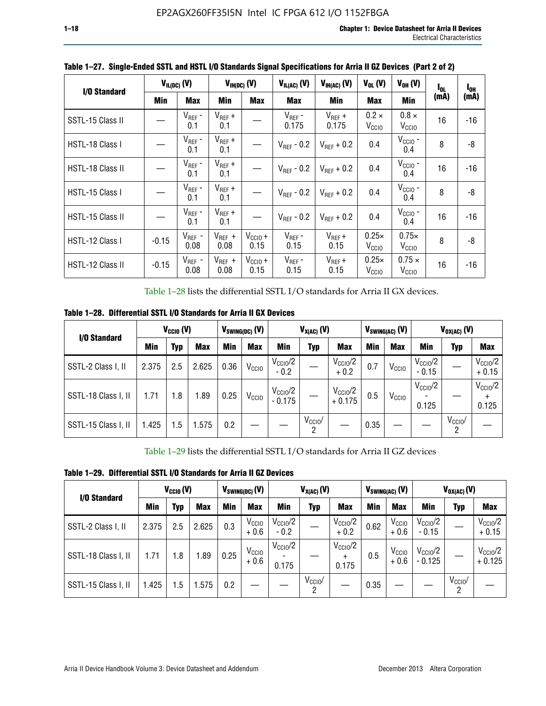| I/O Standard     |         | $V_{IL(DC)}$ (V)    |                     | $V_{H(DC)}(V)$       | $V_{IL(AC)}(V)$        | $V_{IH(AC)}(V)$      | $V_{OL}$ (V)                      | $V_{OH} (V)$                       | I <sub>OL</sub> | $I_{0H}$ |
|------------------|---------|---------------------|---------------------|----------------------|------------------------|----------------------|-----------------------------------|------------------------------------|-----------------|----------|
|                  | Min     | <b>Max</b>          | Min                 | <b>Max</b>           | <b>Max</b>             | Min                  | <b>Max</b>                        | Min                                | (mA)            | (mA)     |
| SSTL-15 Class II |         | $V_{REF}$ -<br>0.1  | $V_{REF}$ +<br>0.1  |                      | $V_{REF}$ -<br>0.175   | $V_{REF}$ +<br>0.175 | $0.2 \times$<br>V <sub>CCIO</sub> | $0.8 \times$<br>V <sub>CCIO</sub>  | 16              | -16      |
| HSTL-18 Class I  |         | $V_{REF}$ -<br>0.1  | $V_{REF}$ +<br>0.1  |                      | $V_{\text{RFF}}$ - 0.2 | $V_{RFF}$ + 0.2      | 0.4                               | $V_{\rm CCIO}$ -<br>0.4            | 8               | -8       |
| HSTL-18 Class II |         | $V_{REF}$ -<br>0.1  | $V_{REF}$ +<br>0.1  |                      | $V_{REF}$ - 0.2        | $V_{RFF}$ + 0.2      | 0.4                               | $V_{\text{CCIO}}$ -<br>0.4         | 16              | $-16$    |
| HSTL-15 Class I  |         | $V_{REF}$ -<br>0.1  | $V_{REF}$ +<br>0.1  |                      | $V_{\text{RFF}}$ - 0.2 | $V_{RFF}$ + 0.2      | 0.4                               | $V_{\text{CCIO}}$ -<br>0.4         | 8               | -8       |
| HSTL-15 Class II |         | $V_{REF}$ -<br>0.1  | $V_{REF}$ +<br>0.1  |                      | $V_{REF}$ - 0.2        | $V_{RFF}$ + 0.2      | 0.4                               | $V_{\text{CCIO}}$ -<br>0.4         | 16              | $-16$    |
| HSTL-12 Class I  | $-0.15$ | $V_{REF}$ -<br>0.08 | $V_{REF}$ +<br>0.08 | $V_{CCIO} +$<br>0.15 | $V_{REF}$ -<br>0.15    | $V_{REF} +$<br>0.15  | $0.25\times$<br>V <sub>CCIO</sub> | $0.75\times$<br>V <sub>CCIO</sub>  | 8               | -8       |
| HSTL-12 Class II | $-0.15$ | $V_{REF}$ -<br>0.08 | $V_{REF}$ +<br>0.08 | $V_{CCIO} +$<br>0.15 | $V_{REF}$ -<br>0.15    | $V_{REF}$ +<br>0.15  | $0.25\times$<br>V <sub>CCIO</sub> | $0.75 \times$<br>V <sub>CCIO</sub> | 16              | -16      |

**Table 1–27. Single-Ended SSTL and HSTL I/O Standards Signal Specifications for Arria II GZ Devices (Part 2 of 2)**

Table 1–28 lists the differential SSTL I/O standards for Arria II GX devices.

**Table 1–28. Differential SSTL I/O Standards for Arria II GX Devices**

| I/O Standard        |       | $V_{\text{CCIO}}(V)$ |            |            | $V_{SWING(DC)}$ (V) |                                 | $V_{X(AC)}(V)$  |                                 |            | $V_{SWING(AC)}$ (V) | $V_{OX(AC)}$ (V)             |                 |                                |
|---------------------|-------|----------------------|------------|------------|---------------------|---------------------------------|-----------------|---------------------------------|------------|---------------------|------------------------------|-----------------|--------------------------------|
|                     | Min   | Typ                  | <b>Max</b> | <b>Min</b> | <b>Max</b>          | Min                             | Typ             | <b>Max</b>                      | <b>Min</b> | <b>Max</b>          | Min                          | Typ             | <b>Max</b>                     |
| SSTL-2 Class I, II  | 2.375 | 2.5                  | 2.625      | 0.36       | V <sub>CCIO</sub>   | $V_{\text{CC10}}/2$<br>$-0.2$   |                 | $V_{\rm CC10}$ /2<br>$+0.2$     | 0.7        | V <sub>CCIO</sub>   | $V_{\rm CC10}$ /2<br>$-0.15$ |                 | $V_{\text{CCIO}}/2$<br>$+0.15$ |
| SSTL-18 Class I, II | 1.71  | 1.8                  | l.89       | 0.25       | V <sub>CCIO</sub>   | $V_{\text{CCIO}}/2$<br>$-0.175$ |                 | $V_{\text{CC10}}/2$<br>$+0.175$ | 0.5        | V <sub>CCIO</sub>   | $V_{\text{CC10}}/2$<br>0.125 |                 | $V_{\text{CCIO}}/2$<br>0.125   |
| SSTL-15 Class I, II | 1.425 | 1.5                  | .575       | 0.2        |                     |                                 | $V_{CCIO}$<br>2 |                                 | 0.35       |                     |                              | $V_{CCIO}$<br>റ |                                |

Table 1–29 lists the differential SSTL I/O standards for Arria II GZ devices

**Table 1–29. Differential SSTL I/O Standards for Arria II GZ Devices**

| I/O Standard        |       | $V_{CCl0} (V)$ |            |      | $V_{SWING(DC)}(V)$          | $V_{X(AC)}(V)$                |                              |                                   |      | $V_{SWING(AC)}$ (V)         | $V_{OX(AC)}(V)$                 |                 |                                 |
|---------------------|-------|----------------|------------|------|-----------------------------|-------------------------------|------------------------------|-----------------------------------|------|-----------------------------|---------------------------------|-----------------|---------------------------------|
|                     | Min   | Typ            | <b>Max</b> | Min  | <b>Max</b>                  | Min                           | <b>Typ</b>                   | <b>Max</b>                        | Min  | <b>Max</b>                  | Min                             | Typ             | <b>Max</b>                      |
| SSTL-2 Class I, II  | 2.375 | 2.5            | 2.625      | 0.3  | V <sub>CCIO</sub><br>$+0.6$ | $V_{\text{CC1O}}/2$<br>$-0.2$ |                              | $V_{\text{CC10}}/2$<br>$+0.2$     | 0.62 | V <sub>CCIO</sub><br>$+0.6$ | $V_{\rm CC10}$ /2<br>$-0.15$    |                 | $V_{\text{CC10}}/2$<br>$+0.15$  |
| SSTL-18 Class I, II | 1.71  | 1.8            | l.89       | 0.25 | V <sub>CCIO</sub><br>$+0.6$ | $V_{\text{CCIO}}/2$<br>0.175  |                              | $V_{\text{CCIO}}/2$<br>÷<br>0.175 | 0.5  | V <sub>CCIO</sub><br>$+0.6$ | $V_{\text{CC10}}/2$<br>$-0.125$ |                 | $V_{\text{CC10}}/2$<br>$+0.125$ |
| SSTL-15 Class I, II | 1.425 | 1.5            | .575       | 0.2  |                             |                               | $V_{CCIO}$<br>$\overline{2}$ |                                   | 0.35 |                             |                                 | $V_{CClO}$<br>2 |                                 |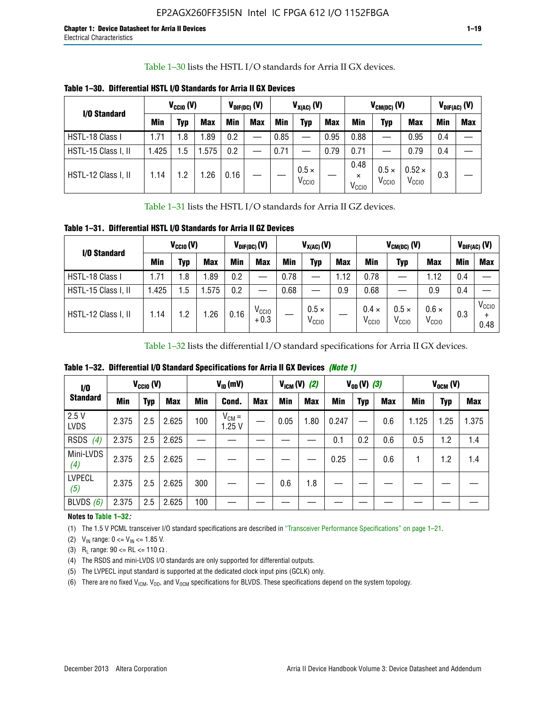Table 1–30 lists the HSTL I/O standards for Arria II GX devices.

| I/O Standard        |            | $V_{CGI0} (V)$ |            | $V_{\text{DIF(DC)}}$ (V) |            | $V_{X(AC)}(V)$ |                                   |            | $V_{CM(DC)}(V)$                       |                                |                                    | $V_{DIF(AC)}(V)$ |     |
|---------------------|------------|----------------|------------|--------------------------|------------|----------------|-----------------------------------|------------|---------------------------------------|--------------------------------|------------------------------------|------------------|-----|
|                     | <b>Min</b> | Typ            | <b>Max</b> | Min                      | <b>Max</b> | <b>Min</b>     | Typ                               | <b>Max</b> | Min                                   | Typ                            | <b>Max</b>                         | Min              | Max |
| HSTL-18 Class I     | 1.71       | 1.8            | .89        | 0.2                      |            | 0.85           |                                   | 0.95       | 0.88                                  | __                             | 0.95                               | 0.4              |     |
| HSTL-15 Class I, II | 1.425      | 1.5            | .575       | 0.2                      |            | 0.71           |                                   | 0.79       | 0.71                                  |                                | 0.79                               | 0.4              |     |
| HSTL-12 Class I, II | 1.14       | 1.2            | .26        | 0.16                     |            |                | $0.5 \times$<br>V <sub>CCIO</sub> |            | 0.48<br>$\times$<br>V <sub>CCIO</sub> | $0.5 \times$<br>$V_{\rm CCIO}$ | $0.52 \times$<br>V <sub>CCIO</sub> | 0.3              |     |

**Table 1–30. Differential HSTL I/O Standards for Arria II GX Devices**

Table 1–31 lists the HSTL I/O standards for Arria II GZ devices.

**Table 1–31. Differential HSTL I/O Standards for Arria II GZ Devices**

| I/O Standard        |       | $V_{\text{CCIO}}(V)$ |            |            | $V_{\text{DIF(DC)}}(V)$     | $V_{X(AC)}(V)$ |                                   |            | $V_{CM(DC)}$ (V)                  | $V_{DIF(AC)}$ (V)                 |                                   |     |                           |
|---------------------|-------|----------------------|------------|------------|-----------------------------|----------------|-----------------------------------|------------|-----------------------------------|-----------------------------------|-----------------------------------|-----|---------------------------|
|                     | Min   | Typ                  | <b>Max</b> | <b>Min</b> | <b>Max</b>                  | Min            | Typ                               | <b>Max</b> | <b>Min</b>                        | Typ                               | <b>Max</b>                        | Min | <b>Max</b>                |
| HSTL-18 Class I     | 71، ، | 1.8                  | .89        | 0.2        | —                           | 0.78           |                                   | 1.12       | 0.78                              |                                   | 1.12                              | 0.4 |                           |
| HSTL-15 Class I, II | .425  | $1.5\,$              | .575       | 0.2        | —                           | 0.68           |                                   | 0.9        | 0.68                              |                                   | 0.9                               | 0.4 |                           |
| HSTL-12 Class I, II | l.14  | 1.2                  | .26        | 0.16       | V <sub>CCIO</sub><br>$+0.3$ |                | $0.5 \times$<br>V <sub>CCIO</sub> |            | $0.4 \times$<br>V <sub>CCIO</sub> | $0.5 \times$<br>V <sub>CCIO</sub> | $0.6 \times$<br>V <sub>CCIO</sub> | 0.3 | V <sub>CCIO</sub><br>0.48 |

Table 1–32 lists the differential I/O standard specifications for Arria II GX devices.

**Table 1–32. Differential I/O Standard Specifications for Arria II GX Devices** *(Note 1)*

| 1/0                  |       | $V_{CGI0} (V)$ |            |     | $V_{ID}$ (mV)       |            | $V_{IGM} (V)$ (2) |            | $V_{OD} (V)$ (3) |            |            | $V_{OCM}$ (V) |      |            |
|----------------------|-------|----------------|------------|-----|---------------------|------------|-------------------|------------|------------------|------------|------------|---------------|------|------------|
| <b>Standard</b>      | Min   | Typ            | <b>Max</b> | Min | Cond.               | <b>Max</b> | Min               | <b>Max</b> | Min              | <b>Typ</b> | <b>Max</b> | Min           | Typ  | <b>Max</b> |
| 2.5V<br><b>LVDS</b>  | 2.375 | 2.5            | 2.625      | 100 | $V_{CM} =$<br>1.25V |            | 0.05              | 1.80       | 0.247            |            | 0.6        | 1.125         | 1.25 | 1.375      |
| <b>RSDS</b><br>(4)   | 2.375 | 2.5            | 2.625      |     |                     |            |                   |            | 0.1              | 0.2        | 0.6        | 0.5           | 1.2  | 1.4        |
| Mini-LVDS<br>(4)     | 2.375 | 2.5            | 2.625      |     |                     |            |                   |            | 0.25             |            | 0.6        |               | 1.2  | 1.4        |
| <b>LVPECL</b><br>(5) | 2.375 | 2.5            | 2.625      | 300 |                     |            | 0.6               | 1.8        |                  |            |            |               |      |            |
| BLVDS $(6)$          | 2.375 | 2.5            | 2.625      | 100 |                     |            |                   |            |                  |            |            |               |      |            |

### **Notes to Table 1–32***:*

(1) The 1.5 V PCML transceiver I/O standard specifications are described in "Transceiver Performance Specifications" on page 1–21.

(2)  $V_{IN}$  range:  $0 \le V_{IN} \le 1.85$  V.

(3) R<sub>L</sub> range:  $90 \leq R$ L  $\leq 110 \Omega$ .

- (4) The RSDS and mini-LVDS I/O standards are only supported for differential outputs.
- (5) The LVPECL input standard is supported at the dedicated clock input pins (GCLK) only.
- (6) There are no fixed  $V_{ICM}$ ,  $V_{OD}$ , and  $V_{OCM}$  specifications for BLVDS. These specifications depend on the system topology.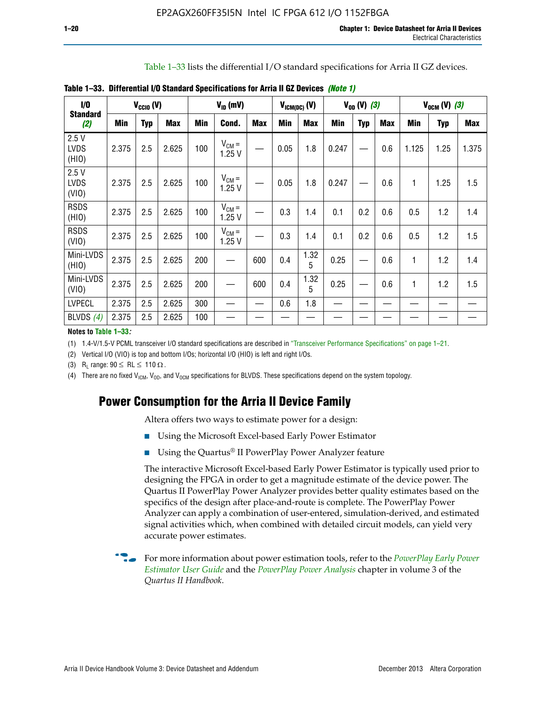Table 1–33 lists the differential I/O standard specifications for Arria II GZ devices.

| $\dot{v}$                    |            | $V_{CCl0} (V)$ |            |     | $V_{ID}$ (mV)       |            |            | $V_{ICM(DC)}$ (V) |            | $V_{OD} (V) (3)$ |            |            | $V_{OCM} (V) (3)$ |            |
|------------------------------|------------|----------------|------------|-----|---------------------|------------|------------|-------------------|------------|------------------|------------|------------|-------------------|------------|
| <b>Standard</b><br>(2)       | <b>Min</b> | <b>Typ</b>     | <b>Max</b> | Min | Cond.               | <b>Max</b> | <b>Min</b> | <b>Max</b>        | <b>Min</b> | <b>Typ</b>       | <b>Max</b> | <b>Min</b> | Typ               | <b>Max</b> |
| 2.5V<br><b>LVDS</b><br>(HIO) | 2.375      | 2.5            | 2.625      | 100 | $V_{CM} =$<br>1.25V |            | 0.05       | 1.8               | 0.247      |                  | 0.6        | 1.125      | 1.25              | 1.375      |
| 2.5V<br><b>LVDS</b><br>(VIO) | 2.375      | 2.5            | 2.625      | 100 | $V_{CM} =$<br>1.25V |            | 0.05       | 1.8               | 0.247      |                  | 0.6        | 1          | 1.25              | 1.5        |
| <b>RSDS</b><br>(HIO)         | 2.375      | 2.5            | 2.625      | 100 | $V_{CM} =$<br>1.25V |            | 0.3        | 1.4               | 0.1        | 0.2              | 0.6        | 0.5        | 1.2               | 1.4        |
| <b>RSDS</b><br>(VIO)         | 2.375      | 2.5            | 2.625      | 100 | $V_{CM} =$<br>1.25V |            | 0.3        | 1.4               | 0.1        | 0.2              | 0.6        | 0.5        | 1.2               | 1.5        |
| Mini-LVDS<br>(HIO)           | 2.375      | 2.5            | 2.625      | 200 | —                   | 600        | 0.4        | 1.32<br>5         | 0.25       |                  | 0.6        | 1          | 1.2               | 1.4        |
| Mini-LVDS<br>(VIO)           | 2.375      | 2.5            | 2.625      | 200 |                     | 600        | 0.4        | 1.32<br>5         | 0.25       |                  | 0.6        | 1          | 1.2               | 1.5        |
| <b>LVPECL</b>                | 2.375      | 2.5            | 2.625      | 300 |                     |            | 0.6        | 1.8               |            |                  |            |            |                   |            |
| BLVDS $(4)$                  | 2.375      | 2.5            | 2.625      | 100 |                     |            |            |                   |            |                  |            |            |                   |            |

**Table 1–33. Differential I/O Standard Specifications for Arria II GZ Devices** *(Note 1)*

#### **Notes to Table 1–33***:*

(1) 1.4-V/1.5-V PCML transceiver I/O standard specifications are described in "Transceiver Performance Specifications" on page 1–21.

(2) Vertical I/O (VIO) is top and bottom I/Os; horizontal I/O (HIO) is left and right I/Os.

(3) R<sub>l</sub> range:  $90 \leq R L \leq 110 \Omega$ .

(4) There are no fixed  $V_{ICM}$ ,  $V_{OD}$ , and  $V_{OCM}$  specifications for BLVDS. These specifications depend on the system topology.

# **Power Consumption for the Arria II Device Family**

Altera offers two ways to estimate power for a design:

- Using the Microsoft Excel-based Early Power Estimator
- Using the Quartus<sup>®</sup> II PowerPlay Power Analyzer feature

The interactive Microsoft Excel-based Early Power Estimator is typically used prior to designing the FPGA in order to get a magnitude estimate of the device power. The Quartus II PowerPlay Power Analyzer provides better quality estimates based on the specifics of the design after place-and-route is complete. The PowerPlay Power Analyzer can apply a combination of user-entered, simulation-derived, and estimated signal activities which, when combined with detailed circuit models, can yield very accurate power estimates.

f For more information about power estimation tools, refer to the *[PowerPlay Early Power](http://www.altera.com/literature/ug/ug_epe.pdf?GSA_pos=5&WT.oss_r=1&WT.oss=powerplay early power estimator)  [Estimator User Guide](http://www.altera.com/literature/ug/ug_epe.pdf?GSA_pos=5&WT.oss_r=1&WT.oss=powerplay early power estimator)* and the *[PowerPlay Power Analysis](http://www.altera.com/literature/hb/qts/qts_qii53013.pdf)* chapter in volume 3 of the *Quartus II Handbook*.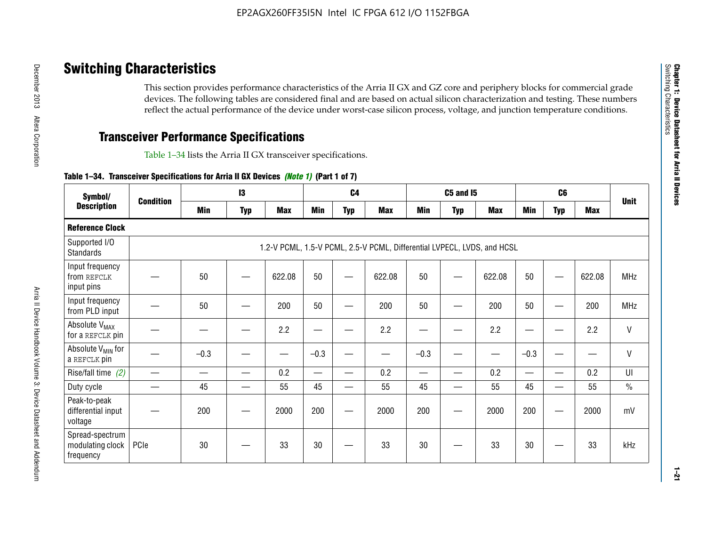# **Switching Characteristics**

This section provides performance characteristics of the Arria II GX and GZ core and periphery blocks for commercial grade devices. The following tables are considered final and are based on actual silicon characterization and testing. These numbers reflect the actual performance of the device under worst-case silicon process, voltage, and junction temperature conditions.

# **Transceiver Performance Specifications**

Table 1–34 lists the Arria II GX transceiver specifications.

### **Table 1–34. Transceiver Specifications for Arria II GX Devices** *(Note 1)* **(Part 1 of 7)**

| Symbol/                                          |                  |            | 13         |            |                          | C <sub>4</sub> |                                                                         |                          | <b>C5 and 15</b> |            |                                           | C <sub>6</sub>           |            |               |
|--------------------------------------------------|------------------|------------|------------|------------|--------------------------|----------------|-------------------------------------------------------------------------|--------------------------|------------------|------------|-------------------------------------------|--------------------------|------------|---------------|
| <b>Description</b>                               | <b>Condition</b> | <b>Min</b> | <b>Typ</b> | <b>Max</b> | <b>Min</b>               | <b>Typ</b>     | <b>Max</b>                                                              | <b>Min</b>               | <b>Typ</b>       | <b>Max</b> | <b>Min</b>                                | <b>Typ</b>               | <b>Max</b> | <b>Unit</b>   |
| <b>Reference Clock</b>                           |                  |            |            |            |                          |                |                                                                         |                          |                  |            |                                           |                          |            |               |
| Supported I/O<br><b>Standards</b>                |                  |            |            |            |                          |                | 1.2-V PCML, 1.5-V PCML, 2.5-V PCML, Differential LVPECL, LVDS, and HCSL |                          |                  |            |                                           |                          |            |               |
| Input frequency<br>from REFCLK<br>input pins     |                  | 50         |            | 622.08     | 50                       |                | 622.08                                                                  | 50                       |                  | 622.08     | 50                                        |                          | 622.08     | <b>MHz</b>    |
| Input frequency<br>from PLD input                |                  | 50         |            | 200        | 50                       |                | 200                                                                     | 50                       |                  | 200        | 50                                        |                          | 200        | <b>MHz</b>    |
| Absolute V <sub>MAX</sub><br>for a REFCLK pin    |                  |            |            | 2.2        | –                        |                | 2.2                                                                     | ٠                        | —                | 2.2        | —                                         |                          | 2.2        | $\mathsf{V}$  |
| Absolute V <sub>MIN</sub> for<br>a REFCLK pin    |                  | $-0.3$     |            |            | $-0.3$                   |                |                                                                         | $-0.3$                   |                  |            | $-0.3$                                    |                          | —<br>——    | $\mathsf{V}$  |
| Rise/fall time (2)                               |                  |            |            | 0.2        | $\overline{\phantom{0}}$ |                | 0.2                                                                     | $\overline{\phantom{0}}$ |                  | 0.2        | $\qquad \qquad \overline{\qquad \qquad }$ |                          | 0.2        | UI            |
| Duty cycle                                       |                  | 45         |            | 55         | 45                       | —              | 55                                                                      | 45                       | —                | 55         | 45                                        |                          | 55         | $\frac{0}{0}$ |
| Peak-to-peak<br>differential input<br>voltage    |                  | 200        |            | 2000       | 200                      | __             | 2000                                                                    | 200                      | —                | 2000       | 200                                       | $\overline{\phantom{0}}$ | 2000       | mV            |
| Spread-spectrum<br>modulating clock<br>frequency | PCIe             | 30         |            | 33         | 30                       |                | 33                                                                      | 30                       |                  | 33         | 30                                        |                          | 33         | kHz           |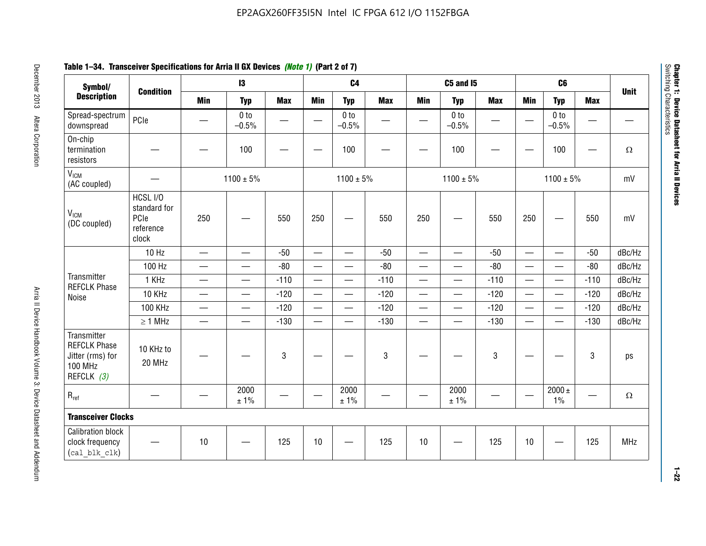# **Table 1–34. Transceiver Specifications for Arria II GX Devices** *(Note 1)* **(Part 2 of 7)**

| Symbol/                                                                                |                                                        |                               | $\mathbf{13}$              |                          |                          | C <sub>4</sub>             |            |                          | C5 and I5                         |            |                          | C <sub>6</sub>             |            |             |
|----------------------------------------------------------------------------------------|--------------------------------------------------------|-------------------------------|----------------------------|--------------------------|--------------------------|----------------------------|------------|--------------------------|-----------------------------------|------------|--------------------------|----------------------------|------------|-------------|
| <b>Description</b>                                                                     | <b>Condition</b>                                       | <b>Min</b>                    | <b>Typ</b>                 | <b>Max</b>               | <b>Min</b>               | <b>Typ</b>                 | <b>Max</b> | <b>Min</b>               | <b>Typ</b>                        | <b>Max</b> | <b>Min</b>               | <b>Typ</b>                 | <b>Max</b> | <b>Unit</b> |
| Spread-spectrum<br>downspread                                                          | PCIe                                                   |                               | 0 <sub>to</sub><br>$-0.5%$ | $\overline{\phantom{0}}$ |                          | 0 <sub>to</sub><br>$-0.5%$ |            |                          | 0 <sub>to</sub><br>$-0.5%$        |            |                          | 0 <sub>to</sub><br>$-0.5%$ |            |             |
| On-chip<br>termination<br>resistors                                                    |                                                        |                               | 100                        | —                        |                          | 100                        |            |                          | 100                               |            |                          | 100                        | —          | $\Omega$    |
| V <sub>ICM</sub><br>(AC coupled)                                                       |                                                        |                               | $1100 \pm 5\%$             |                          |                          | $1100 \pm 5\%$             |            |                          | $1100 \pm 5\%$                    |            |                          | $1100 \pm 5\%$             |            | mV          |
| V <sub>ICM</sub><br>(DC coupled)                                                       | HCSL I/O<br>standard for<br>PCIe<br>reference<br>clock | 250                           |                            | 550                      | 250                      | $\hspace{0.05cm}$          | 550        | 250                      | —                                 | 550        | 250                      | —                          | 550        | mV          |
|                                                                                        | 10 Hz                                                  | $\overline{\phantom{0}}$      | $\overline{\phantom{0}}$   | $-50$                    | $\equiv$                 |                            | $-50$      | $\qquad \qquad$          | $\equiv$                          | $-50$      | $\overline{\phantom{0}}$ |                            | $-50$      | dBc/Hz      |
|                                                                                        | 100 Hz                                                 | $\overline{\phantom{0}}$      | $\overline{\phantom{0}}$   | $-80$                    | $\overline{\phantom{0}}$ | $\overline{\phantom{0}}$   | $-80$      | $\overline{\phantom{0}}$ |                                   | $-80$      | $\overline{\phantom{0}}$ | $\overline{\phantom{0}}$   | $-80$      | dBc/Hz      |
| Transmitter<br><b>REFCLK Phase</b>                                                     | 1 KHz                                                  | —                             | $\overline{\phantom{0}}$   | $-110$                   |                          | $\hspace{0.05cm}$          | $-110$     | $\overline{\phantom{0}}$ | $\qquad \qquad \qquad$            | $-110$     |                          | $\overline{\phantom{0}}$   | $-110$     | dBc/Hz      |
| Noise                                                                                  | 10 KHz                                                 | $\overbrace{\phantom{aaaaa}}$ | $\overline{\phantom{0}}$   | $-120$                   | $\overline{\phantom{m}}$ | $\overline{\phantom{0}}$   | $-120$     | $\overline{\phantom{0}}$ | $\overbrace{\phantom{123221111}}$ | $-120$     |                          |                            | $-120$     | dBc/Hz      |
|                                                                                        | <b>100 KHz</b>                                         | $\overline{\phantom{0}}$      | $\equiv$                   | $-120$                   |                          | $\equiv$                   | $-120$     | $\overline{\phantom{0}}$ | $\overline{\phantom{0}}$          | $-120$     | $\equiv$                 | $\overline{\phantom{0}}$   | $-120$     | dBc/Hz      |
|                                                                                        | $\geq 1$ MHz                                           | $\overline{\phantom{0}}$      | $\overline{\phantom{0}}$   | $-130$                   |                          | $\overline{\phantom{m}}$   | $-130$     | $\overline{\phantom{0}}$ | $\qquad \qquad$                   | $-130$     | $\overline{\phantom{0}}$ | $\equiv$                   | $-130$     | dBc/Hz      |
| Transmitter<br><b>REFCLK Phase</b><br>Jitter (rms) for<br><b>100 MHz</b><br>REFCLK (3) | 10 KHz to<br>20 MHz                                    |                               |                            | $\mathbf 3$              |                          |                            | 3          |                          |                                   | 3          |                          |                            | 3          | ps          |
| $R_{ref}$                                                                              |                                                        |                               | 2000<br>± 1%               |                          | $\hspace{0.05cm}$        | 2000<br>± 1%               |            |                          | 2000<br>± 1%                      |            |                          | $2000 \pm$<br>$1\%$        |            | $\Omega$    |
| <b>Transceiver Clocks</b>                                                              |                                                        |                               |                            |                          |                          |                            |            |                          |                                   |            |                          |                            |            |             |
| <b>Calibration block</b><br>clock frequency<br>(cal blk clk)                           |                                                        | 10                            |                            | 125                      | 10                       |                            | 125        | 10                       |                                   | 125        | 10                       |                            | 125        | MHz         |

December 2013 Altera Corporation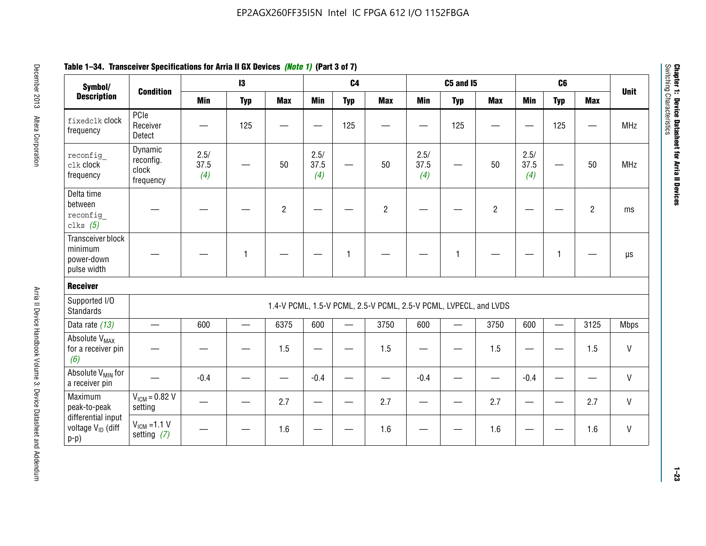| Symbol/                                                       |                                            |                     | $\mathbf{13}$            |                |                     | C <sub>4</sub>  |                                                                  |                     | <b>C5 and 15</b>         |                |                     | C6         |                |              |
|---------------------------------------------------------------|--------------------------------------------|---------------------|--------------------------|----------------|---------------------|-----------------|------------------------------------------------------------------|---------------------|--------------------------|----------------|---------------------|------------|----------------|--------------|
| <b>Description</b>                                            | <b>Condition</b>                           | <b>Min</b>          | <b>Typ</b>               | <b>Max</b>     | <b>Min</b>          | <b>Typ</b>      | <b>Max</b>                                                       | <b>Min</b>          | <b>Typ</b>               | <b>Max</b>     | <b>Min</b>          | <b>Typ</b> | <b>Max</b>     | <b>Unit</b>  |
| fixedclk Clock<br>frequency                                   | PCIe<br>Receiver<br>Detect                 |                     | 125                      |                |                     | 125             |                                                                  |                     | 125                      |                |                     | 125        |                | <b>MHz</b>   |
| reconfig<br>$c$ lk clock<br>frequency                         | Dynamic<br>reconfig.<br>clock<br>frequency | 2.5/<br>37.5<br>(4) |                          | 50             | 2.5/<br>37.5<br>(4) |                 | 50                                                               | 2.5/<br>37.5<br>(4) | $\overline{\phantom{0}}$ | 50             | 2.5/<br>37.5<br>(4) |            | 50             | <b>MHz</b>   |
| Delta time<br>between<br>reconfig<br>clks $(5)$               |                                            |                     |                          | $\overline{c}$ |                     |                 | $\overline{c}$                                                   |                     |                          | $\overline{c}$ |                     |            | $\overline{2}$ | ms           |
| Transceiver block<br>minimum<br>power-down<br>pulse width     |                                            |                     | 1                        |                |                     | $\mathbf 1$     |                                                                  |                     | $\overline{1}$           |                |                     | 1          |                | $\mu s$      |
| <b>Receiver</b>                                               |                                            |                     |                          |                |                     |                 |                                                                  |                     |                          |                |                     |            |                |              |
| Supported I/O<br><b>Standards</b>                             |                                            |                     |                          |                |                     |                 | 1.4-V PCML, 1.5-V PCML, 2.5-V PCML, 2.5-V PCML, LVPECL, and LVDS |                     |                          |                |                     |            |                |              |
| Data rate (13)                                                | $\equiv$                                   | 600                 | $\overline{\phantom{0}}$ | 6375           | 600                 | $\qquad \qquad$ | 3750                                                             | 600                 | $\overline{\phantom{0}}$ | 3750           | 600                 |            | 3125           | <b>Mbps</b>  |
| Absolute V <sub>MAX</sub><br>for a receiver pin<br>(6)        |                                            |                     |                          | 1.5            |                     |                 | 1.5                                                              |                     |                          | 1.5            |                     |            | 1.5            | V            |
| Absolute V <sub>MIN</sub> for<br>a receiver pin               |                                            | $-0.4$              |                          |                | $-0.4$              |                 |                                                                  | $-0.4$              |                          |                | $-0.4$              |            |                | V            |
| Maximum<br>peak-to-peak                                       | $V_{IGM} = 0.82 V$<br>setting              |                     |                          | 2.7            | —                   |                 | 2.7                                                              |                     |                          | 2.7            |                     |            | 2.7            | V            |
| differential input<br>voltage V <sub>ID</sub> (diff<br>$p-p)$ | $V_{ICM}$ =1.1 V<br>setting $(7)$          |                     |                          | 1.6            |                     |                 | 1.6                                                              |                     |                          | 1.6            |                     |            | 1.6            | $\mathsf{V}$ |

**Chapter 1: Device Datasheet for Arria II Devices**

Chapter 1: Device Datasheet for Arria II Devices<br>Switching Characteristics

Switching Characteristics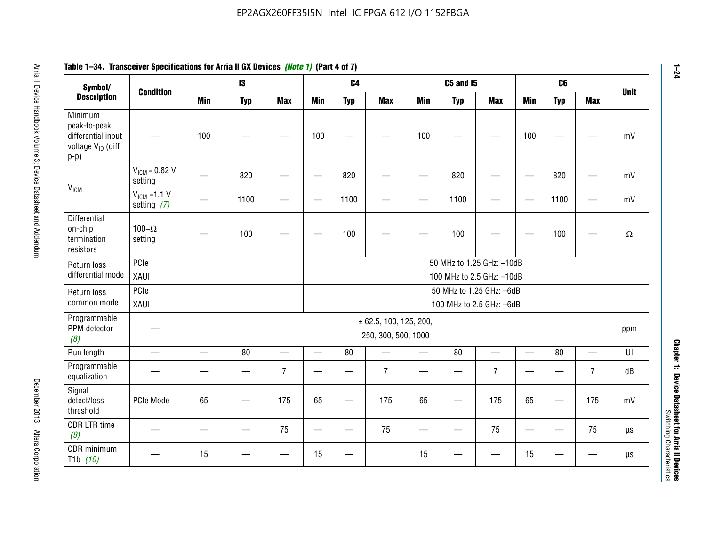#### **Arris 2: Device Handbook Volume 3: Device Datasheet Addents Device Datasheet Addents December 2013 Altera Corporation Minimum peaks-to-peak differential input voltage Video Minimum peaks-to-peak diff particular and the V<sub>ICM</sub>**  $V_{ICM} = 0.82 V$ setting | 一 | 820 | 一 | ― | 820 | 一 | ― | 820 | ― | ― | 820 | ― | mV  $V_{ICM}$  =1.1 V setting *(7)* | - | 1100 | - | - | 1100 | - | - | 1100 | - | - | 1100 | - | mV **Differential** on-chip termination resistors100– $\Omega$ setting | — | 100 | — | — | 100 | — | — | 100 | — | — | 100 | —  $\Omega$ Return loss differential mode PCIee | | | | 50 MHz to 1.25 GHz: –10dB XAUI 100 MHz to 2.5 GHz: –10dB Return loss common modePCIe 50 MHz to 1.25 GHz: –6dBXAUI 100 MHz to 2.5 GHz: –6dB Programmable PPM detector *(8)* ± 62.5, 100, 125, 200, 250, 300, 500, 1000 ppm Run length | ― | ― | 80 | ― | 80 | ― | 80 | ― | UI Programmable -rogrammasic | — | — | — | 7 |— | – | 7 |— | – | 7 |— | – | 7 | dB<br>equalization | — | — | — | 7 |— | 7 | — | 7 | — | 7 | — | 7 | dB Signal detect/loss thresholdPCIe Mode | 65 | — | 175 | 65 | — | 175 | 65 | — | 175 | 65 | — | 175 | mV CDR LTR time *(9)* – | – | – | <sup>75</sup> | – | <sup>75</sup> | – | <sup>75</sup> | – | <sup>75</sup> | – | <sup>75</sup> | – | <sup>75</sup> | <sup>18</sup> CDR minimum T1b *(10)* — <sup>15</sup> — — <sup>15</sup> — <sup>15</sup> — — <sup>15</sup> — — µs **Symbol/ Description Condition I3 C4 C5 and I5 C6UnitMin Typ Max Min Typ Max Min Typ Max Min Typ Max**

# **Table 1–34. Transceiver Specifications for Arria II GX Devices** *(Note 1)* **(Part 4 of 7)**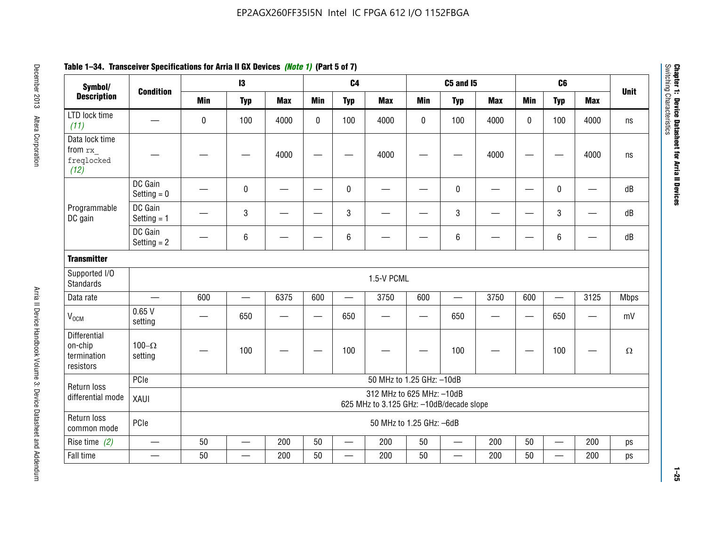| Symbol/                                             |                          |                                                                       | $\mathbf{13}$ |            |                          | C <sub>4</sub>           |                           |             | <b>C5 and 15</b> |            |             | C <sub>6</sub>           |            |             |
|-----------------------------------------------------|--------------------------|-----------------------------------------------------------------------|---------------|------------|--------------------------|--------------------------|---------------------------|-------------|------------------|------------|-------------|--------------------------|------------|-------------|
| <b>Description</b>                                  | <b>Condition</b>         | <b>Min</b>                                                            | <b>Typ</b>    | <b>Max</b> | <b>Min</b>               | <b>Typ</b>               | <b>Max</b>                | <b>Min</b>  | <b>Typ</b>       | <b>Max</b> | <b>Min</b>  | <b>Typ</b>               | <b>Max</b> | <b>Unit</b> |
| LTD lock time<br>(11)                               |                          | 0                                                                     | 100           | 4000       | $\mathbf 0$              | 100                      | 4000                      | $\mathbf 0$ | 100              | 4000       | $\mathbf 0$ | 100                      | 4000       | ns          |
| Data lock time<br>from rx<br>freqlocked<br>(12)     |                          |                                                                       |               | 4000       |                          |                          | 4000                      |             |                  | 4000       |             |                          | 4000       | ns          |
|                                                     | DC Gain<br>Setting $= 0$ |                                                                       | $\mathbf 0$   |            |                          | $\mathbf 0$              |                           |             | 0                |            |             | $\mathbf 0$              | —          | dB          |
| Programmable<br>DC gain                             | DC Gain<br>Setting $= 1$ |                                                                       | 3             |            |                          | $\mathbf{3}$             |                           |             | 3                |            |             | $\sqrt{3}$               |            | dB          |
|                                                     | DC Gain<br>Setting $= 2$ |                                                                       | 6             |            |                          | $\,6\,$                  |                           |             | 6                |            |             | 6                        |            | dB          |
| <b>Transmitter</b>                                  |                          |                                                                       |               |            |                          |                          |                           |             |                  |            |             |                          |            |             |
| Supported I/O<br><b>Standards</b>                   |                          |                                                                       |               |            |                          |                          | 1.5-V PCML                |             |                  |            |             |                          |            |             |
| Data rate                                           | $\qquad \qquad$          | 600                                                                   |               | 6375       | 600                      | $\overline{\phantom{m}}$ | 3750                      | 600         |                  | 3750       | 600         | $\qquad \qquad$          | 3125       | <b>Mbps</b> |
| $V_{OCM}$                                           | 0.65V<br>setting         |                                                                       | 650           |            | $\overline{\phantom{0}}$ | 650                      |                           | —           | 650              |            | —           | 650                      |            | mV          |
| Differential<br>on-chip<br>termination<br>resistors | 100 $-\Omega$<br>setting |                                                                       | 100           |            |                          | 100                      |                           |             | 100              |            |             | 100                      |            | $\Omega$    |
| Return loss                                         | PCIe                     |                                                                       |               |            |                          |                          | 50 MHz to 1.25 GHz: -10dB |             |                  |            |             |                          |            |             |
| differential mode                                   | XAUI                     | 312 MHz to 625 MHz: -10dB<br>625 MHz to 3.125 GHz: -10dB/decade slope |               |            |                          |                          |                           |             |                  |            |             |                          |            |             |
| Return loss<br>common mode                          | PCIe                     |                                                                       |               |            |                          |                          | 50 MHz to 1.25 GHz: -6dB  |             |                  |            |             |                          |            |             |
| Rise time $(2)$                                     | $\overline{\phantom{0}}$ | 50                                                                    |               | 200        | 50                       |                          | 200                       | 50          | <u>—</u>         | 200        | 50          | $\overline{\phantom{0}}$ | 200        | ps          |
| Fall time                                           |                          | 50                                                                    |               | 200        | 50                       | $\overline{\phantom{0}}$ | 200                       | 50          | $\qquad \qquad$  | 200        | 50          | $\qquad \qquad$          | 200        | ps          |

# **Table 1–34. Transceiver Specifications for Arria II GX Devices** *(Note 1)* **(Part 5 of 7)**

**1–25**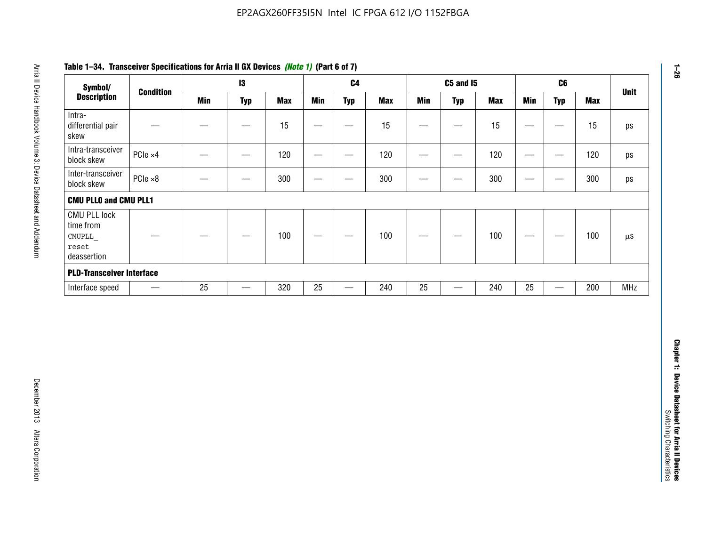| Symbol/                                                            |                          |            | $\mathbf{I}3$     |            |                 | C <sub>4</sub>                   |            |                                | <b>C5 and 15</b>         |            |                                  | C6                                |            | <b>Unit</b>   |
|--------------------------------------------------------------------|--------------------------|------------|-------------------|------------|-----------------|----------------------------------|------------|--------------------------------|--------------------------|------------|----------------------------------|-----------------------------------|------------|---------------|
| <b>Description</b>                                                 | <b>Condition</b>         | <b>Min</b> | <b>Typ</b>        | <b>Max</b> | <b>Min</b>      | <b>Typ</b>                       | <b>Max</b> | <b>Min</b>                     | <b>Typ</b>               | <b>Max</b> | <b>Min</b>                       | <b>Typ</b>                        | <b>Max</b> |               |
| Intra-<br>differential pair<br>skew                                |                          |            | $\qquad \qquad$   | 15         |                 | —                                | 15         | $\overline{\phantom{0}}$       | $\qquad \qquad$          | 15         | —                                | $\overbrace{\phantom{123221111}}$ | 15         | ps            |
| Intra-transceiver<br>block skew                                    | PCle ×4                  |            |                   | 120        | $\qquad \qquad$ | $\hspace{0.05cm}$                | 120        | $\qquad \qquad \longleftarrow$ |                          | 120        | $\overline{\phantom{m}}$         | $\hspace{0.05cm}$                 | 120        | ps            |
| Inter-transceiver<br>block skew                                    | PCle ×8                  |            | -                 | 300        | —               | -                                | 300        | -                              | —                        | 300        | $\overline{\phantom{0}}$         | —                                 | 300        | ps            |
| <b>CMU PLLO and CMU PLL1</b>                                       |                          |            |                   |            |                 |                                  |            |                                |                          |            |                                  |                                   |            |               |
| <b>CMU PLL lock</b><br>time from<br>CMUPLL<br>reset<br>deassertion |                          |            |                   | 100        |                 |                                  | 100        |                                |                          | 100        | $\overbrace{\phantom{12322111}}$ | —                                 | 100        | $\mu\text{S}$ |
| <b>PLD-Transceiver Interface</b>                                   |                          |            |                   |            |                 |                                  |            |                                |                          |            |                                  |                                   |            |               |
| Interface speed                                                    | $\overline{\phantom{m}}$ | 25         | $\qquad \qquad -$ | 320        | $25\,$          | $\overbrace{\phantom{12322111}}$ | 240        | 25                             | $\overline{\phantom{0}}$ | 240        | 25                               | $\overbrace{\phantom{12322111}}$  | 200        | MHz           |
|                                                                    |                          |            |                   |            |                 |                                  |            |                                |                          |            |                                  |                                   |            |               |
|                                                                    |                          |            |                   |            |                 |                                  |            |                                |                          |            |                                  |                                   |            |               |
|                                                                    |                          |            |                   |            |                 |                                  |            |                                |                          |            |                                  |                                   |            |               |

# **Table 1–34. Transceiver Specifications for Arria II GX Devices** *(Note 1)* **(Part 6 of 7)**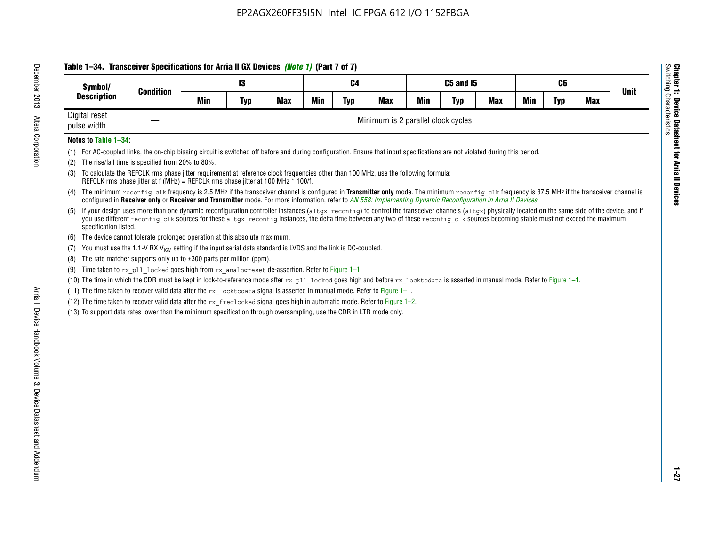# **Table 1–34. Transceiver Specifications for Arria II GX Devices** *(Note 1)* **(Part 7 of 7)**

| Symbol/<br><b>Condition</b>  |  |     | 13         |            |            | C4         |                                    | C5 and I5  |            |            |     | C <sub>6</sub> |            | <b>Unit</b> |
|------------------------------|--|-----|------------|------------|------------|------------|------------------------------------|------------|------------|------------|-----|----------------|------------|-------------|
| <b>Description</b>           |  | Min | <b>Typ</b> | <b>Max</b> | <b>Min</b> | <b>Typ</b> | <b>Max</b>                         | <b>Min</b> | <b>Typ</b> | <b>Max</b> | Min | <b>Typ</b>     | <b>Max</b> |             |
| Digital reset<br>pulse width |  |     |            |            |            |            | Minimum is 2 parallel clock cycles |            |            |            |     |                |            |             |

### **Notes to Table 1–34:**

- (1) For AC-coupled links, the on-chip biasing circuit is switched off before and during configuration. Ensure that input specifications are not violated during this period.
- (2) The rise/fall time is specified from 20% to 80%.
- (3) To calculate the REFCLK rms phase jitter requirement at reference clock frequencies other than 100 MHz, use the following formula: REFCLK rms phase jitter at f (MHz) = REFCLK rms phase jitter at 100 MHz \* 100/f.
- (4) The minimum reconfig clk frequency is 2.5 MHz if the transceiver channel is configured in **Transmitter only** mode. The minimum reconfig clk frequency is 37.5 MHz if the transceiver channel is configured in **Receiver only** or **Receiver and Transmitter** mode. For more information, refer to *AN [558: Implementing Dynamic Reconfiguration in Arria II Devices](www.altera.com/literature/hb/arria-ii-gx/an558.pdf)*.
- (5) If your design uses more than one dynamic reconfiguration controller instances (altgx reconfig) to control the transceiver channels (altgx) physically located on the same side of the device, and if you use different reconfig clk sources for these altgx reconfig instances, the delta time between any two of these reconfig clk sources becoming stable must not exceed the maximum specification listed.
- (6) The device cannot tolerate prolonged operation at this absolute maximum.
- (7) You must use the 1.1-V RX  $V_{ICM}$  setting if the input serial data standard is LVDS and the link is DC-coupled.
- (8) The rate matcher supports only up to  $\pm 300$  parts per million (ppm).
- (9) Time taken to rx\_pll\_locked goes high from rx\_analogreset de-assertion. Refer to Figure 1–1.
- (10) The time in which the CDR must be kept in lock-to-reference mode after  $rx$  pll locked goes high and before  $rx$  locktodata is asserted in manual mode. Refer to Figure 1–1.
- (11) The time taken to recover valid data after the  $rx$  locktodata signal is asserted in manual mode. Refer to Figure 1–1.
- (12) The time taken to recover valid data after the  $rx$  freqlocked signal goes high in automatic mode. Refer to Figure 1–2.
- (13) To support data rates lower than the minimum specification through oversampling, use the CDR in LTR mode only.

**Chapter 1: Device Datasheet for Arria II Devices**

**Device Datasheet for Arria II Devices** 

Switching Characteristics

Chapter 1: Device Datas<br>Switching Characteristics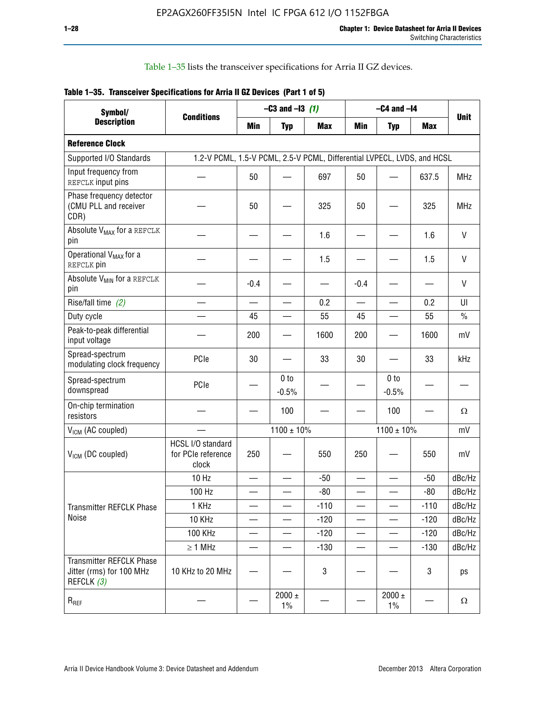Table 1–35 lists the transceiver specifications for Arria II GZ devices.

|  | Table 1-35. Transceiver Specifications for Arria II GZ Devices (Part 1 of 5) |  |
|--|------------------------------------------------------------------------------|--|
|  |                                                                              |  |

| Symbol/                                                                   |                                                                         |        | $-C3$ and $-13$ (1)        |            |                          | $-C4$ and $-I4$            |            |              |
|---------------------------------------------------------------------------|-------------------------------------------------------------------------|--------|----------------------------|------------|--------------------------|----------------------------|------------|--------------|
| <b>Description</b>                                                        | <b>Conditions</b>                                                       | Min    | <b>Typ</b>                 | <b>Max</b> | Min                      | <b>Typ</b>                 | <b>Max</b> | <b>Unit</b>  |
| <b>Reference Clock</b>                                                    |                                                                         |        |                            |            |                          |                            |            |              |
| Supported I/O Standards                                                   | 1.2-V PCML, 1.5-V PCML, 2.5-V PCML, Differential LVPECL, LVDS, and HCSL |        |                            |            |                          |                            |            |              |
| Input frequency from<br>REFCLK input pins                                 |                                                                         | 50     |                            | 697        | 50                       |                            | 637.5      | <b>MHz</b>   |
| Phase frequency detector<br>(CMU PLL and receiver<br>CDR)                 |                                                                         | 50     |                            | 325        | 50                       |                            | 325        | <b>MHz</b>   |
| Absolute V <sub>MAX</sub> for a REFCLK<br>pin                             |                                                                         |        |                            | 1.6        |                          |                            | 1.6        | $\mathsf{V}$ |
| Operational V <sub>MAX</sub> for a<br>REFCLK pin                          |                                                                         |        |                            | 1.5        |                          |                            | 1.5        | $\mathsf{V}$ |
| Absolute V <sub>MIN</sub> for a REFCLK<br>pin                             |                                                                         | $-0.4$ |                            |            | $-0.4$                   |                            |            | V            |
| Rise/fall time (2)                                                        |                                                                         |        |                            | 0.2        | $\overline{\phantom{0}}$ |                            | 0.2        | UI           |
| Duty cycle                                                                |                                                                         | 45     |                            | 55         | 45                       |                            | 55         | $\%$         |
| Peak-to-peak differential<br>input voltage                                |                                                                         | 200    |                            | 1600       | 200                      |                            | 1600       | mV           |
| Spread-spectrum<br>modulating clock frequency                             | PCIe                                                                    | 30     |                            | 33         | 30                       |                            | 33         | kHz          |
| Spread-spectrum<br>downspread                                             | PCIe                                                                    |        | 0 <sub>to</sub><br>$-0.5%$ |            |                          | 0 <sub>to</sub><br>$-0.5%$ |            |              |
| On-chip termination<br>resistors                                          |                                                                         |        | 100                        |            |                          | 100                        |            | Ω            |
| $V_{IGM}$ (AC coupled)                                                    |                                                                         |        | $1100 \pm 10\%$            |            |                          | $1100 \pm 10\%$            |            | mV           |
| V <sub>ICM</sub> (DC coupled)                                             | HCSL I/O standard<br>for PCIe reference<br>clock                        | 250    |                            | 550        | 250                      |                            | 550        | mV           |
|                                                                           | 10 Hz                                                                   |        |                            | $-50$      |                          |                            | $-50$      | dBc/Hz       |
|                                                                           | 100 Hz                                                                  |        |                            | $-80$      |                          |                            | $-80$      | dBc/Hz       |
| Transmitter REFCLK Phase                                                  | 1 KHz                                                                   |        |                            | $-110$     |                          |                            | $-110$     | dBc/Hz       |
| Noise                                                                     | 10 KHz                                                                  |        |                            | $-120$     |                          |                            | $-120$     | dBc/Hz       |
|                                                                           | <b>100 KHz</b>                                                          |        |                            | $-120$     | $\overline{\phantom{0}}$ | —                          | $-120$     | dBc/Hz       |
|                                                                           | $\geq 1$ MHz                                                            |        |                            | $-130$     |                          |                            | $-130$     | dBc/Hz       |
| <b>Transmitter REFCLK Phase</b><br>Jitter (rms) for 100 MHz<br>REFCLK (3) | 10 KHz to 20 MHz                                                        |        |                            | 3          |                          |                            | 3          | ps           |
| $R_{REF}$                                                                 |                                                                         |        | $2000 \pm$<br>$1\%$        |            |                          | 2000 $\pm$<br>$1\%$        |            | Ω            |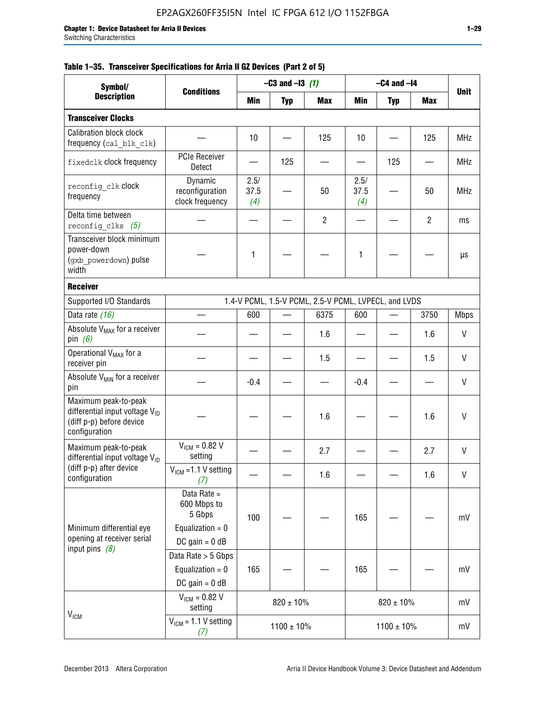|  |  | Table 1–35. Transceiver Specifications for Arria II GZ Devices (Part 2 of 5) |  |  |  |
|--|--|------------------------------------------------------------------------------|--|--|--|
|--|--|------------------------------------------------------------------------------|--|--|--|

| Symbol/                                                                                                         |                                                                                |                     | $-C3$ and $-13$ (1) |                                                      |                     | $-C4$ and $-I4$ |                |              |
|-----------------------------------------------------------------------------------------------------------------|--------------------------------------------------------------------------------|---------------------|---------------------|------------------------------------------------------|---------------------|-----------------|----------------|--------------|
| <b>Description</b>                                                                                              | <b>Conditions</b>                                                              | Min                 | <b>Typ</b>          | <b>Max</b>                                           | Min                 | <b>Typ</b>      | Max            | <b>Unit</b>  |
| <b>Transceiver Clocks</b>                                                                                       |                                                                                |                     |                     |                                                      |                     |                 |                |              |
| Calibration block clock<br>frequency (cal blk clk)                                                              |                                                                                | 10                  |                     | 125                                                  | 10                  |                 | 125            | <b>MHz</b>   |
| fixedclk clock frequency                                                                                        | <b>PCIe Receiver</b><br>Detect                                                 |                     | 125                 |                                                      |                     | 125             |                | <b>MHz</b>   |
| reconfig clk Clock<br>frequency                                                                                 | Dynamic<br>reconfiguration<br>clock frequency                                  | 2.5/<br>37.5<br>(4) |                     | 50                                                   | 2.5/<br>37.5<br>(4) |                 | 50             | <b>MHz</b>   |
| Delta time between<br>reconfig clks $(5)$                                                                       |                                                                                |                     |                     | $\overline{2}$                                       |                     |                 | $\overline{2}$ | ms           |
| Transceiver block minimum<br>power-down<br>(gxb_powerdown) pulse<br>width                                       |                                                                                | 1                   |                     |                                                      | 1                   |                 |                | μs           |
| <b>Receiver</b>                                                                                                 |                                                                                |                     |                     |                                                      |                     |                 |                |              |
| Supported I/O Standards                                                                                         |                                                                                |                     |                     | 1.4-V PCML, 1.5-V PCML, 2.5-V PCML, LVPECL, and LVDS |                     |                 |                |              |
| Data rate (16)                                                                                                  |                                                                                | 600                 |                     | 6375                                                 | 600                 |                 | 3750           | <b>Mbps</b>  |
| Absolute V <sub>MAX</sub> for a receiver<br>pin $(6)$                                                           |                                                                                |                     |                     | 1.6                                                  |                     |                 | 1.6            | V            |
| Operational V <sub>MAX</sub> for a<br>receiver pin                                                              |                                                                                |                     |                     | 1.5                                                  |                     |                 | 1.5            | $\mathsf{V}$ |
| Absolute V <sub>MIN</sub> for a receiver<br>pin                                                                 |                                                                                | $-0.4$              |                     |                                                      | $-0.4$              |                 |                | V            |
| Maximum peak-to-peak<br>differential input voltage V <sub>ID</sub><br>(diff p-p) before device<br>configuration |                                                                                |                     |                     | 1.6                                                  |                     |                 | 1.6            | $\mathsf{V}$ |
| Maximum peak-to-peak<br>differential input voltage $V_{\text{ID}}$                                              | $V_{IGM} = 0.82 V$<br>setting                                                  |                     |                     | 2.7                                                  |                     |                 | 2.7            | V            |
| (diff p-p) after device<br>configuration                                                                        | $VICM = 1.1 V setting$<br>(7)                                                  |                     |                     | 1.6                                                  |                     |                 | 1.6            | V            |
| Minimum differential eye<br>opening at receiver serial                                                          | Data Rate =<br>600 Mbps to<br>5 Gbps<br>Equalization = $0$<br>DC gain = $0$ dB | 100                 |                     |                                                      | 165                 |                 |                | mV           |
| input pins $(8)$                                                                                                | Data Rate > 5 Gbps<br>Equalization = $0$<br>DC gain = $0$ dB                   | 165                 |                     |                                                      | 165                 |                 |                | mV           |
| $V_{IGM}$                                                                                                       | $V_{IGM} = 0.82 V$<br>setting                                                  |                     | $820 \pm 10\%$      |                                                      |                     | $820 \pm 10\%$  |                | mV           |
|                                                                                                                 | $VICM = 1.1 V setting$<br>(7)                                                  |                     | $1100 \pm 10\%$     |                                                      |                     | $1100 \pm 10\%$ |                | mV           |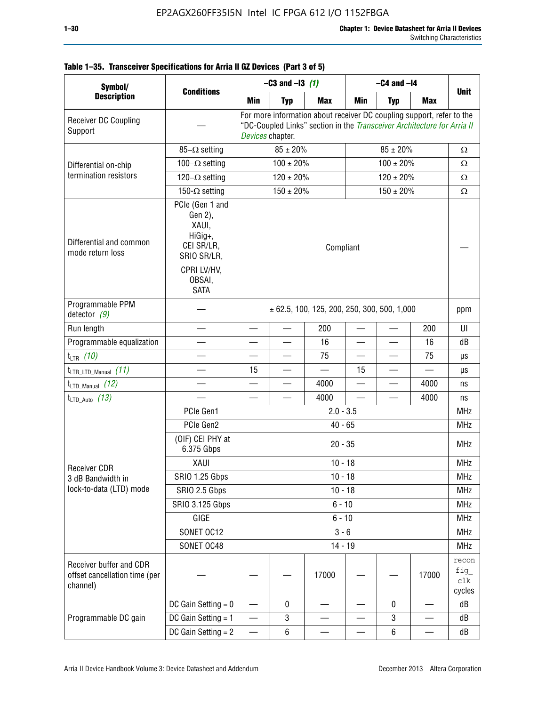٦

| Symbol/                                                              |                                                                             | $-C3$ and $-13$ (1)                                                                                                                                                  |                          |            | $-C4$ and $-I4$          |                          |            |                               |  |
|----------------------------------------------------------------------|-----------------------------------------------------------------------------|----------------------------------------------------------------------------------------------------------------------------------------------------------------------|--------------------------|------------|--------------------------|--------------------------|------------|-------------------------------|--|
| <b>Description</b>                                                   | <b>Conditions</b>                                                           | <b>Min</b>                                                                                                                                                           | <b>Typ</b>               | <b>Max</b> | Min                      | <b>Typ</b>               | <b>Max</b> | <b>Unit</b>                   |  |
| Receiver DC Coupling<br>Support                                      |                                                                             | For more information about receiver DC coupling support, refer to the<br>"DC-Coupled Links" section in the Transceiver Architecture for Arria II<br>Devices chapter. |                          |            |                          |                          |            |                               |  |
|                                                                      | $85-\Omega$ setting                                                         |                                                                                                                                                                      | $85 \pm 20\%$            |            |                          | $\Omega$                 |            |                               |  |
| Differential on-chip                                                 | 100 $-\Omega$ setting                                                       |                                                                                                                                                                      | $100 \pm 20\%$           |            |                          | $\Omega$                 |            |                               |  |
| termination resistors                                                | 120 $-\Omega$ setting                                                       |                                                                                                                                                                      | $120 \pm 20\%$           |            |                          | $120 \pm 20\%$           |            | Ω                             |  |
|                                                                      | 150- $\Omega$ setting                                                       |                                                                                                                                                                      | $150 \pm 20\%$           |            | $150 \pm 20\%$           |                          |            | $\Omega$                      |  |
| Differential and common<br>mode return loss                          | PCIe (Gen 1 and<br>Gen 2),<br>XAUI,<br>HiGig+,<br>CEI SR/LR,<br>SRIO SR/LR, | Compliant                                                                                                                                                            |                          |            |                          |                          |            |                               |  |
|                                                                      | CPRI LV/HV.<br>OBSAI,<br><b>SATA</b>                                        |                                                                                                                                                                      |                          |            |                          |                          |            |                               |  |
| Programmable PPM<br>detector $(9)$                                   |                                                                             | $\pm$ 62.5, 100, 125, 200, 250, 300, 500, 1,000                                                                                                                      |                          |            |                          |                          |            | ppm                           |  |
| Run length                                                           |                                                                             |                                                                                                                                                                      | $\overline{\phantom{0}}$ | 200        |                          |                          | 200        | UI                            |  |
| Programmable equalization                                            |                                                                             |                                                                                                                                                                      |                          | 16         |                          |                          | 16         | dB                            |  |
| $t_{LTR}$ (10)                                                       |                                                                             | $\overline{\phantom{a}}$                                                                                                                                             | $\overline{\phantom{0}}$ | 75         | $\overline{\phantom{a}}$ | $\overline{\phantom{0}}$ | 75         | μs                            |  |
| $t_{\text{LTR\_LTD\_Manual}}$ (11)                                   |                                                                             | 15                                                                                                                                                                   |                          | $\equiv$   | 15                       |                          | $\equiv$   | μs                            |  |
| $t_{LTD\_Manual}$ (12)                                               |                                                                             |                                                                                                                                                                      |                          | 4000       |                          |                          | 4000       | ns                            |  |
| $t_{LTD\_Auto}$ (13)                                                 |                                                                             |                                                                                                                                                                      |                          | 4000       |                          |                          | 4000       | ns                            |  |
|                                                                      | PCIe Gen1                                                                   | $2.0 - 3.5$                                                                                                                                                          |                          |            |                          |                          |            |                               |  |
|                                                                      | PCIe Gen2                                                                   | $40 - 65$                                                                                                                                                            |                          |            |                          |                          |            |                               |  |
|                                                                      | (OIF) CEI PHY at<br>6.375 Gbps                                              | $20 - 35$                                                                                                                                                            |                          |            |                          |                          |            |                               |  |
| <b>Receiver CDR</b>                                                  | XAUI                                                                        | $10 - 18$                                                                                                                                                            |                          |            |                          |                          |            |                               |  |
| 3 dB Bandwidth in                                                    | SRIO 1.25 Gbps                                                              | $10 - 18$                                                                                                                                                            |                          |            |                          |                          |            |                               |  |
| lock-to-data (LTD) mode                                              | SRIO 2.5 Gbps                                                               | $10 - 18$                                                                                                                                                            |                          |            |                          |                          |            |                               |  |
|                                                                      | SRIO 3.125 Gbps                                                             | $6 - 10$                                                                                                                                                             |                          |            |                          |                          |            |                               |  |
|                                                                      | GIGE                                                                        |                                                                                                                                                                      |                          | $6 - 10$   |                          |                          |            | <b>MHz</b>                    |  |
|                                                                      | SONET OC12                                                                  | $3 - 6$                                                                                                                                                              |                          |            |                          |                          |            | <b>MHz</b>                    |  |
|                                                                      | SONET OC48                                                                  |                                                                                                                                                                      |                          | $14 - 19$  |                          |                          |            | <b>MHz</b>                    |  |
| Receiver buffer and CDR<br>offset cancellation time (per<br>channel) |                                                                             |                                                                                                                                                                      |                          | 17000      |                          |                          | 17000      | recon<br>fig<br>clk<br>cycles |  |
|                                                                      | DC Gain Setting $= 0$                                                       |                                                                                                                                                                      | $\pmb{0}$                |            |                          | $\mathbf 0$              |            | dB                            |  |
| Programmable DC gain                                                 | DC Gain Setting $= 1$                                                       | $\overline{\phantom{0}}$                                                                                                                                             | 3                        |            |                          | 3                        | —          | dB                            |  |
|                                                                      | DC Gain Setting $= 2$                                                       |                                                                                                                                                                      | 6                        |            |                          | $\,6$                    | —          | dB                            |  |

# **Table 1–35. Transceiver Specifications for Arria II GZ Devices (Part 3 of 5)**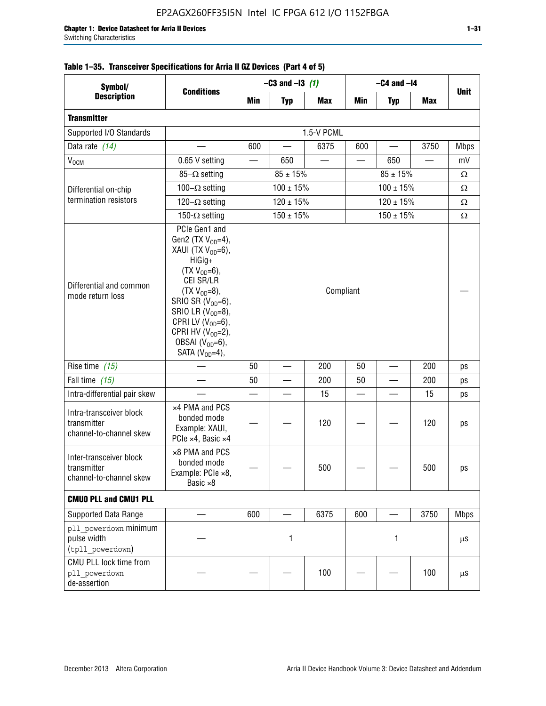| Symbol/<br><b>Description</b>                                     | <b>Conditions</b>                                                                                                                                                                                                                                                                          | $-C3$ and $-13$ (1)             |                                |            | $-C4$ and $-I4$ |               |            |             |
|-------------------------------------------------------------------|--------------------------------------------------------------------------------------------------------------------------------------------------------------------------------------------------------------------------------------------------------------------------------------------|---------------------------------|--------------------------------|------------|-----------------|---------------|------------|-------------|
|                                                                   |                                                                                                                                                                                                                                                                                            | <b>Min</b>                      | <b>Typ</b>                     | <b>Max</b> | <b>Min</b>      | <b>Typ</b>    | <b>Max</b> | <b>Unit</b> |
| <b>Transmitter</b>                                                |                                                                                                                                                                                                                                                                                            |                                 |                                |            |                 |               |            |             |
| Supported I/O Standards                                           |                                                                                                                                                                                                                                                                                            |                                 |                                | 1.5-V PCML |                 |               |            |             |
| Data rate (14)                                                    |                                                                                                                                                                                                                                                                                            | 600                             | $\qquad \qquad \longleftarrow$ | 6375       | 600             |               | 3750       | <b>Mbps</b> |
| V <sub>OCM</sub>                                                  | 0.65 V setting                                                                                                                                                                                                                                                                             |                                 | 650                            |            |                 | 650           |            | mV          |
|                                                                   | $85-\Omega$ setting                                                                                                                                                                                                                                                                        |                                 | $85 \pm 15%$                   |            |                 | $85 \pm 15\%$ |            | $\Omega$    |
| Differential on-chip                                              | 100 $-\Omega$ setting                                                                                                                                                                                                                                                                      |                                 | $100 \pm 15%$                  |            |                 | $100 \pm 15%$ | Ω          |             |
| termination resistors                                             | 120 $-\Omega$ setting                                                                                                                                                                                                                                                                      | $120 \pm 15\%$<br>$120 \pm 15%$ |                                |            |                 |               |            | Ω           |
|                                                                   | 150- $\Omega$ setting                                                                                                                                                                                                                                                                      |                                 | $150 \pm 15%$                  |            |                 | $150 \pm 15%$ |            | Ω           |
| Differential and common<br>mode return loss                       | PCIe Gen1 and<br>Gen2 (TX $V_{OD} = 4$ ),<br>XAUI (TX V <sub>OD</sub> =6),<br>HiGig+<br>$(TX V_{OD} = 6)$ ,<br>CEI SR/LR<br>$(TX VOD=8),$<br>SRIO SR $(V_{OD}=6)$ ,<br>SRIO LR $(V_{OD}=8)$ ,<br>CPRI LV $(V_{OD}=6)$ ,<br>CPRI HV $(V_{OD}=2)$ ,<br>OBSAI $(VOD=6)$ ,<br>SATA $(VOD=4)$ , |                                 |                                | Compliant  |                 |               |            |             |
| Rise time $(15)$                                                  |                                                                                                                                                                                                                                                                                            | 50                              |                                | 200        | 50              |               | 200        | ps          |
| Fall time $(15)$                                                  |                                                                                                                                                                                                                                                                                            | 50                              |                                | 200        | 50              |               | 200        | ps          |
| Intra-differential pair skew                                      |                                                                                                                                                                                                                                                                                            |                                 |                                | 15         |                 |               | 15         | ps          |
| Intra-transceiver block<br>transmitter<br>channel-to-channel skew | x4 PMA and PCS<br>bonded mode<br>Example: XAUI,<br>PCIe ×4, Basic ×4                                                                                                                                                                                                                       |                                 |                                | 120        |                 |               | 120        | ps          |
| Inter-transceiver block<br>transmitter<br>channel-to-channel skew | ×8 PMA and PCS<br>bonded mode<br>Example: PCIe ×8,<br>Basic $\times 8$                                                                                                                                                                                                                     |                                 |                                | 500        |                 |               | 500        | ps          |
| <b>CMUO PLL and CMU1 PLL</b>                                      |                                                                                                                                                                                                                                                                                            |                                 |                                |            |                 |               |            |             |
| Supported Data Range                                              |                                                                                                                                                                                                                                                                                            | 600                             |                                | 6375       | 600             |               | 3750       | <b>Mbps</b> |
| pll powerdown minimum<br>pulse width<br>(tpll powerdown)          |                                                                                                                                                                                                                                                                                            |                                 | 1                              |            |                 | 1             |            | $\mu$ S     |
| CMU PLL lock time from<br>pll powerdown<br>de-assertion           |                                                                                                                                                                                                                                                                                            |                                 |                                | 100        |                 |               | 100        | $\mu$ S     |

# **Table 1–35. Transceiver Specifications for Arria II GZ Devices (Part 4 of 5)**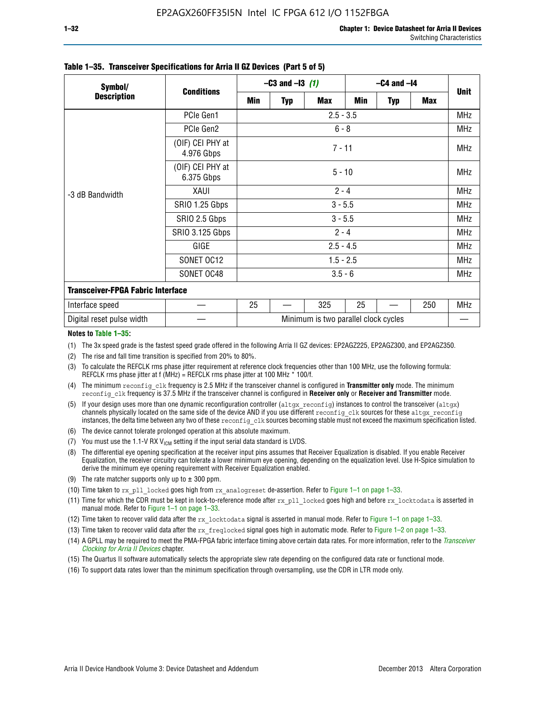| Symbol/<br><b>Description</b>            | <b>Conditions</b>              |                                      | $-C3$ and $-13$ (1) |            | $-C4$ and $-I4$ |            |            |             |  |  |  |
|------------------------------------------|--------------------------------|--------------------------------------|---------------------|------------|-----------------|------------|------------|-------------|--|--|--|
|                                          |                                | Min                                  | <b>Typ</b>          | <b>Max</b> | Min             | <b>Typ</b> | <b>Max</b> | <b>Unit</b> |  |  |  |
|                                          | PCIe Gen1                      | $2.5 - 3.5$                          |                     |            |                 |            |            |             |  |  |  |
| -3 dB Bandwidth                          | PCIe Gen2                      | $6 - 8$                              |                     |            |                 |            |            |             |  |  |  |
|                                          | (OIF) CEI PHY at<br>4.976 Gbps | $7 - 11$                             |                     |            |                 |            |            |             |  |  |  |
|                                          | (OIF) CEI PHY at<br>6.375 Gbps |                                      | $5 - 10$            |            |                 |            |            |             |  |  |  |
|                                          | XAUI                           | $2 - 4$                              |                     |            |                 |            |            |             |  |  |  |
|                                          | SRIO 1.25 Gbps                 | $3 - 5.5$                            |                     |            |                 |            |            |             |  |  |  |
|                                          | SRIO 2.5 Gbps                  | $3 - 5.5$                            |                     |            |                 |            |            |             |  |  |  |
|                                          | <b>SRIO 3.125 Gbps</b>         | $2 - 4$                              |                     |            |                 |            |            |             |  |  |  |
|                                          | GIGE                           | $2.5 - 4.5$                          |                     |            |                 |            |            |             |  |  |  |
|                                          | SONET OC12                     | $1.5 - 2.5$                          |                     |            |                 |            |            |             |  |  |  |
|                                          | SONET OC48                     | $3.5 - 6$                            |                     |            |                 |            |            |             |  |  |  |
| <b>Transceiver-FPGA Fabric Interface</b> |                                |                                      |                     |            |                 |            |            |             |  |  |  |
| Interface speed                          |                                | 25                                   |                     | 325        | 25              |            | 250        | MHz         |  |  |  |
| Digital reset pulse width                |                                | Minimum is two parallel clock cycles |                     |            |                 |            |            |             |  |  |  |

#### **Table 1–35. Transceiver Specifications for Arria II GZ Devices (Part 5 of 5)**

#### **Notes to Table 1–35:**

(1) The 3x speed grade is the fastest speed grade offered in the following Arria II GZ devices: EP2AGZ225, EP2AGZ300, and EP2AGZ350.

- (2) The rise and fall time transition is specified from 20% to 80%.
- (3) To calculate the REFCLK rms phase jitter requirement at reference clock frequencies other than 100 MHz, use the following formula: REFCLK rms phase jitter at f (MHz) = REFCLK rms phase jitter at 100 MHz  $*$  100/f.
- (4) The minimum reconfig clk frequency is 2.5 MHz if the transceiver channel is configured in **Transmitter only** mode. The minimum reconfig\_clk frequency is 37.5 MHz if the transceiver channel is configured in **Receiver only** or **Receiver and Transmitter** mode.
- (5) If your design uses more than one dynamic reconfiguration controller (altgx reconfig) instances to control the transceiver (altgx) channels physically located on the same side of the device AND if you use different reconfig clk sources for these altgx reconfig instances, the delta time between any two of these reconfig clk sources becoming stable must not exceed the maximum specification listed.
- (6) The device cannot tolerate prolonged operation at this absolute maximum.
- (7) You must use the 1.1-V RX  $V_{ICM}$  setting if the input serial data standard is LVDS.
- (8) The differential eye opening specification at the receiver input pins assumes that Receiver Equalization is disabled. If you enable Receiver Equalization, the receiver circuitry can tolerate a lower minimum eye opening, depending on the equalization level. Use H-Spice simulation to derive the minimum eye opening requirement with Receiver Equalization enabled.
- (9) The rate matcher supports only up to  $\pm$  300 ppm.
- (10) Time taken to rx\_pll\_locked goes high from rx\_analogreset de-assertion. Refer to Figure 1–1 on page 1–33.
- (11) Time for which the CDR must be kept in lock-to-reference mode after rx pll\_locked goes high and before rx\_locktodata is asserted in manual mode. Refer to Figure 1–1 on page 1–33.
- (12) Time taken to recover valid data after the rx locktodata signal is asserted in manual mode. Refer to Figure 1–1 on page 1–33.
- (13) Time taken to recover valid data after the rx\_freqlocked signal goes high in automatic mode. Refer to Figure 1–2 on page 1–33.
- (14) A GPLL may be required to meet the PMA-FPGA fabric interface timing above certain data rates. For more information, refer to the *[Transceiver](http://www.altera.com/literature/hb/arria-ii-gx/aiigx_52002.pdf)  [Clocking for Arria II Devices](http://www.altera.com/literature/hb/arria-ii-gx/aiigx_52002.pdf)* chapter.
- (15) The Quartus II software automatically selects the appropriate slew rate depending on the configured data rate or functional mode.
- (16) To support data rates lower than the minimum specification through oversampling, use the CDR in LTR mode only.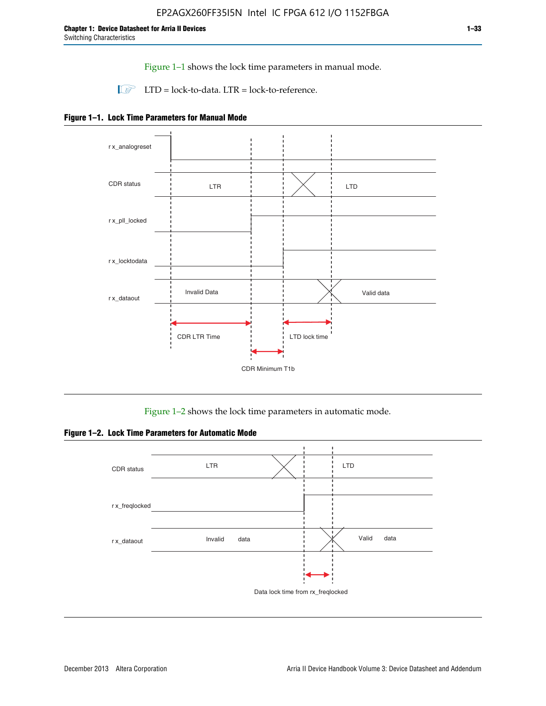Figure 1–1 shows the lock time parameters in manual mode.

 $\Box$  LTD = lock-to-data. LTR = lock-to-reference.





Figure 1–2 shows the lock time parameters in automatic mode.

**Figure 1–2. Lock Time Parameters for Automatic Mode**

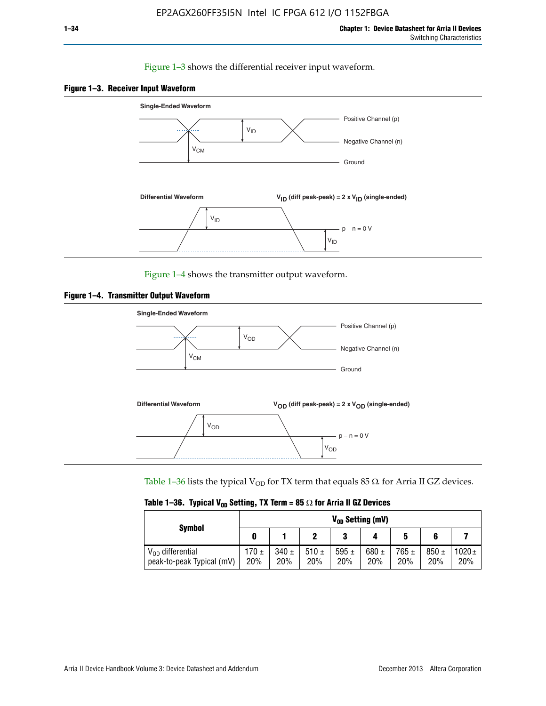### Figure 1–3 shows the differential receiver input waveform.





Figure 1–4 shows the transmitter output waveform.





Table 1–36 lists the typical V<sub>OD</sub> for TX term that equals 85  $\Omega$  for Arria II GZ devices.

| <b>Symbol</b>                                      | V <sub>on</sub> Setting (mV) |                  |                  |                  |                  |                  |                  |                   |
|----------------------------------------------------|------------------------------|------------------|------------------|------------------|------------------|------------------|------------------|-------------------|
|                                                    | O                            |                  |                  | 3                |                  | 5                |                  |                   |
| $V_{OD}$ differential<br>peak-to-peak Typical (mV) | 170 ±<br>20%                 | $340 \pm$<br>20% | 510 $\pm$<br>20% | 595 $\pm$<br>20% | 680 $\pm$<br>20% | $765 \pm$<br>20% | $850 \pm$<br>20% | $1020 \pm$<br>20% |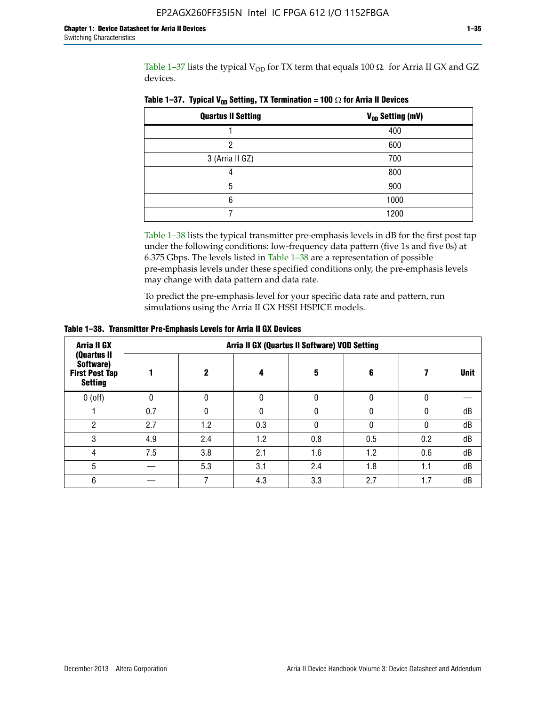Table 1–37 lists the typical V<sub>OD</sub> for TX term that equals 100  $\Omega$  for Arria II GX and GZ devices.

| <b>Quartus II Setting</b> | V <sub>OD</sub> Setting (mV) |
|---------------------------|------------------------------|
|                           | 400                          |
| ი                         | 600                          |
| 3 (Arria II GZ)           | 700                          |
|                           | 800                          |
| 5                         | 900                          |
| 6                         | 1000                         |
|                           | 1200                         |

**Table 1–37. Typical V<sub>OD</sub> Setting, TX Termination = 100**  $\Omega$  for Arria II Devices

Table 1–38 lists the typical transmitter pre-emphasis levels in dB for the first post tap under the following conditions: low-frequency data pattern (five 1s and five 0s) at 6.375 Gbps. The levels listed in Table 1–38 are a representation of possible pre-emphasis levels under these specified conditions only, the pre-emphasis levels may change with data pattern and data rate.

To predict the pre-emphasis level for your specific data rate and pattern, run simulations using the Arria II GX HSSI HSPICE models.

| <b>Arria II GX</b>                                                  | Arria II GX (Quartus II Software) VOD Setting |     |              |     |     |     |             |  |
|---------------------------------------------------------------------|-----------------------------------------------|-----|--------------|-----|-----|-----|-------------|--|
| (Quartus II<br>Software)<br><b>First Post Tap</b><br><b>Setting</b> |                                               | 2   | Д            | 5   | 6   |     | <b>Unit</b> |  |
| $0$ (off)                                                           | 0                                             |     | $\Omega$     |     | 0   |     |             |  |
|                                                                     | 0.7                                           |     | <sup>0</sup> |     |     |     | dB          |  |
| 2                                                                   | 2.7                                           | 1.2 | 0.3          |     |     |     | dB          |  |
| 3                                                                   | 4.9                                           | 2.4 | 1.2          | 0.8 | 0.5 | 0.2 | dB          |  |
| 4                                                                   | 7.5                                           | 3.8 | 2.1          | 1.6 | 1.2 | 0.6 | dB          |  |
| 5                                                                   |                                               | 5.3 | 3.1          | 2.4 | 1.8 | 1.1 | dB          |  |
| 6                                                                   |                                               |     | 4.3          | 3.3 | 2.7 | 1.7 | dB          |  |

**Table 1–38. Transmitter Pre-Emphasis Levels for Arria II GX Devices**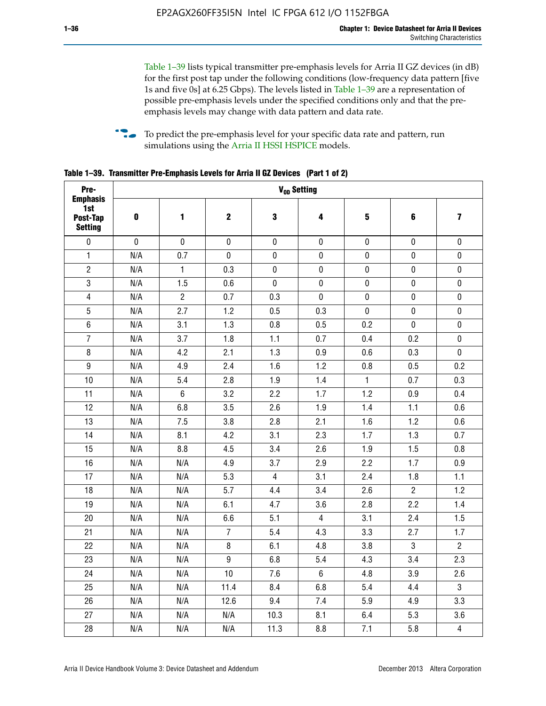Table 1–39 lists typical transmitter pre-emphasis levels for Arria II GZ devices (in dB) for the first post tap under the following conditions (low-frequency data pattern [five 1s and five 0s] at 6.25 Gbps). The levels listed in Table 1–39 are a representation of possible pre-emphasis levels under the specified conditions only and that the preemphasis levels may change with data pattern and data rate.

**follow** To predict the pre-emphasis level for your specific data rate and pattern, run simulations using the [Arria II HSSI HSPICE](http://www.altera.com/support/software/download/hspice/hsp-index.html) models.

| Pre-                                                 | V <sub>OD</sub> Setting |                |                  |                |                |              |                |                         |  |  |  |  |  |
|------------------------------------------------------|-------------------------|----------------|------------------|----------------|----------------|--------------|----------------|-------------------------|--|--|--|--|--|
| <b>Emphasis</b><br>1st<br>Post-Tap<br><b>Setting</b> | $\pmb{0}$               | 1              | $\mathbf 2$      | 3              | 4              | 5            | 6              | $\overline{\mathbf{z}}$ |  |  |  |  |  |
| $\pmb{0}$                                            | $\pmb{0}$               | $\pmb{0}$      | $\pmb{0}$        | $\pmb{0}$      | $\pmb{0}$      | $\pmb{0}$    | $\pmb{0}$      | $\pmb{0}$               |  |  |  |  |  |
| $\mathbf{1}$                                         | N/A                     | 0.7            | $\pmb{0}$        | $\pmb{0}$      | $\pmb{0}$      | $\pmb{0}$    | 0              | $\pmb{0}$               |  |  |  |  |  |
| $\overline{2}$                                       | N/A                     | $\mathbf{1}$   | 0.3              | $\pmb{0}$      | $\pmb{0}$      | $\pmb{0}$    | $\pmb{0}$      | $\pmb{0}$               |  |  |  |  |  |
| $\sqrt{3}$                                           | N/A                     | 1.5            | 0.6              | $\pmb{0}$      | $\pmb{0}$      | $\pmb{0}$    | $\pmb{0}$      | $\pmb{0}$               |  |  |  |  |  |
| $\overline{\mathbf{4}}$                              | N/A                     | $\overline{2}$ | 0.7              | 0.3            | $\pmb{0}$      | $\pmb{0}$    | $\pmb{0}$      | $\pmb{0}$               |  |  |  |  |  |
| 5                                                    | N/A                     | 2.7            | 1.2              | 0.5            | 0.3            | $\mathbf 0$  | 0              | $\mathbf 0$             |  |  |  |  |  |
| $6\phantom{.}$                                       | N/A                     | 3.1            | 1.3              | 0.8            | 0.5            | 0.2          | $\mathbf 0$    | $\pmb{0}$               |  |  |  |  |  |
| $\overline{7}$                                       | N/A                     | 3.7            | 1.8              | 1.1            | 0.7            | 0.4          | 0.2            | $\pmb{0}$               |  |  |  |  |  |
| $\bf 8$                                              | N/A                     | 4.2            | 2.1              | 1.3            | 0.9            | 0.6          | 0.3            | $\pmb{0}$               |  |  |  |  |  |
| $\boldsymbol{9}$                                     | N/A                     | 4.9            | 2.4              | 1.6            | 1.2            | 0.8          | 0.5            | 0.2                     |  |  |  |  |  |
| 10                                                   | N/A                     | 5.4            | 2.8              | 1.9            | 1.4            | $\mathbf{1}$ | 0.7            | 0.3                     |  |  |  |  |  |
| 11                                                   | N/A                     | $\,6\,$        | 3.2              | 2.2            | 1.7            | 1.2          | 0.9            | 0.4                     |  |  |  |  |  |
| 12                                                   | N/A                     | 6.8            | 3.5              | 2.6            | 1.9            | 1.4          | 1.1            | 0.6                     |  |  |  |  |  |
| 13                                                   | N/A                     | 7.5            | 3.8              | 2.8            | 2.1            | 1.6          | 1.2            | 0.6                     |  |  |  |  |  |
| 14                                                   | N/A                     | 8.1            | 4.2              | 3.1            | 2.3            | 1.7          | 1.3            | 0.7                     |  |  |  |  |  |
| 15                                                   | N/A                     | 8.8            | 4.5              | 3.4            | 2.6            | 1.9          | 1.5            | 0.8                     |  |  |  |  |  |
| 16                                                   | N/A                     | N/A            | 4.9              | 3.7            | 2.9            | 2.2          | 1.7            | 0.9                     |  |  |  |  |  |
| 17                                                   | N/A                     | N/A            | 5.3              | $\overline{4}$ | 3.1            | 2.4          | 1.8            | 1.1                     |  |  |  |  |  |
| 18                                                   | N/A                     | N/A            | 5.7              | 4.4            | 3.4            | 2.6          | $\overline{2}$ | 1.2                     |  |  |  |  |  |
| 19                                                   | N/A                     | N/A            | 6.1              | 4.7            | 3.6            | 2.8          | 2.2            | 1.4                     |  |  |  |  |  |
| 20                                                   | N/A                     | N/A            | 6.6              | 5.1            | $\overline{4}$ | 3.1          | 2.4            | 1.5                     |  |  |  |  |  |
| 21                                                   | N/A                     | N/A            | $\overline{7}$   | 5.4            | 4.3            | 3.3          | 2.7            | 1.7                     |  |  |  |  |  |
| 22                                                   | N/A                     | N/A            | 8                | 6.1            | 4.8            | 3.8          | 3              | $\overline{2}$          |  |  |  |  |  |
| 23                                                   | N/A                     | N/A            | $\boldsymbol{9}$ | 6.8            | 5.4            | 4.3          | 3.4            | 2.3                     |  |  |  |  |  |
| 24                                                   | N/A                     | N/A            | 10               | 7.6            | $6\phantom{1}$ | 4.8          | 3.9            | 2.6                     |  |  |  |  |  |
| 25                                                   | N/A                     | N/A            | 11.4             | 8.4            | 6.8            | 5.4          | 4.4            | $\overline{3}$          |  |  |  |  |  |
| 26                                                   | N/A                     | N/A            | 12.6             | 9.4            | 7.4            | 5.9          | 4.9            | 3.3                     |  |  |  |  |  |
| 27                                                   | N/A                     | N/A            | N/A              | 10.3           | 8.1            | 6.4          | 5.3            | 3.6                     |  |  |  |  |  |
| 28                                                   | N/A                     | N/A            | N/A              | 11.3           | 8.8            | 7.1          | 5.8            | $\overline{\mathbf{4}}$ |  |  |  |  |  |

**Table 1–39. Transmitter Pre-Emphasis Levels for Arria II GZ Devices (Part 1 of 2)**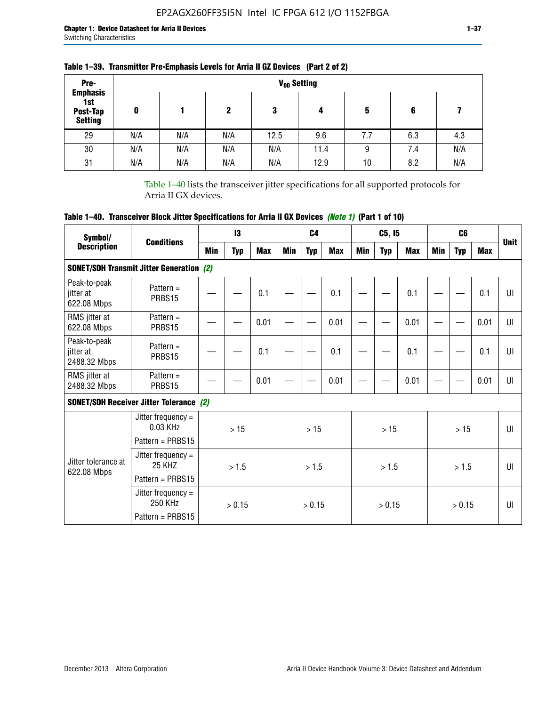| Pre-<br><b>Emphasis</b>           |     |     |     |      | V <sub>op</sub> Setting |     |     |     |
|-----------------------------------|-----|-----|-----|------|-------------------------|-----|-----|-----|
| 1st<br>Post-Tap<br><b>Setting</b> | 0   |     | 2   | 3    | 4                       | 5   | 6   |     |
| 29                                | N/A | N/A | N/A | 12.5 | 9.6                     | 7.7 | 6.3 | 4.3 |
| 30                                | N/A | N/A | N/A | N/A  | 11.4                    | 9   | 7.4 | N/A |
| 31                                | N/A | N/A | N/A | N/A  | 12.9                    | 10  | 8.2 | N/A |

## **Table 1–39. Transmitter Pre-Emphasis Levels for Arria II GZ Devices (Part 2 of 2)**

Table 1–40 lists the transceiver jitter specifications for all supported protocols for Arria II GX devices.

# **Table 1–40. Transceiver Block Jitter Specifications for Arria II GX Devices** *(Note 1)* **(Part 1 of 10)**

| Symbol/<br><b>Description</b>             | <b>Conditions</b>                                            |        | $\mathsf{I}3$ |            |            | C <sub>4</sub> |            |     | C5, I5     |      |            | C <sub>6</sub> |            | <b>Unit</b>  |
|-------------------------------------------|--------------------------------------------------------------|--------|---------------|------------|------------|----------------|------------|-----|------------|------|------------|----------------|------------|--------------|
|                                           |                                                              | Min    | <b>Typ</b>    | <b>Max</b> | <b>Min</b> | <b>Typ</b>     | <b>Max</b> | Min | <b>Typ</b> | Max  | <b>Min</b> | <b>Typ</b>     | <b>Max</b> |              |
|                                           | <b>SONET/SDH Transmit Jitter Generation (2)</b>              |        |               |            |            |                |            |     |            |      |            |                |            |              |
| Peak-to-peak<br>jitter at<br>622.08 Mbps  | Pattern $=$<br>PRBS15                                        |        |               | 0.1        |            |                | 0.1        |     |            | 0.1  |            |                | 0.1        | UI           |
| RMS jitter at<br>622.08 Mbps              | Pattern $=$<br>PRBS15                                        |        |               | 0.01       |            |                | 0.01       |     |            | 0.01 |            |                | 0.01       | UI           |
| Peak-to-peak<br>iitter at<br>2488.32 Mbps | Pattern $=$<br>PRBS15                                        |        |               | 0.1        |            |                | 0.1        |     |            | 0.1  |            |                | 0.1        | U            |
| RMS jitter at<br>2488.32 Mbps             | Pattern $=$<br>PRBS15                                        |        |               | 0.01       |            |                | 0.01       |     |            | 0.01 |            |                | 0.01       | UI           |
|                                           | <b>SONET/SDH Receiver Jitter Tolerance (2)</b>               |        |               |            |            |                |            |     |            |      |            |                |            |              |
|                                           | Jitter frequency =<br>$0.03$ KHz<br>Pattern = PRBS15         |        | >15           |            |            | >15            |            | >15 |            |      |            | >15            |            | $\mathbf{U}$ |
| Jitter tolerance at<br>622.08 Mbps        | Jitter frequency =<br>25 KH <sub>7</sub><br>Pattern = PRBS15 | > 1.5  |               |            | > 1.5      |                |            |     | > 1.5      |      |            | > 1.5          |            | $\mathbf{U}$ |
|                                           | Jitter frequency $=$<br>250 KHz<br>Pattern = PRBS15          | > 0.15 |               |            | > 0.15     |                |            |     | > 0.15     |      |            | > 0.15         |            | UI           |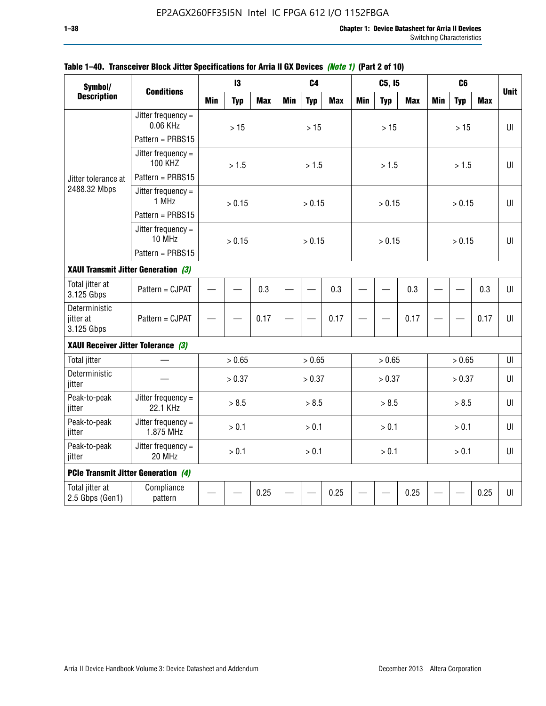| Symbol/<br><b>Description</b>            |                                        |            | 13         |            |            | C <sub>4</sub> |            |            | C5, I5     |            |            | C <sub>6</sub> |            |             |
|------------------------------------------|----------------------------------------|------------|------------|------------|------------|----------------|------------|------------|------------|------------|------------|----------------|------------|-------------|
|                                          | <b>Conditions</b>                      | <b>Min</b> | <b>Typ</b> | <b>Max</b> | <b>Min</b> | <b>Typ</b>     | <b>Max</b> | <b>Min</b> | <b>Typ</b> | <b>Max</b> | <b>Min</b> | <b>Typ</b>     | <b>Max</b> | <b>Unit</b> |
|                                          | Jitter frequency $=$<br>0.06 KHz       |            | >15        |            |            | >15            |            |            | >15        |            |            | >15            |            | $U\Gamma$   |
|                                          | Pattern = PRBS15                       |            |            |            |            |                |            |            |            |            |            |                |            |             |
|                                          | Jitter frequency $=$<br><b>100 KHZ</b> |            | > 1.5      |            |            | > 1.5          |            |            | > 1.5      |            |            | > 1.5          |            | $U\Gamma$   |
| Jitter tolerance at                      | Pattern = PRBS15                       |            |            |            |            |                |            |            |            |            |            |                |            |             |
| 2488.32 Mbps                             | Jitter frequency $=$<br>1 MHz          |            | > 0.15     |            |            | > 0.15         |            |            | > 0.15     |            |            | > 0.15         |            | $U\Gamma$   |
|                                          | Pattern = PRBS15                       |            |            |            |            |                |            |            |            |            |            |                |            |             |
|                                          | Jitter frequency $=$<br>10 MHz         |            | > 0.15     |            |            | > 0.15         |            |            | > 0.15     |            |            | > 0.15         |            | $U\Gamma$   |
|                                          | Pattern = PRBS15                       |            |            |            |            |                |            |            |            |            |            |                |            |             |
| XAUI Transmit Jitter Generation (3)      |                                        |            | 0.3        |            |            |                |            |            |            |            |            |                |            |             |
| Total jitter at<br>3.125 Gbps            | Pattern = CJPAT                        |            |            |            |            | 0.3            |            |            | 0.3        |            |            | 0.3            | UI         |             |
| Deterministic<br>jitter at<br>3.125 Gbps | Pattern = CJPAT                        |            |            | 0.17       |            |                | 0.17       |            |            | 0.17       |            |                | 0.17       | U           |
| XAUI Receiver Jitter Tolerance (3)       |                                        |            |            |            |            |                |            |            |            |            |            |                |            |             |
| <b>Total jitter</b>                      |                                        |            | > 0.65     |            |            | > 0.65         |            |            | > 0.65     |            |            | > 0.65         |            | UI          |
| Deterministic<br>jitter                  |                                        |            | > 0.37     |            |            | > 0.37         |            |            | > 0.37     |            |            | > 0.37         |            | UI          |
| Peak-to-peak<br>jitter                   | Jitter frequency $=$<br>22.1 KHz       |            | > 8.5      |            |            | > 8.5          |            |            | > 8.5      |            |            | > 8.5          |            | UI          |
| Peak-to-peak<br>jitter                   | Jitter frequency $=$<br>1.875 MHz      |            | > 0.1      |            |            | > 0.1          |            |            | > 0.1      |            |            | > 0.1          |            | $U\Gamma$   |
| Peak-to-peak<br>jitter                   | Jitter frequency $=$<br>20 MHz         | > 0.1      |            |            |            | > 0.1          |            |            | > 0.1      |            |            | > 0.1          |            | UI          |
| PCIe Transmit Jitter Generation (4)      |                                        |            |            |            |            |                |            |            |            |            |            |                |            |             |
| Total jitter at<br>2.5 Gbps (Gen1)       | Compliance<br>pattern                  | 0.25       |            |            |            | 0.25           |            |            | 0.25       |            |            | 0.25           | $U\Gamma$  |             |

### **Table 1–40. Transceiver Block Jitter Specifications for Arria II GX Devices** *(Note 1)* **(Part 2 of 10)**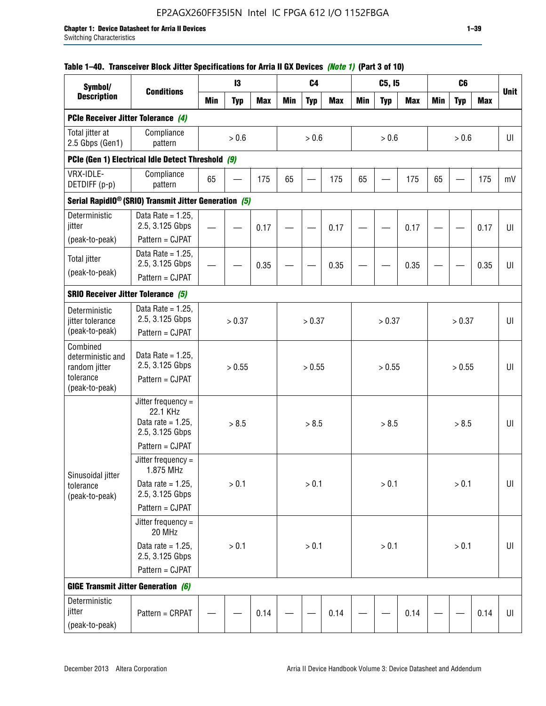# EP2AGX260FF35I5N Intel IC FPGA 612 I/O 1152FBGA

|  | Table 1–40. Transceiver Block Jitter Specifications for Arria II GX Devices (Note 1) (Part 3 of 10) |  |
|--|-----------------------------------------------------------------------------------------------------|--|
|  |                                                                                                     |  |

| Symbol/                                                     | 13                                                                |            |            | C <sub>4</sub> |            |            |            | C5, I5     |            |            | C <sub>6</sub> |            |            |             |
|-------------------------------------------------------------|-------------------------------------------------------------------|------------|------------|----------------|------------|------------|------------|------------|------------|------------|----------------|------------|------------|-------------|
| <b>Description</b>                                          | <b>Conditions</b>                                                 | <b>Min</b> | <b>Typ</b> | <b>Max</b>     | <b>Min</b> | <b>Typ</b> | <b>Max</b> | <b>Min</b> | <b>Typ</b> | <b>Max</b> | <b>Min</b>     | <b>Typ</b> | <b>Max</b> | <b>Unit</b> |
| PCIe Receiver Jitter Tolerance (4)                          |                                                                   |            |            |                |            |            |            |            |            |            |                |            |            |             |
| Total jitter at<br>2.5 Gbps (Gen1)                          | Compliance<br>pattern                                             |            | $> 0.6$    |                |            | > 0.6      |            |            | > 0.6      |            |                | > 0.6      |            | UI          |
|                                                             | PCIe (Gen 1) Electrical Idle Detect Threshold (9)                 |            |            |                |            |            |            |            |            |            |                |            |            |             |
| VRX-IDLE-<br>DETDIFF (p-p)                                  | Compliance<br>pattern                                             | 65         |            | 175            | 65         |            | 175        | 65         |            | 175        | 65             |            | 175        | mV          |
|                                                             | Serial RapidIO <sup>®</sup> (SRIO) Transmit Jitter Generation (5) |            |            |                |            |            |            |            |            |            |                |            |            |             |
| Deterministic<br>jitter                                     | Data Rate = $1.25$ ,<br>2.5, 3.125 Gbps<br>Pattern = CJPAT        |            |            | 0.17           |            |            | 0.17       |            |            | 0.17       |                |            | 0.17       | U           |
| (peak-to-peak)                                              | Data Rate = $1.25$ ,                                              |            |            |                |            |            |            |            |            |            |                |            |            |             |
| <b>Total jitter</b>                                         | 2.5, 3.125 Gbps                                                   |            |            | 0.35           |            |            | 0.35       |            |            | 0.35       |                |            | 0.35       | U           |
| (peak-to-peak)                                              | Pattern = CJPAT                                                   |            |            |                |            |            |            |            |            |            |                |            |            |             |
| <b>SRIO Receiver Jitter Tolerance (5)</b>                   |                                                                   |            |            |                |            |            |            |            |            |            |                |            |            |             |
| Deterministic                                               | Data Rate = $1.25$ .                                              |            |            |                |            |            |            |            |            |            |                |            |            |             |
| jitter tolerance<br>(peak-to-peak)                          | 2.5, 3.125 Gbps<br>Pattern = CJPAT                                |            | > 0.37     |                |            | > 0.37     |            |            | > 0.37     |            |                | > 0.37     |            | U           |
| Combined<br>deterministic and<br>random jitter<br>tolerance | Data Rate = $1.25$ ,<br>2.5, 3.125 Gbps<br>Pattern = CJPAT        |            | > 0.55     |                |            | > 0.55     |            |            | > 0.55     |            |                | > 0.55     |            | U           |
| (peak-to-peak)                                              | Jitter frequency =                                                |            |            |                |            |            |            |            |            |            |                |            |            |             |
|                                                             | 22.1 KHz<br>Data rate = $1.25$ .<br>2.5, 3.125 Gbps               |            | > 8.5      |                |            | > 8.5      |            |            | > 8.5      |            |                | > 8.5      |            | UI          |
|                                                             | Pattern = CJPAT                                                   |            |            |                |            |            |            |            |            |            |                |            |            |             |
| Sinusoidal jitter                                           | Jitter frequency $=$<br>1.875 MHz                                 |            |            |                |            |            |            |            |            |            |                |            |            |             |
| tolerance<br>(peak-to-peak)                                 | Data rate = $1.25$ ,<br>2.5, 3.125 Gbps                           |            | > 0.1      |                |            | > 0.1      |            |            | > 0.1      |            |                | > 0.1      |            | UI          |
|                                                             | Pattern = CJPAT                                                   |            |            |                |            |            |            |            |            |            |                |            |            |             |
|                                                             | Jitter frequency =<br>20 MHz                                      |            |            |                |            |            |            |            |            |            |                |            |            |             |
|                                                             | Data rate = $1.25$ ,<br>2.5, 3.125 Gbps                           | > 0.1      |            |                |            | > 0.1      |            |            | > 0.1      |            |                | > 0.1      |            | $U\vert$    |
|                                                             | Pattern = CJPAT                                                   |            |            |                |            |            |            |            |            |            |                |            |            |             |
| <b>GIGE Transmit Jitter Generation (6)</b>                  |                                                                   |            |            |                |            |            |            |            |            |            |                |            |            |             |
| Deterministic<br>jitter<br>(peak-to-peak)                   | Pattern = CRPAT                                                   |            |            | 0.14           |            |            | 0.14       |            |            | 0.14       |                |            | 0.14       | UI          |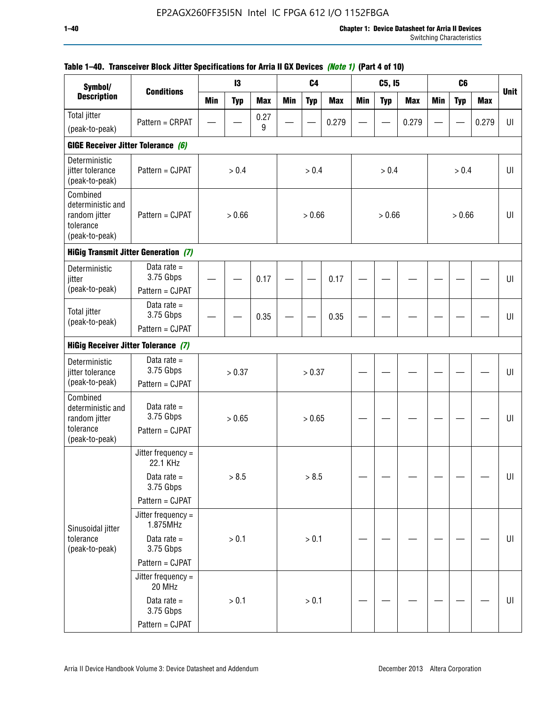|                                                                               | IAUIG 1–40.  IIAIISUGIVGI DIUUN JILLGI SPGUIIIUALIUIIS IUI MIIIA II UA DGVIUGS <i>(NULG I)</i> (FAIL 4 UI IU) |            |            |            |            |                |            |            |            |            |            |                |            |             |
|-------------------------------------------------------------------------------|---------------------------------------------------------------------------------------------------------------|------------|------------|------------|------------|----------------|------------|------------|------------|------------|------------|----------------|------------|-------------|
| Symbol/<br><b>Description</b>                                                 | <b>Conditions</b>                                                                                             |            | 13         |            |            | C <sub>4</sub> |            |            | C5, I5     |            |            | C <sub>6</sub> |            | <b>Unit</b> |
|                                                                               |                                                                                                               | <b>Min</b> | <b>Typ</b> | <b>Max</b> | <b>Min</b> | <b>Typ</b>     | <b>Max</b> | <b>Min</b> | <b>Typ</b> | <b>Max</b> | <b>Min</b> | <b>Typ</b>     | <b>Max</b> |             |
| Total jitter                                                                  | Pattern = CRPAT                                                                                               |            |            | 0.27<br>9  |            |                | 0.279      |            |            | 0.279      |            |                | 0.279      | UI          |
| (peak-to-peak)                                                                |                                                                                                               |            |            |            |            |                |            |            |            |            |            |                |            |             |
| GIGE Receiver Jitter Tolerance (6)                                            |                                                                                                               |            |            |            |            |                |            |            |            |            |            |                |            |             |
| Deterministic<br>jitter tolerance<br>(peak-to-peak)                           | Pattern = CJPAT                                                                                               |            | > 0.4      |            |            | > 0.4          |            |            | > 0.4      |            |            | > 0.4          |            | UI          |
| Combined<br>deterministic and<br>random jitter<br>tolerance<br>(peak-to-peak) | Pattern = CJPAT                                                                                               |            | > 0.66     |            |            | > 0.66         |            |            | > 0.66     |            |            | > 0.66         |            | UI          |
|                                                                               | <b>HiGig Transmit Jitter Generation (7)</b>                                                                   |            |            |            |            |                |            |            |            |            |            |                |            |             |
| Deterministic<br>jitter                                                       | Data rate $=$<br>3.75 Gbps                                                                                    |            |            | 0.17       |            |                | 0.17       |            |            |            |            |                |            | U           |
| (peak-to-peak)                                                                | Pattern = CJPAT                                                                                               |            |            |            |            |                |            |            |            |            |            |                |            |             |
| <b>Total jitter</b><br>(peak-to-peak)                                         | Data rate $=$<br>3.75 Gbps                                                                                    |            |            | 0.35       |            |                | 0.35       |            |            |            |            |                |            | U           |
|                                                                               | Pattern = CJPAT                                                                                               |            |            |            |            |                |            |            |            |            |            |                |            |             |
| <b>HiGig Receiver Jitter Tolerance (7)</b>                                    |                                                                                                               |            |            |            |            |                |            |            |            |            |            |                |            |             |
| Deterministic<br>jitter tolerance                                             | Data rate $=$<br>3.75 Gbps                                                                                    |            | > 0.37     |            |            | > 0.37         |            |            |            |            |            |                |            | UI          |
| (peak-to-peak)                                                                | Pattern = CJPAT                                                                                               |            |            |            |            |                |            |            |            |            |            |                |            |             |
| Combined<br>deterministic and<br>random jitter                                | Data rate $=$<br>3.75 Gbps                                                                                    |            | > 0.65     |            | > 0.65     |                |            |            |            |            |            |                |            | UI          |
| tolerance<br>(peak-to-peak)                                                   | Pattern = CJPAT                                                                                               |            |            |            |            |                |            |            |            |            |            |                |            |             |
|                                                                               | Jitter frequency =<br>22.1 KHz                                                                                |            |            |            |            |                |            |            |            |            |            |                |            |             |
|                                                                               | Data rate $=$<br>3.75 Gbps                                                                                    |            | > 8.5      |            |            | > 8.5          |            |            |            |            |            |                |            | UI          |
|                                                                               | Pattern = CJPAT                                                                                               |            |            |            |            |                |            |            |            |            |            |                |            |             |
| Sinusoidal jitter                                                             | Jitter frequency =<br>1.875MHz                                                                                |            |            |            |            |                |            |            |            |            |            |                |            |             |
| tolerance<br>(peak-to-peak)                                                   | Data rate $=$<br>3.75 Gbps                                                                                    |            | > 0.1      |            |            | > 0.1          |            |            |            |            |            |                |            | UI          |
|                                                                               | Pattern = CJPAT                                                                                               |            |            |            |            |                |            |            |            |            |            |                |            |             |
|                                                                               | Jitter frequency =<br>20 MHz                                                                                  |            |            |            |            |                |            |            |            |            |            |                |            |             |
|                                                                               | Data rate $=$<br>3.75 Gbps                                                                                    |            | > 0.1      |            |            | > 0.1          |            |            |            |            |            |                |            | UI          |
|                                                                               | Pattern = CJPAT                                                                                               |            |            |            |            |                |            |            |            |            |            |                |            |             |

# **Table 1–40. Transceiver Block Jitter Specifications for Arria II GX Devices** *(Note 1)* **(Part 4 of 10)**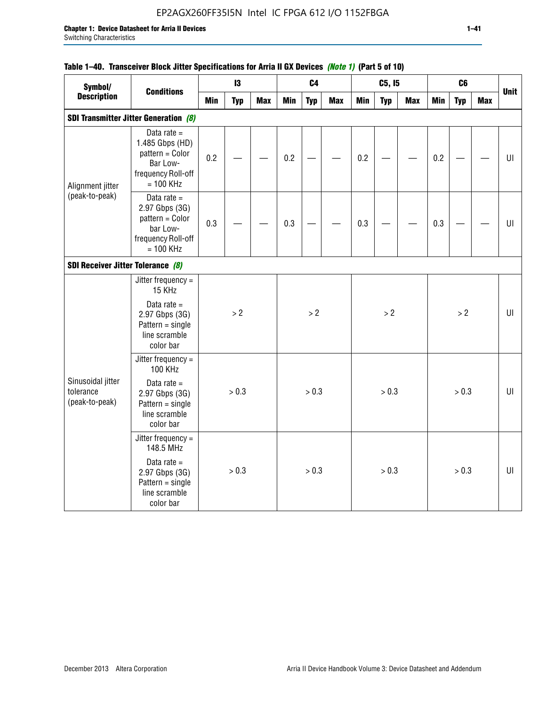# EP2AGX260FF35I5N Intel IC FPGA 612 I/O 1152FBGA

## **Table 1–40. Transceiver Block Jitter Specifications for Arria II GX Devices** *(Note 1)* **(Part 5 of 10)**

| Symbol/                                          |                                                                                                      |            | 13         |            | C <sub>4</sub> |            |            |            | C5, I5     |            |            | C <sub>6</sub> |            |             |
|--------------------------------------------------|------------------------------------------------------------------------------------------------------|------------|------------|------------|----------------|------------|------------|------------|------------|------------|------------|----------------|------------|-------------|
| <b>Description</b>                               | <b>Conditions</b>                                                                                    | <b>Min</b> | <b>Typ</b> | <b>Max</b> | <b>Min</b>     | <b>Typ</b> | <b>Max</b> | <b>Min</b> | <b>Typ</b> | <b>Max</b> | <b>Min</b> | <b>Typ</b>     | <b>Max</b> | <b>Unit</b> |
|                                                  | <b>SDI Transmitter Jitter Generation (8)</b>                                                         |            |            |            |                |            |            |            |            |            |            |                |            |             |
| Alignment jitter                                 | Data rate $=$<br>1.485 Gbps (HD)<br>pattern = Color<br>Bar Low-<br>frequency Roll-off<br>$= 100$ KHz | 0.2        |            |            | 0.2            |            |            | 0.2        |            |            | 0.2        |                |            | U           |
| (peak-to-peak)                                   | Data rate $=$<br>2.97 Gbps (3G)<br>pattern = Color<br>bar Low-<br>frequency Roll-off<br>$= 100$ KHz  | 0.3        |            |            | 0.3            |            |            | 0.3        |            |            | 0.3        |                |            | U           |
| SDI Receiver Jitter Tolerance (8)                |                                                                                                      |            |            |            |                |            |            |            |            |            |            |                |            |             |
|                                                  | Jitter frequency $=$<br>15 KHz<br>Data rate $=$                                                      |            |            |            |                |            |            |            |            |            |            |                |            |             |
|                                                  | 2.97 Gbps (3G)<br>$Pattern = single$<br>line scramble<br>color bar                                   |            | > 2        |            | > 2            |            |            |            | >2         |            |            | >2             |            | $U\Gamma$   |
|                                                  | Jitter frequency =<br><b>100 KHz</b>                                                                 |            |            |            |                |            |            |            |            |            |            |                |            |             |
| Sinusoidal jitter<br>tolerance<br>(peak-to-peak) | Data rate $=$<br>2.97 Gbps (3G)<br>$Pattern = single$<br>line scramble<br>color bar                  | > 0.3      |            |            |                | > 0.3      |            |            | > 0.3      |            |            | > 0.3          |            | UI          |
|                                                  | Jitter frequency =<br>148.5 MHz                                                                      |            |            |            |                |            |            |            |            |            |            |                |            |             |
|                                                  | Data rate $=$<br>2.97 Gbps (3G)<br>$Pattern = single$<br>line scramble<br>color bar                  |            | > 0.3      |            | > 0.3          |            |            |            | > 0.3      |            |            | > 0.3          |            | UI          |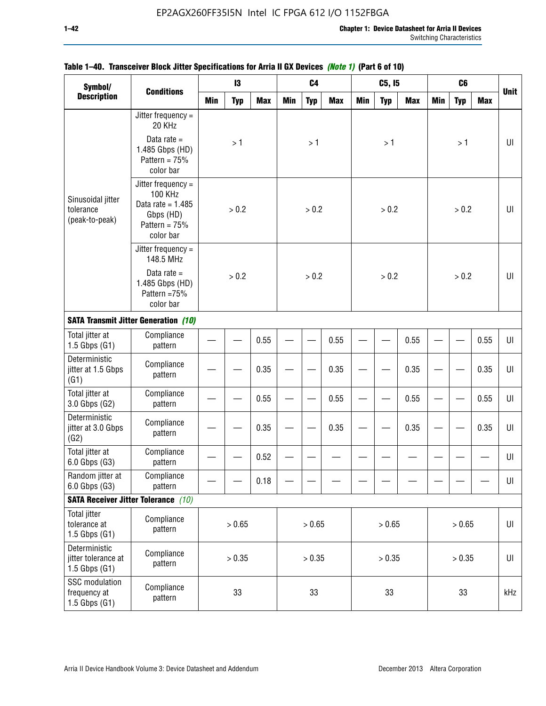| Symbol/<br><b>Description</b>                             | <b>Conditions</b>                                                                                 |            | 13         |            |        | C <sub>4</sub> |            |        | C5, I5     |            |            | C <sub>6</sub> |            |             |
|-----------------------------------------------------------|---------------------------------------------------------------------------------------------------|------------|------------|------------|--------|----------------|------------|--------|------------|------------|------------|----------------|------------|-------------|
|                                                           |                                                                                                   | <b>Min</b> | <b>Typ</b> | <b>Max</b> | Min    | <b>Typ</b>     | <b>Max</b> | Min    | <b>Typ</b> | <b>Max</b> | <b>Min</b> | <b>Typ</b>     | <b>Max</b> | <b>Unit</b> |
|                                                           | Jitter frequency $=$<br>20 KHz                                                                    |            |            |            |        |                |            |        |            |            |            |                |            |             |
|                                                           | Data rate $=$<br>1.485 Gbps (HD)<br>Pattern = $75%$<br>color bar                                  |            | >1         |            |        | >1             |            |        | >1         |            |            | >1             |            | UI          |
| Sinusoidal jitter<br>tolerance<br>(peak-to-peak)          | Jitter frequency =<br>100 KHz<br>Data rate = $1.485$<br>Gbps (HD)<br>Pattern = $75%$<br>color bar |            | > 0.2      |            |        | > 0.2          |            |        | > 0.2      |            |            | > 0.2          |            | UI          |
|                                                           | Jitter frequency $=$<br>148.5 MHz                                                                 |            |            |            |        |                |            |        |            |            |            |                |            |             |
|                                                           | Data rate $=$<br>1.485 Gbps (HD)<br>Pattern =75%<br>color bar                                     |            | > 0.2      |            |        | > 0.2          |            |        | > 0.2      |            |            | > 0.2          |            | UI          |
|                                                           | <b>SATA Transmit Jitter Generation (10)</b>                                                       |            |            |            |        |                |            |        |            |            |            |                |            |             |
| Total jitter at<br>$1.5$ Gbps $(G1)$                      | Compliance<br>pattern                                                                             | 0.55       |            |            |        |                | 0.55       |        |            | 0.55       |            |                | 0.55       | UI          |
| Deterministic<br>jitter at 1.5 Gbps<br>(G1)               | Compliance<br>pattern                                                                             |            |            | 0.35       |        |                | 0.35       |        |            | 0.35       |            |                | 0.35       | UI          |
| Total jitter at<br>3.0 Gbps (G2)                          | Compliance<br>pattern                                                                             |            |            | 0.55       |        |                | 0.55       |        |            | 0.55       |            |                | 0.55       | UI          |
| Deterministic<br>jitter at 3.0 Gbps<br>(G2)               | Compliance<br>pattern                                                                             |            |            | 0.35       |        |                | 0.35       |        |            | 0.35       |            |                | 0.35       | UI          |
| Total jitter at<br>6.0 Gbps (G3)                          | Compliance<br>pattern                                                                             |            |            | 0.52       |        |                |            |        |            |            |            |                |            | UI          |
| Random jitter at<br>6.0 Gbps (G3)                         | Compliance<br>pattern                                                                             |            |            | 0.18       |        |                |            |        |            |            |            |                |            | UI          |
|                                                           | <b>SATA Receiver Jitter Tolerance</b> (10)                                                        |            |            |            |        |                |            |        |            |            |            |                |            |             |
| <b>Total jitter</b><br>tolerance at<br>$1.5$ Gbps $(G1)$  | Compliance<br>pattern                                                                             | > 0.65     |            |            |        | > 0.65         |            |        | > 0.65     |            |            | > 0.65         |            | $U\vert$    |
| Deterministic<br>jitter tolerance at<br>$1.5$ Gbps $(G1)$ | Compliance<br>pattern                                                                             | > 0.35     |            |            | > 0.35 |                |            | > 0.35 |            |            |            | > 0.35         |            | $U\vert$    |
| SSC modulation<br>frequency at<br>$1.5$ Gbps $(G1)$       | Compliance<br>pattern                                                                             |            | 33         |            | 33     |                |            | 33     |            |            |            | 33             |            | kHz         |

## **Table 1–40. Transceiver Block Jitter Specifications for Arria II GX Devices** *(Note 1)* **(Part 6 of 10)**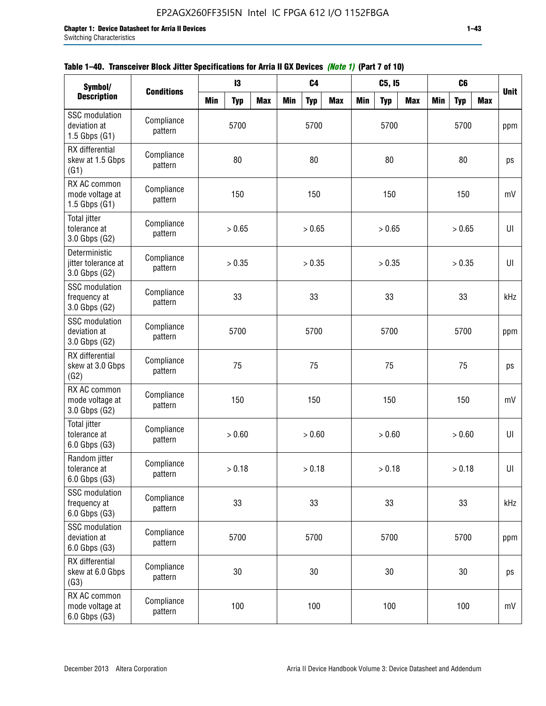| Symbol/                                                |                       |            |            | C <sub>4</sub> |            |            | C5, I5     |            |            | C <sub>6</sub> |     |            |            |             |
|--------------------------------------------------------|-----------------------|------------|------------|----------------|------------|------------|------------|------------|------------|----------------|-----|------------|------------|-------------|
| <b>Description</b>                                     | <b>Conditions</b>     | <b>Min</b> | <b>Typ</b> | <b>Max</b>     | <b>Min</b> | <b>Typ</b> | <b>Max</b> | <b>Min</b> | <b>Typ</b> | <b>Max</b>     | Min | <b>Typ</b> | <b>Max</b> | <b>Unit</b> |
| SSC modulation<br>deviation at<br>$1.5$ Gbps $(G1)$    | Compliance<br>pattern |            | 5700       |                |            | 5700       |            |            | 5700       |                |     | 5700       |            | ppm         |
| RX differential<br>skew at 1.5 Gbps<br>(G1)            | Compliance<br>pattern |            | 80         |                |            | 80         |            |            | 80         |                |     | 80         |            | ps          |
| RX AC common<br>mode voltage at<br>1.5 Gbps $(G1)$     | Compliance<br>pattern |            | 150        |                |            | 150        |            |            | 150        |                |     | 150        |            | mV          |
| Total jitter<br>tolerance at<br>3.0 Gbps (G2)          | Compliance<br>pattern |            | > 0.65     |                |            | > 0.65     |            |            | > 0.65     |                |     | > 0.65     |            | UI          |
| Deterministic<br>jitter tolerance at<br>3.0 Gbps (G2)  | Compliance<br>pattern |            | > 0.35     |                |            | > 0.35     |            |            | > 0.35     |                |     | > 0.35     |            | UI          |
| <b>SSC</b> modulation<br>frequency at<br>3.0 Gbps (G2) | Compliance<br>pattern |            | 33         |                |            | 33         |            |            | 33         |                |     | 33         |            | kHz         |
| SSC modulation<br>deviation at<br>3.0 Gbps (G2)        | Compliance<br>pattern |            | 5700       |                |            | 5700       |            |            | 5700       |                |     | 5700       |            | ppm         |
| RX differential<br>skew at 3.0 Gbps<br>(G2)            | Compliance<br>pattern |            | 75         |                | 75         |            |            |            | 75         |                |     | 75         |            | ps          |
| RX AC common<br>mode voltage at<br>3.0 Gbps (G2)       | Compliance<br>pattern |            | 150        |                | 150        |            |            | 150        |            |                |     | 150        |            | mV          |
| <b>Total jitter</b><br>tolerance at<br>6.0 Gbps (G3)   | Compliance<br>pattern |            | > 0.60     |                |            | > 0.60     |            |            | > 0.60     |                |     | > 0.60     |            | UI          |
| Random jitter<br>tolerance at<br>6.0 Gbps (G3)         | Compliance<br>pattern |            | > 0.18     |                |            | > 0.18     |            |            | > 0.18     |                |     | > 0.18     |            | UI          |
| SSC modulation<br>frequency at<br>6.0 Gbps (G3)        | Compliance<br>pattern | 33         |            |                |            | 33         |            |            | 33         |                |     | 33         |            | kHz         |
| SSC modulation<br>deviation at<br>6.0 Gbps (G3)        | Compliance<br>pattern | 5700       |            |                |            | 5700       |            | 5700       |            |                |     | 5700       |            | ppm         |
| RX differential<br>skew at 6.0 Gbps<br>(G3)            | Compliance<br>pattern | 30         |            |                | 30         |            |            | 30         |            |                |     | 30         |            | ps          |
| RX AC common<br>mode voltage at<br>6.0 Gbps (G3)       | Compliance<br>pattern |            | 100        |                | 100        |            |            | 100        |            |                |     | 100        |            | mV          |

| Table 1–40. Transceiver Block Jitter Specifications for Arria II GX Devices <i>(Note 1)</i> (Part 7 of 10) |
|------------------------------------------------------------------------------------------------------------|
|------------------------------------------------------------------------------------------------------------|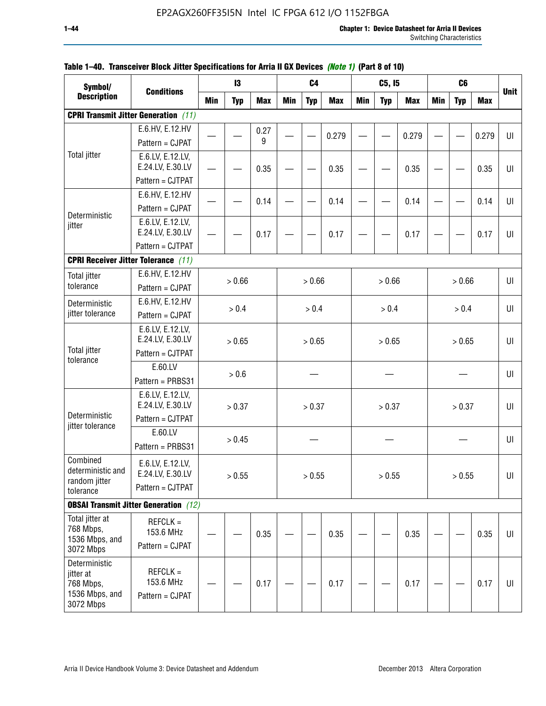| <b>Description</b><br>Min<br><b>Typ</b><br><b>Max</b><br>Min<br><b>Max</b><br><b>Min</b><br>Min<br><b>Max</b><br><b>Typ</b><br><b>Typ</b><br><b>Max</b><br><b>Typ</b><br><b>CPRI Transmit Jitter Generation</b> (11)<br>E.6.HV, E.12.HV<br>0.27<br>0.279<br>0.279<br>0.279<br>UI<br>9<br>Pattern = CJPAT<br><b>Total jitter</b><br>E.6.LV, E.12.LV,<br>E.24.LV, E.30.LV<br>0.35<br>0.35<br>0.35<br>0.35<br>Pattern = CJTPAT | Symbol/          | <b>Conditions</b> |  |  | $\mathbf{13}$ |  |  | C4 |  |  | C5, I5 | C <sub>6</sub> |             |
|-----------------------------------------------------------------------------------------------------------------------------------------------------------------------------------------------------------------------------------------------------------------------------------------------------------------------------------------------------------------------------------------------------------------------------|------------------|-------------------|--|--|---------------|--|--|----|--|--|--------|----------------|-------------|
|                                                                                                                                                                                                                                                                                                                                                                                                                             |                  |                   |  |  |               |  |  |    |  |  |        |                | <b>Unit</b> |
|                                                                                                                                                                                                                                                                                                                                                                                                                             |                  |                   |  |  |               |  |  |    |  |  |        |                |             |
|                                                                                                                                                                                                                                                                                                                                                                                                                             |                  |                   |  |  |               |  |  |    |  |  |        |                |             |
|                                                                                                                                                                                                                                                                                                                                                                                                                             |                  |                   |  |  |               |  |  |    |  |  |        |                |             |
|                                                                                                                                                                                                                                                                                                                                                                                                                             |                  |                   |  |  |               |  |  |    |  |  |        |                |             |
|                                                                                                                                                                                                                                                                                                                                                                                                                             |                  |                   |  |  |               |  |  |    |  |  |        |                | UI          |
|                                                                                                                                                                                                                                                                                                                                                                                                                             |                  |                   |  |  |               |  |  |    |  |  |        |                |             |
| E.6.HV, E.12.HV<br>0.14<br>0.14<br>0.14<br>0.14                                                                                                                                                                                                                                                                                                                                                                             |                  |                   |  |  |               |  |  |    |  |  |        |                | UI          |
| Pattern = CJPAT<br>Deterministic                                                                                                                                                                                                                                                                                                                                                                                            |                  |                   |  |  |               |  |  |    |  |  |        |                |             |
| E.6.LV, E.12.LV,<br>jitter                                                                                                                                                                                                                                                                                                                                                                                                  |                  |                   |  |  |               |  |  |    |  |  |        |                |             |
| E.24.LV, E.30.LV<br>0.17<br>0.17<br>0.17<br>0.17<br>Pattern = CJTPAT                                                                                                                                                                                                                                                                                                                                                        |                  |                   |  |  |               |  |  |    |  |  |        |                | UI          |
|                                                                                                                                                                                                                                                                                                                                                                                                                             |                  |                   |  |  |               |  |  |    |  |  |        |                |             |
| <b>CPRI Receiver Jitter Tolerance (11)</b>                                                                                                                                                                                                                                                                                                                                                                                  |                  |                   |  |  |               |  |  |    |  |  |        |                |             |
| E.6.HV, E.12.HV<br><b>Total jitter</b><br>> 0.66<br>> 0.66<br>> 0.66<br>> 0.66<br>tolerance<br>Pattern = CJPAT                                                                                                                                                                                                                                                                                                              |                  |                   |  |  |               |  |  |    |  |  |        |                | UI          |
|                                                                                                                                                                                                                                                                                                                                                                                                                             |                  |                   |  |  |               |  |  |    |  |  |        |                |             |
| E.6.HV, E.12.HV<br>Deterministic<br>> 0.4<br>> 0.4<br>> 0.4<br>> 0.4<br>jitter tolerance<br>Pattern = CJPAT                                                                                                                                                                                                                                                                                                                 |                  |                   |  |  |               |  |  |    |  |  |        |                | U           |
|                                                                                                                                                                                                                                                                                                                                                                                                                             |                  |                   |  |  |               |  |  |    |  |  |        |                |             |
| E.24.LV, E.30.LV<br>> 0.65<br>> 0.65<br>> 0.65<br>> 0.65                                                                                                                                                                                                                                                                                                                                                                    | E.6.LV, E.12.LV, |                   |  |  |               |  |  |    |  |  |        |                | U           |
| <b>Total jitter</b><br>Pattern = CJTPAT                                                                                                                                                                                                                                                                                                                                                                                     |                  |                   |  |  |               |  |  |    |  |  |        |                |             |
| tolerance<br>E.60.LV                                                                                                                                                                                                                                                                                                                                                                                                        |                  |                   |  |  |               |  |  |    |  |  |        |                |             |
| > 0.6<br>Pattern = PRBS31                                                                                                                                                                                                                                                                                                                                                                                                   |                  |                   |  |  |               |  |  |    |  |  |        |                | UI          |
| E.6.LV, E.12.LV,                                                                                                                                                                                                                                                                                                                                                                                                            |                  |                   |  |  |               |  |  |    |  |  |        |                |             |
| E.24.LV, E.30.LV<br>> 0.37<br>> 0.37<br>> 0.37<br>> 0.37                                                                                                                                                                                                                                                                                                                                                                    |                  |                   |  |  |               |  |  |    |  |  |        |                | U           |
| Deterministic<br>Pattern = CJTPAT<br>jitter tolerance                                                                                                                                                                                                                                                                                                                                                                       |                  |                   |  |  |               |  |  |    |  |  |        |                |             |
| E.60.LV<br>> 0.45                                                                                                                                                                                                                                                                                                                                                                                                           |                  |                   |  |  |               |  |  |    |  |  |        |                | UI          |
| Pattern = PRBS31                                                                                                                                                                                                                                                                                                                                                                                                            |                  |                   |  |  |               |  |  |    |  |  |        |                |             |
| Combined<br>E.6.LV, E.12.LV,                                                                                                                                                                                                                                                                                                                                                                                                |                  |                   |  |  |               |  |  |    |  |  |        |                |             |
| deterministic and<br>E.24.LV, E.30.LV<br>> 0.55<br>> 0.55<br>> 0.55<br>> 0.55<br>random jitter                                                                                                                                                                                                                                                                                                                              |                  |                   |  |  |               |  |  |    |  |  |        |                | U           |
| Pattern = CJTPAT<br>tolerance                                                                                                                                                                                                                                                                                                                                                                                               |                  |                   |  |  |               |  |  |    |  |  |        |                |             |
| <b>OBSAI Transmit Jitter Generation</b> (12)                                                                                                                                                                                                                                                                                                                                                                                |                  |                   |  |  |               |  |  |    |  |  |        |                |             |
| Total jitter at<br>$REFCLK =$                                                                                                                                                                                                                                                                                                                                                                                               |                  |                   |  |  |               |  |  |    |  |  |        |                |             |
| 768 Mbps,<br>153.6 MHz<br>0.35<br>0.35<br>0.35<br>0.35                                                                                                                                                                                                                                                                                                                                                                      |                  |                   |  |  |               |  |  |    |  |  |        |                | UI          |
| 1536 Mbps, and<br>Pattern = CJPAT<br>3072 Mbps                                                                                                                                                                                                                                                                                                                                                                              |                  |                   |  |  |               |  |  |    |  |  |        |                |             |
| Deterministic                                                                                                                                                                                                                                                                                                                                                                                                               |                  |                   |  |  |               |  |  |    |  |  |        |                |             |
| $REFCLK =$<br>jitter at                                                                                                                                                                                                                                                                                                                                                                                                     |                  |                   |  |  |               |  |  |    |  |  |        |                |             |
| 153.6 MHz<br>0.17<br>0.17<br>768 Mbps,<br>0.17<br>0.17                                                                                                                                                                                                                                                                                                                                                                      |                  |                   |  |  |               |  |  |    |  |  |        |                | UI          |
| 1536 Mbps, and<br>Pattern = CJPAT<br>3072 Mbps                                                                                                                                                                                                                                                                                                                                                                              |                  |                   |  |  |               |  |  |    |  |  |        |                |             |

## **Table 1–40. Transceiver Block Jitter Specifications for Arria II GX Devices** *(Note 1)* **(Part 8 of 10)**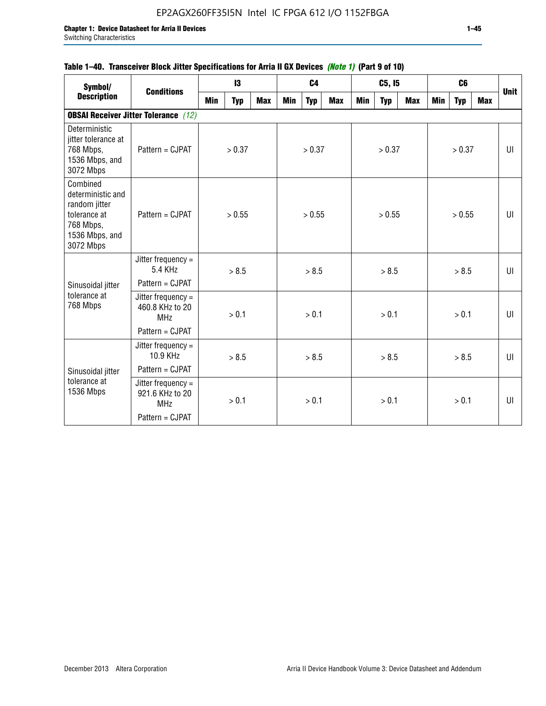| 1 auto 1 - 40. Thansucher Divun Jiller Opelinuations for Milla II an Deviuss <i>(Note II</i> (Fail 3 of IV) |                                                     |            |            |            |            |                |            |            |            |            |            |                |            |             |
|-------------------------------------------------------------------------------------------------------------|-----------------------------------------------------|------------|------------|------------|------------|----------------|------------|------------|------------|------------|------------|----------------|------------|-------------|
| Symbol/                                                                                                     | <b>Conditions</b>                                   |            | 13         |            |            | C <sub>4</sub> |            |            | C5, I5     |            |            | C <sub>6</sub> |            | <b>Unit</b> |
| <b>Description</b>                                                                                          |                                                     | <b>Min</b> | <b>Typ</b> | <b>Max</b> | <b>Min</b> | <b>Typ</b>     | <b>Max</b> | <b>Min</b> | <b>Typ</b> | <b>Max</b> | <b>Min</b> | <b>Typ</b>     | <b>Max</b> |             |
|                                                                                                             | <b>OBSAI Receiver Jitter Tolerance</b> (12)         |            |            |            |            |                |            |            |            |            |            |                |            |             |
| Deterministic<br>jitter tolerance at<br>768 Mbps,<br>1536 Mbps, and<br>3072 Mbps                            | Pattern = CJPAT                                     |            | > 0.37     |            |            | > 0.37         |            |            | > 0.37     |            |            | > 0.37         |            | UI          |
| Combined<br>deterministic and<br>random jitter<br>tolerance at<br>768 Mbps,<br>1536 Mbps, and<br>3072 Mbps  | Pattern = CJPAT                                     |            | > 0.55     |            |            | > 0.55         |            |            | > 0.55     |            |            | > 0.55         |            | UI          |
|                                                                                                             | Jitter frequency =<br>5.4 KHz                       |            | > 8.5      |            |            | > 8.5          |            |            | > 8.5      |            |            | > 8.5          |            | UI          |
| Sinusoidal jitter                                                                                           | Pattern = CJPAT                                     |            |            |            |            |                |            |            |            |            |            |                |            |             |
| tolerance at<br>768 Mbps                                                                                    | Jitter frequency =<br>460.8 KHz to 20<br><b>MHz</b> |            | > 0.1      |            |            | > 0.1          |            |            | > 0.1      |            |            | > 0.1          |            | UI          |
|                                                                                                             | Pattern = CJPAT                                     |            |            |            |            |                |            |            |            |            |            |                |            |             |
|                                                                                                             | Jitter frequency =<br>10.9 KHz                      |            | > 8.5      |            |            | > 8.5          |            |            | > 8.5      |            |            | > 8.5          |            | $U\Gamma$   |
| Sinusoidal jitter                                                                                           | Pattern = CJPAT                                     |            |            |            |            |                |            |            |            |            |            |                |            |             |
| tolerance at<br>1536 Mbps                                                                                   | Jitter frequency =<br>921.6 KHz to 20<br><b>MHz</b> |            | > 0.1      |            | > 0.1      |                | > 0.1      |            | > 0.1      |            |            | UI             |            |             |
|                                                                                                             | Pattern = CJPAT                                     |            |            |            |            |                |            |            |            |            |            |                |            |             |

# **Table 1–40. Transceiver Block Jitter Specifications for Arria II GX Devices** *(Note 1)* **(Part 9 of 10)**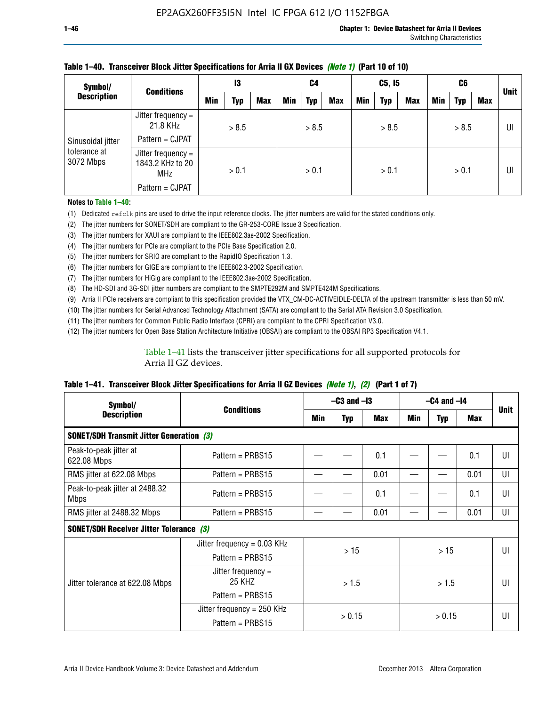| Symbol/<br><b>Conditions</b><br><b>Description</b> |                                                        | 13  |       | C4         |            | C5, I5     |            |     | C6         |            |     | <b>Unit</b> |     |    |
|----------------------------------------------------|--------------------------------------------------------|-----|-------|------------|------------|------------|------------|-----|------------|------------|-----|-------------|-----|----|
|                                                    |                                                        | Min | Typ   | <b>Max</b> | <b>Min</b> | <b>Typ</b> | <b>Max</b> | Min | <b>Typ</b> | <b>Max</b> | Min | <b>Typ</b>  | Max |    |
|                                                    | Jitter frequency =<br>21.8 KHz                         |     | > 8.5 |            |            | > 8.5      |            |     | > 8.5      |            |     | > 8.5       |     | UI |
| Sinusoidal jitter                                  | Pattern = CJPAT                                        |     |       |            |            |            |            |     |            |            |     |             |     |    |
| tolerance at<br>3072 Mbps                          | Jitter frequency $=$<br>1843.2 KHz to 20<br><b>MHz</b> |     | > 0.1 |            |            | > 0.1      |            |     | > 0.1      |            |     | > 0.1       |     | UI |
|                                                    | Pattern = CJPAT                                        |     |       |            |            |            |            |     |            |            |     |             |     |    |

### **Table 1–40. Transceiver Block Jitter Specifications for Arria II GX Devices** *(Note 1)* **(Part 10 of 10)**

**Notes to Table 1–40:**

(1) Dedicated refclk pins are used to drive the input reference clocks. The jitter numbers are valid for the stated conditions only.

(2) The jitter numbers for SONET/SDH are compliant to the GR-253-CORE Issue 3 Specification.

(3) The jitter numbers for XAUI are compliant to the IEEE802.3ae-2002 Specification.

(4) The jitter numbers for PCIe are compliant to the PCIe Base Specification 2.0.

(5) The jitter numbers for SRIO are compliant to the RapidIO Specification 1.3.

(6) The jitter numbers for GIGE are compliant to the IEEE802.3-2002 Specification.

(7) The jitter numbers for HiGig are compliant to the IEEE802.3ae-2002 Specification.

(8) The HD-SDI and 3G-SDI jitter numbers are compliant to the SMPTE292M and SMPTE424M Specifications.

(9) Arria II PCIe receivers are compliant to this specification provided the VTX\_CM-DC-ACTIVEIDLE-DELTA of the upstream transmitter is less than 50 mV.

(10) The jitter numbers for Serial Advanced Technology Attachment (SATA) are compliant to the Serial ATA Revision 3.0 Specification.

(11) The jitter numbers for Common Public Radio Interface (CPRI) are compliant to the CPRI Specification V3.0.

(12) The jitter numbers for Open Base Station Architecture Initiative (OBSAI) are compliant to the OBSAI RP3 Specification V4.1.

Table 1–41 lists the transceiver jitter specifications for all supported protocols for Arria II GZ devices.

### **Table 1–41. Transceiver Block Jitter Specifications for Arria II GZ Devices** *(Note 1)***,** *(2)* **(Part 1 of 7)**

| Symbol/                                         | <b>Conditions</b>             |     | $-C3$ and $-I3$  |      |       | $-C4$ and $-I4$ |            |             |  |
|-------------------------------------------------|-------------------------------|-----|------------------|------|-------|-----------------|------------|-------------|--|
| <b>Description</b>                              |                               | Min | <b>Typ</b>       | Max  | Min   | <b>Typ</b>      | <b>Max</b> | <b>Unit</b> |  |
| <b>SONET/SDH Transmit Jitter Generation (3)</b> |                               |     |                  |      |       |                 |            |             |  |
| Peak-to-peak jitter at<br>622.08 Mbps           | Pattern = $PRBS15$            |     |                  | 0.1  |       |                 | 0.1        | UI          |  |
| RMS jitter at 622.08 Mbps                       | Pattern = $PRBS15$            |     |                  | 0.01 |       |                 | 0.01       | UI          |  |
| Peak-to-peak jitter at 2488.32<br><b>Mbps</b>   | Pattern = $PRBS15$            |     |                  | 0.1  |       |                 | 0.1        | UI          |  |
| RMS jitter at 2488.32 Mbps                      | Pattern = $PRBS15$            |     |                  | 0.01 |       |                 | 0.01       | UI          |  |
| <b>SONET/SDH Receiver Jitter Tolerance (3)</b>  |                               |     |                  |      |       |                 |            |             |  |
|                                                 | Jitter frequency = $0.03$ KHz |     | >15              |      |       | >15             |            | UI          |  |
|                                                 | Pattern = $PRBS15$            |     |                  |      |       |                 |            |             |  |
| Jitter tolerance at 622.08 Mbps                 | Jitter frequency =<br>25 KHZ  |     | > 1.5            |      | > 1.5 |                 |            | UI          |  |
|                                                 | Pattern = $PRBS15$            |     |                  |      |       |                 |            |             |  |
|                                                 | Jitter frequency = $250$ KHz  |     | > 0.15<br>> 0.15 |      |       | UI              |            |             |  |
|                                                 | Pattern = $PRBS15$            |     |                  |      |       |                 |            |             |  |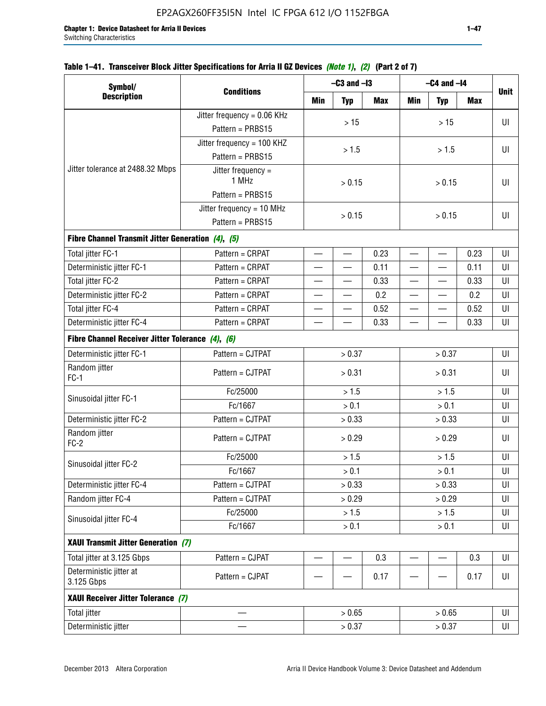# **Table 1–41. Transceiver Block Jitter Specifications for Arria II GZ Devices** *(Note 1)***,** *(2)* **(Part 2 of 7)**

| Symbol/                                           |                               |                          | $-C3$ and $-I3$          |        |                          | $-C4$ and $-I4$ |            |             |  |
|---------------------------------------------------|-------------------------------|--------------------------|--------------------------|--------|--------------------------|-----------------|------------|-------------|--|
| <b>Description</b>                                | <b>Conditions</b>             | Min                      | <b>Typ</b>               | Max    | Min                      | <b>Typ</b>      | <b>Max</b> | <b>Unit</b> |  |
|                                                   | Jitter frequency = 0.06 KHz   |                          | $>15$                    |        |                          |                 |            | UI          |  |
|                                                   | Pattern = PRBS15              |                          |                          |        |                          | >15             |            |             |  |
|                                                   | Jitter frequency = 100 KHZ    |                          |                          |        |                          |                 |            |             |  |
|                                                   | Pattern = PRBS15              |                          | > 1.5                    |        |                          | > 1.5           |            | UI          |  |
| Jitter tolerance at 2488.32 Mbps                  | Jitter frequency $=$<br>1 MHz |                          | > 0.15                   |        |                          | > 0.15          |            | UI          |  |
|                                                   | Pattern = PRBS15              |                          |                          |        |                          |                 |            |             |  |
|                                                   | Jitter frequency = $10$ MHz   |                          | > 0.15                   |        |                          |                 |            | UI          |  |
|                                                   | Pattern = PRBS15              |                          |                          | > 0.15 |                          |                 |            |             |  |
| Fibre Channel Transmit Jitter Generation (4), (5) |                               |                          |                          |        |                          |                 |            |             |  |
| Total jitter FC-1                                 | Pattern = CRPAT               | $\qquad \qquad$          | $\qquad \qquad$          | 0.23   | $\overline{\phantom{0}}$ |                 | 0.23       | UI          |  |
| Deterministic jitter FC-1                         | Pattern = CRPAT               | $\overline{\phantom{0}}$ | $\qquad \qquad$          | 0.11   | $\overline{\phantom{0}}$ |                 | 0.11       | UI          |  |
| Total jitter FC-2                                 | Pattern = CRPAT               |                          |                          | 0.33   | $\overline{\phantom{0}}$ | —               | 0.33       | UI          |  |
| Deterministic jitter FC-2                         | Pattern = CRPAT               |                          |                          | 0.2    | $\overline{\phantom{0}}$ |                 | 0.2        | UI          |  |
| Total jitter FC-4                                 | Pattern = CRPAT               |                          |                          | 0.52   |                          |                 | 0.52       | UI          |  |
| Deterministic jitter FC-4                         | Pattern = CRPAT               |                          |                          | 0.33   |                          |                 | 0.33       | UI          |  |
| Fibre Channel Receiver Jitter Tolerance (4), (6)  |                               |                          |                          |        |                          |                 |            |             |  |
| Deterministic jitter FC-1                         | Pattern = CJTPAT              | > 0.37                   |                          |        | > 0.37                   |                 | UI         |             |  |
| Random jitter<br>$FC-1$                           | Pattern = CJTPAT              |                          | > 0.31                   |        | > 0.31                   |                 |            | UI          |  |
| Sinusoidal jitter FC-1                            | Fc/25000                      |                          | > 1.5                    |        | > 1.5                    |                 |            | UI          |  |
|                                                   | Fc/1667                       |                          | > 0.1                    |        | > 0.1                    |                 |            | UI          |  |
| Deterministic jitter FC-2                         | Pattern = CJTPAT              |                          | > 0.33                   |        |                          | > 0.33          |            | UI          |  |
| Random jitter<br>$FC-2$                           | Pattern = CJTPAT              |                          | > 0.29                   |        |                          | > 0.29          |            | UI          |  |
| Sinusoidal jitter FC-2                            | Fc/25000                      |                          | > 1.5                    |        |                          | > 1.5           |            | UI          |  |
|                                                   | Fc/1667                       |                          | > 0.1                    |        |                          | > 0.1           |            | UI          |  |
| Deterministic jitter FC-4                         | Pattern = CJTPAT              |                          | > 0.33                   |        |                          | > 0.33          |            | UI          |  |
| Random jitter FC-4                                | Pattern = CJTPAT              |                          | > 0.29                   |        |                          | > 0.29          |            | UI          |  |
| Sinusoidal jitter FC-4                            | Fc/25000                      |                          | > 1.5                    |        |                          | > 1.5           |            | UI          |  |
|                                                   | Fc/1667                       |                          | > 0.1                    |        |                          | > 0.1           |            | UI          |  |
| XAUI Transmit Jitter Generation (7)               |                               |                          |                          |        |                          |                 |            |             |  |
| Total jitter at 3.125 Gbps                        | Pattern = CJPAT               | $\overline{\phantom{0}}$ | $\overline{\phantom{0}}$ | 0.3    | $\overline{\phantom{0}}$ |                 | 0.3        | UI          |  |
| Deterministic jitter at<br>3.125 Gbps             | Pattern = CJPAT               |                          |                          | 0.17   |                          |                 | 0.17       | UI          |  |
| XAUI Receiver Jitter Tolerance (7)                |                               |                          |                          |        |                          |                 |            |             |  |
| <b>Total jitter</b>                               |                               |                          | > 0.65                   |        |                          | > 0.65          |            | UI          |  |
| Deterministic jitter                              |                               | > 0.37                   |                          |        | UI                       |                 |            |             |  |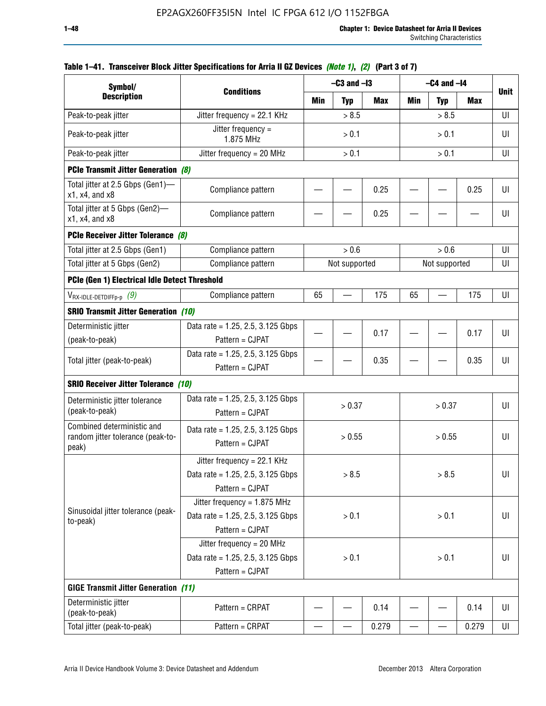| Symbol/                                                                       |                                                                                           |       | $-C3$ and $-I3$ |            |                          | $-C4$ and $-I4$ |       |             |  |
|-------------------------------------------------------------------------------|-------------------------------------------------------------------------------------------|-------|-----------------|------------|--------------------------|-----------------|-------|-------------|--|
| <b>Description</b>                                                            | <b>Conditions</b>                                                                         | Min   | <b>Typ</b>      | <b>Max</b> | Min                      | <b>Typ</b>      | Max   | <b>Unit</b> |  |
| Peak-to-peak jitter                                                           | Jitter frequency = 22.1 KHz                                                               |       | > 8.5           |            |                          | > 8.5           |       | UI          |  |
| Peak-to-peak jitter                                                           | Jitter frequency =<br>1.875 MHz                                                           |       | > 0.1           |            |                          | > 0.1           |       | UI          |  |
| Peak-to-peak jitter                                                           | Jitter frequency = $20$ MHz                                                               | > 0.1 |                 |            | > 0.1                    |                 |       | UI          |  |
| <b>PCIe Transmit Jitter Generation (8)</b>                                    |                                                                                           |       |                 |            |                          |                 |       |             |  |
| Total jitter at 2.5 Gbps (Gen1)-<br>$x1$ , $x4$ , and $x8$                    | Compliance pattern                                                                        |       |                 | 0.25       |                          |                 | 0.25  | UI          |  |
| Total jitter at 5 Gbps (Gen2)-<br>$x1$ , $x4$ , and $x8$                      | Compliance pattern                                                                        |       |                 | 0.25       |                          |                 |       | UI          |  |
| PCIe Receiver Jitter Tolerance (8)                                            |                                                                                           |       |                 |            |                          |                 |       |             |  |
| Total jitter at 2.5 Gbps (Gen1)                                               | Compliance pattern                                                                        |       | > 0.6           |            |                          | > 0.6           |       | UI          |  |
| Total jitter at 5 Gbps (Gen2)                                                 | Compliance pattern                                                                        |       | Not supported   |            |                          | Not supported   |       | UI          |  |
| PCIe (Gen 1) Electrical Idle Detect Threshold                                 |                                                                                           |       |                 |            |                          |                 |       |             |  |
| $V_{\mathsf{RX}\text{-}\mathsf{IDLE}\text{-}\mathsf{DETDIFFp\text{-}p}$ $(9)$ | Compliance pattern                                                                        | 65    |                 | 175        | 65                       |                 | 175   | UI          |  |
| <b>SRIO Transmit Jitter Generation (10)</b>                                   |                                                                                           |       |                 |            |                          |                 |       |             |  |
| Deterministic jitter                                                          | Data rate = 1.25, 2.5, 3.125 Gbps                                                         |       |                 | 0.17       |                          |                 | 0.17  | UI          |  |
| (peak-to-peak)                                                                | Pattern = CJPAT                                                                           |       |                 |            |                          |                 |       |             |  |
| Total jitter (peak-to-peak)                                                   | Data rate = 1.25, 2.5, 3.125 Gbps<br>Pattern = CJPAT                                      |       |                 | 0.35       |                          |                 | 0.35  | UI          |  |
| <b>SRIO Receiver Jitter Tolerance (10)</b>                                    |                                                                                           |       |                 |            |                          |                 |       |             |  |
| Deterministic jitter tolerance<br>(peak-to-peak)                              | Data rate = $1.25$ , 2.5, 3.125 Gbps<br>Pattern = CJPAT                                   |       | > 0.37          |            |                          | > 0.37          |       | UI          |  |
| Combined deterministic and<br>random jitter tolerance (peak-to-<br>peak)      | Data rate = $1.25$ , 2.5, 3.125 Gbps<br>Pattern = CJPAT                                   |       | > 0.55          |            |                          | > 0.55          |       | UI          |  |
|                                                                               | Jitter frequency = 22.1 KHz<br>Data rate = 1.25, 2.5, 3.125 Gbps<br>Pattern = CJPAT       |       | > 8.5           |            |                          | > 8.5           |       | UI          |  |
| Sinusoidal jitter tolerance (peak-<br>to-peak)                                | Jitter frequency = $1.875$ MHz<br>Data rate = $1.25$ , 2.5, 3.125 Gbps<br>Pattern = CJPAT |       | > 0.1           |            |                          | > 0.1           |       | UI          |  |
|                                                                               | Jitter frequency = 20 MHz<br>Data rate = $1.25$ , 2.5, 3.125 Gbps<br>Pattern = CJPAT      | > 0.1 |                 |            | > 0.1                    |                 |       | UI          |  |
| <b>GIGE Transmit Jitter Generation (11)</b>                                   |                                                                                           |       |                 |            |                          |                 |       |             |  |
| Deterministic jitter<br>(peak-to-peak)                                        | Pattern = CRPAT                                                                           |       |                 | 0.14       |                          |                 | 0.14  | UI          |  |
| Total jitter (peak-to-peak)                                                   | Pattern = CRPAT                                                                           | —     |                 | 0.279      | $\overline{\phantom{0}}$ | —               | 0.279 | UI          |  |

# **Table 1–41. Transceiver Block Jitter Specifications for Arria II GZ Devices** *(Note 1)***,** *(2)* **(Part 3 of 7)**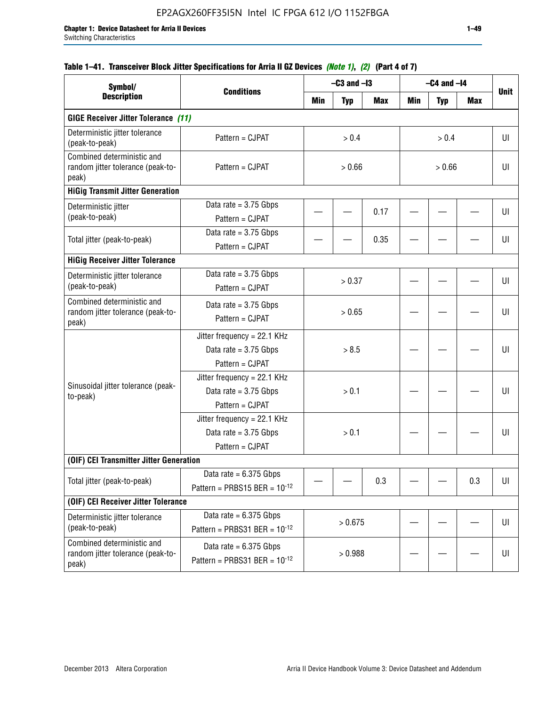| Symbol/<br><b>Description</b>                                            | <b>Conditions</b>                                                         |         | $-C3$ and $-I3$ |            |        | $-C4$ and $-I4$ |            | <b>Unit</b> |
|--------------------------------------------------------------------------|---------------------------------------------------------------------------|---------|-----------------|------------|--------|-----------------|------------|-------------|
|                                                                          |                                                                           | Min     | <b>Typ</b>      | <b>Max</b> | Min    | <b>Typ</b>      | <b>Max</b> |             |
| <b>GIGE Receiver Jitter Tolerance (11)</b>                               |                                                                           |         |                 |            |        |                 |            |             |
| Deterministic jitter tolerance<br>(peak-to-peak)                         | Pattern = CJPAT                                                           |         | > 0.4           |            |        | > 0.4           |            | UI          |
| Combined deterministic and<br>random jitter tolerance (peak-to-<br>peak) | Pattern = CJPAT                                                           | > 0.66  |                 |            | > 0.66 |                 |            | UI          |
| <b>HiGig Transmit Jitter Generation</b>                                  |                                                                           |         |                 |            |        |                 |            |             |
| Deterministic jitter<br>(peak-to-peak)                                   | Data rate $= 3.75$ Gbps<br>Pattern = CJPAT                                |         |                 | 0.17       |        |                 |            | UI          |
| Total jitter (peak-to-peak)                                              | Data rate = $3.75$ Gbps<br>Pattern = CJPAT                                |         |                 | 0.35       |        |                 |            | UI          |
| <b>HiGig Receiver Jitter Tolerance</b>                                   |                                                                           |         |                 |            |        |                 |            |             |
| Deterministic jitter tolerance<br>(peak-to-peak)                         | Data rate = $3.75$ Gbps<br>Pattern = CJPAT                                |         | > 0.37          |            |        |                 |            | UI          |
| Combined deterministic and<br>random jitter tolerance (peak-to-<br>peak) | Data rate = $3.75$ Gbps<br>Pattern = CJPAT                                | > 0.65  |                 |            |        |                 |            | UI          |
|                                                                          | Jitter frequency = 22.1 KHz<br>Data rate = $3.75$ Gbps<br>Pattern = CJPAT | > 8.5   |                 |            |        |                 | UI         |             |
| Sinusoidal jitter tolerance (peak-<br>to-peak)                           | Jitter frequency = 22.1 KHz<br>Data rate = $3.75$ Gbps<br>Pattern = CJPAT |         | > 0.1           |            |        |                 |            | UI          |
|                                                                          | Jitter frequency = 22.1 KHz<br>Data rate = $3.75$ Gbps<br>Pattern = CJPAT |         | > 0.1           |            |        |                 |            | UI          |
| (OIF) CEI Transmitter Jitter Generation                                  |                                                                           |         |                 |            |        |                 |            |             |
| Total jitter (peak-to-peak)                                              | Data rate = $6.375$ Gbps<br>Pattern = PRBS15 BER = $10^{-12}$             |         |                 | 0.3        |        |                 | 0.3        | UI          |
| (OIF) CEI Receiver Jitter Tolerance                                      |                                                                           |         |                 |            |        |                 |            |             |
| Deterministic jitter tolerance<br>(peak-to-peak)                         | Data rate = $6.375$ Gbps<br>Pattern = PRBS31 BER = $10^{-12}$             | > 0.675 |                 |            |        |                 | UI         |             |
| Combined deterministic and<br>random jitter tolerance (peak-to-<br>peak) | Data rate = $6.375$ Gbps<br>Pattern = PRBS31 BER = $10^{-12}$             | > 0.988 |                 |            |        |                 | UI         |             |

# **Table 1–41. Transceiver Block Jitter Specifications for Arria II GZ Devices** *(Note 1)***,** *(2)* **(Part 4 of 7)**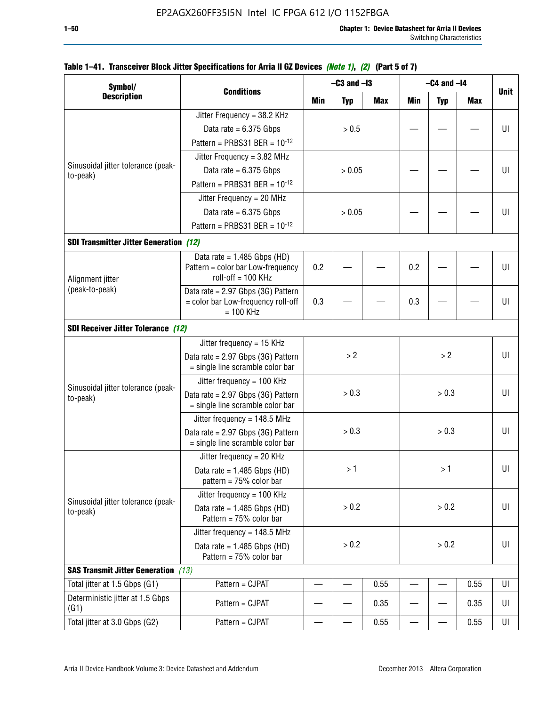| Symbol/                                        |                                                                        |       | $-C3$ and $-I3$ |       |                          | $-C4$ and $-I4$ |            |             |  |
|------------------------------------------------|------------------------------------------------------------------------|-------|-----------------|-------|--------------------------|-----------------|------------|-------------|--|
| <b>Description</b>                             | <b>Conditions</b>                                                      | Min   | <b>Typ</b>      | Max   | <b>Min</b>               | <b>Typ</b>      | <b>Max</b> | <b>Unit</b> |  |
|                                                | Jitter Frequency = 38.2 KHz                                            |       |                 |       |                          |                 |            |             |  |
|                                                | Data rate = $6.375$ Gbps                                               |       | > 0.5           |       |                          |                 |            | U           |  |
|                                                | Pattern = PRBS31 BER = $10^{-12}$                                      |       |                 |       |                          |                 |            |             |  |
|                                                | Jitter Frequency = 3.82 MHz                                            |       |                 |       |                          |                 |            |             |  |
| Sinusoidal jitter tolerance (peak-<br>to-peak) | Data rate = $6.375$ Gbps                                               |       | > 0.05          |       |                          |                 |            | UI          |  |
|                                                | Pattern = PRBS31 BER = $10^{-12}$                                      |       |                 |       |                          |                 |            |             |  |
|                                                | Jitter Frequency = 20 MHz                                              |       |                 |       |                          |                 |            |             |  |
|                                                | Data rate = $6.375$ Gbps                                               |       | > 0.05          |       |                          |                 |            | UI          |  |
|                                                | Pattern = PRBS31 BER = $10^{-12}$                                      |       |                 |       |                          |                 |            |             |  |
| <b>SDI Transmitter Jitter Generation (12)</b>  |                                                                        |       |                 |       |                          |                 |            |             |  |
|                                                | Data rate = $1.485$ Gbps (HD)                                          |       |                 |       |                          |                 |            |             |  |
| Alignment jitter                               | Pattern = color bar Low-frequency<br>roll-off = 100 KHz                | 0.2   |                 | 0.2   |                          |                 | UI         |             |  |
| (peak-to-peak)                                 | Data rate = 2.97 Gbps (3G) Pattern                                     |       |                 |       |                          |                 |            |             |  |
|                                                | = color bar Low-frequency roll-off<br>$= 100$ KHz                      | 0.3   |                 |       | 0.3                      |                 |            | UI          |  |
| <b>SDI Receiver Jitter Tolerance (12)</b>      |                                                                        |       |                 |       |                          |                 |            |             |  |
|                                                | Jitter frequency = 15 KHz                                              |       |                 |       |                          |                 |            |             |  |
|                                                | Data rate = 2.97 Gbps (3G) Pattern<br>= single line scramble color bar | >2    |                 |       |                          | >2              |            | UI          |  |
|                                                | Jitter frequency = 100 KHz                                             |       |                 |       |                          |                 |            |             |  |
| Sinusoidal jitter tolerance (peak-<br>to-peak) | Data rate = 2.97 Gbps (3G) Pattern<br>= single line scramble color bar |       | > 0.3           |       | > 0.3                    |                 |            | UI          |  |
|                                                | Jitter frequency = 148.5 MHz                                           |       |                 |       |                          |                 |            |             |  |
|                                                | Data rate = 2.97 Gbps (3G) Pattern<br>= single line scramble color bar |       | > 0.3           |       |                          | > 0.3           |            | UI          |  |
|                                                | Jitter frequency = $20$ KHz                                            |       |                 |       |                          |                 |            |             |  |
|                                                | Data rate = $1.485$ Gbps (HD)<br>pattern = $75%$ color bar             |       | >1              |       |                          | >1              |            | UI          |  |
|                                                | Jitter frequency = 100 KHz                                             |       |                 |       |                          |                 |            |             |  |
| Sinusoidal jitter tolerance (peak-<br>to-peak) | Data rate = $1.485$ Gbps (HD)<br>Pattern = $75%$ color bar             |       | > 0.2           |       |                          | > 0.2           |            | UI          |  |
|                                                | Jitter frequency = $148.5$ MHz                                         |       |                 |       |                          |                 |            |             |  |
|                                                | Data rate = $1.485$ Gbps (HD)<br>Pattern = 75% color bar               | > 0.2 |                 | > 0.2 |                          |                 | UI         |             |  |
| <b>SAS Transmit Jitter Generation</b> (13)     |                                                                        |       |                 |       |                          |                 |            |             |  |
| Total jitter at 1.5 Gbps (G1)                  | Pattern = CJPAT                                                        | 0.55  |                 |       | $\overline{\phantom{0}}$ | 0.55            | UI         |             |  |
| Deterministic jitter at 1.5 Gbps<br>(G1)       | Pattern = CJPAT                                                        | 0.35  |                 |       |                          |                 | 0.35       | UI          |  |
| Total jitter at 3.0 Gbps (G2)                  | Pattern = CJPAT                                                        |       |                 | 0.55  |                          | —               | 0.55       | UI          |  |

# **Table 1–41. Transceiver Block Jitter Specifications for Arria II GZ Devices** *(Note 1)***,** *(2)* **(Part 5 of 7)**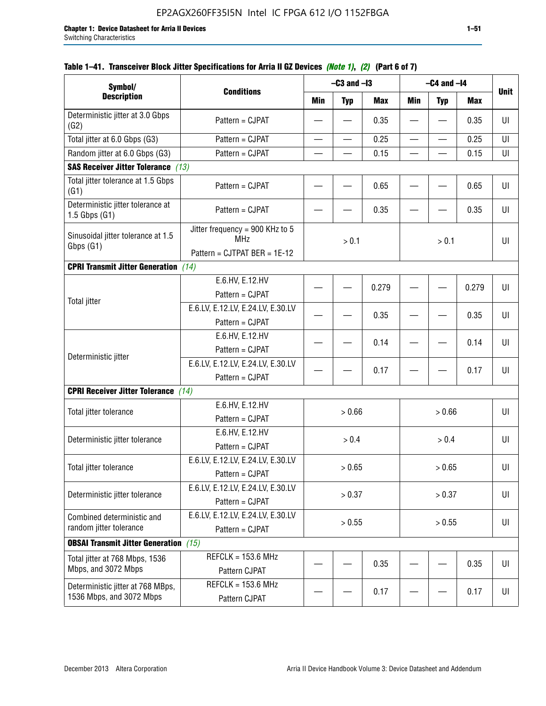| Symbol/                                                       |                                                                               |            | $-C3$ and $-I3$ |            |                          | $-C4$ and $-I4$ |            |             |
|---------------------------------------------------------------|-------------------------------------------------------------------------------|------------|-----------------|------------|--------------------------|-----------------|------------|-------------|
| <b>Description</b>                                            | <b>Conditions</b>                                                             | <b>Min</b> | <b>Typ</b>      | <b>Max</b> | <b>Min</b>               | <b>Typ</b>      | <b>Max</b> | <b>Unit</b> |
| Deterministic jitter at 3.0 Gbps<br>(G2)                      | Pattern = CJPAT                                                               |            |                 | 0.35       |                          |                 | 0.35       | U           |
| Total jitter at 6.0 Gbps (G3)                                 | Pattern = CJPAT                                                               |            |                 | 0.25       | $\overline{\phantom{0}}$ |                 | 0.25       | UI          |
| Random jitter at 6.0 Gbps (G3)                                | Pattern = CJPAT                                                               |            |                 | 0.15       |                          |                 | 0.15       | UI          |
| <b>SAS Receiver Jitter Tolerance (13)</b>                     |                                                                               |            |                 |            |                          |                 |            |             |
| Total jitter tolerance at 1.5 Gbps<br>(G1)                    | Pattern = CJPAT                                                               |            |                 | 0.65       |                          |                 | 0.65       | UI          |
| Deterministic jitter tolerance at<br>$1.5$ Gbps $(G1)$        | Pattern = CJPAT                                                               |            |                 | 0.35       |                          |                 | 0.35       | UI          |
| Sinusoidal jitter tolerance at 1.5<br>Gbps (G1)               | Jitter frequency = 900 KHz to 5<br><b>MHz</b><br>Pattern = CJTPAT BER = 1E-12 | > 0.1      |                 | > 0.1      |                          |                 | UI         |             |
| <b>CPRI Transmit Jitter Generation</b> (14)                   |                                                                               |            |                 |            |                          |                 |            |             |
|                                                               | E.6.HV, E.12.HV<br>Pattern = CJPAT                                            |            |                 | 0.279      |                          |                 | 0.279      | UI          |
| <b>Total jitter</b>                                           | E.6.LV, E.12.LV, E.24.LV, E.30.LV<br>Pattern = CJPAT                          |            |                 | 0.35       |                          |                 | 0.35       | UI          |
|                                                               | E.6.HV, E.12.HV<br>Pattern = CJPAT                                            |            |                 | 0.14       |                          |                 | 0.14       | UI          |
| Deterministic jitter                                          | E.6.LV, E.12.LV, E.24.LV, E.30.LV<br>Pattern = CJPAT                          |            |                 | 0.17       |                          |                 | 0.17       | UI          |
| <b>CPRI Receiver Jitter Tolerance</b>                         | (14)                                                                          |            |                 |            |                          |                 |            |             |
| Total jitter tolerance                                        | E.6.HV, E.12.HV<br>Pattern = CJPAT                                            |            | > 0.66          |            |                          | > 0.66          |            | UI          |
| Deterministic jitter tolerance                                | E.6.HV, E.12.HV<br>Pattern = CJPAT                                            |            | > 0.4           |            |                          | > 0.4           |            | UI          |
| Total jitter tolerance                                        | E.6.LV, E.12.LV, E.24.LV, E.30.LV<br>Pattern = CJPAT                          |            | > 0.65          |            |                          | > 0.65          |            | UI          |
| Deterministic jitter tolerance                                | E.6.LV, E.12.LV, E.24.LV, E.30.LV<br>Pattern = CJPAT                          |            | > 0.37          |            |                          | > 0.37          |            | UI          |
| Combined deterministic and<br>random jitter tolerance         | E.6.LV, E.12.LV, E.24.LV, E.30.LV<br>Pattern = CJPAT                          | > 0.55     |                 |            | > 0.55                   |                 | U          |             |
| <b>OBSAI Transmit Jitter Generation</b> (15)                  |                                                                               |            |                 |            |                          |                 |            |             |
| Total jitter at 768 Mbps, 1536<br>Mbps, and 3072 Mbps         | $REFCLK = 153.6 MHz$<br>Pattern CJPAT                                         |            |                 | 0.35       |                          |                 | 0.35       | U           |
| Deterministic jitter at 768 MBps,<br>1536 Mbps, and 3072 Mbps | $REFCLK = 153.6 MHz$<br>Pattern CJPAT                                         |            |                 | 0.17       |                          |                 | 0.17       | UI          |

# **Table 1–41. Transceiver Block Jitter Specifications for Arria II GZ Devices** *(Note 1)***,** *(2)* **(Part 6 of 7)**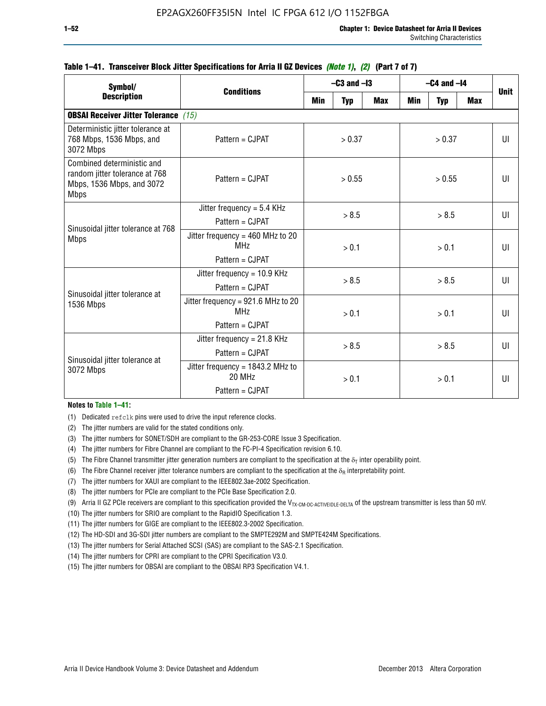| Symbol/                                                                                                  | <b>Conditions</b>                                                        |        | $-C3$ and $-I3$ |            | $-C4$ and $-I4$ | <b>Unit</b>  |              |              |
|----------------------------------------------------------------------------------------------------------|--------------------------------------------------------------------------|--------|-----------------|------------|-----------------|--------------|--------------|--------------|
| <b>Description</b>                                                                                       |                                                                          | Min    | <b>Typ</b>      | <b>Max</b> | <b>Min</b>      | <b>Typ</b>   | <b>Max</b>   |              |
| <b>OBSAI Receiver Jitter Tolerance (15)</b>                                                              |                                                                          |        |                 |            |                 |              |              |              |
| Deterministic jitter tolerance at<br>768 Mbps, 1536 Mbps, and<br>3072 Mbps                               | Pattern = CJPAT                                                          | > 0.37 |                 | > 0.37     |                 |              | $\mathbf{U}$ |              |
| Combined deterministic and<br>random jitter tolerance at 768<br>Mbps, 1536 Mbps, and 3072<br><b>Mbps</b> | Pattern = CJPAT                                                          | > 0.55 |                 |            | > 0.55          |              | $\mathbf{U}$ |              |
|                                                                                                          | Jitter frequency = $5.4$ KHz<br>Pattern = CJPAT                          | > 8.5  |                 | > 8.5      |                 |              |              | $\mathbf{U}$ |
| Sinusoidal jitter tolerance at 768<br><b>Mbps</b>                                                        | Jitter frequency = $460$ MHz to 20<br>MH <sub>7</sub><br>Pattern = CJPAT |        | > 0.1           |            |                 | > 0.1        |              | $\mathbf{U}$ |
| Sinusoidal jitter tolerance at                                                                           | Jitter frequency = $10.9$ KHz<br>Pattern = CJPAT                         | > 8.5  |                 | > 8.5      |                 |              | UI           |              |
| 1536 Mbps                                                                                                | Jitter frequency = 921.6 MHz to 20<br>MH <sub>7</sub><br>Pattern = CJPAT |        | > 0.1<br>> 0.1  |            |                 | $\mathbf{U}$ |              |              |
| Sinusoidal jitter tolerance at                                                                           | Jitter frequency = $21.8$ KHz<br>$Pattern = CJPATH$                      | > 8.5  |                 | > 8.5      |                 |              | $\mathbf{U}$ |              |
| 3072 Mbps                                                                                                | Jitter frequency = $1843.2$ MHz to<br>20 MHz<br>Pattern = CJPAT          | > 0.1  |                 | > 0.1      |                 | UI           |              |              |

### **Table 1–41. Transceiver Block Jitter Specifications for Arria II GZ Devices** *(Note 1)***,** *(2)* **(Part 7 of 7)**

#### **Notes to Table 1–41:**

(1) Dedicated refclk pins were used to drive the input reference clocks.

- (2) The jitter numbers are valid for the stated conditions only.
- (3) The jitter numbers for SONET/SDH are compliant to the GR-253-CORE Issue 3 Specification.
- (4) The jitter numbers for Fibre Channel are compliant to the FC-PI-4 Specification revision 6.10.
- (5) The Fibre Channel transmitter jitter generation numbers are compliant to the specification at the  $\delta_T$  inter operability point.
- (6) The Fibre Channel receiver jitter tolerance numbers are compliant to the specification at the  $\delta_R$  interpretability point.
- (7) The jitter numbers for XAUI are compliant to the IEEE802.3ae-2002 Specification.
- (8) The jitter numbers for PCIe are compliant to the PCIe Base Specification 2.0.
- (9) Arria II GZ PCIe receivers are compliant to this specification provided the V<sub>TX-CM-DC-ACTIVEIDLE-DELTA</sub> of the upstream transmitter is less than 50 mV.
- (10) The jitter numbers for SRIO are compliant to the RapidIO Specification 1.3.
- (11) The jitter numbers for GIGE are compliant to the IEEE802.3-2002 Specification.
- (12) The HD-SDI and 3G-SDI jitter numbers are compliant to the SMPTE292M and SMPTE424M Specifications.
- (13) The jitter numbers for Serial Attached SCSI (SAS) are compliant to the SAS-2.1 Specification.
- (14) The jitter numbers for CPRI are compliant to the CPRI Specification V3.0.
- (15) The jitter numbers for OBSAI are compliant to the OBSAI RP3 Specification V4.1.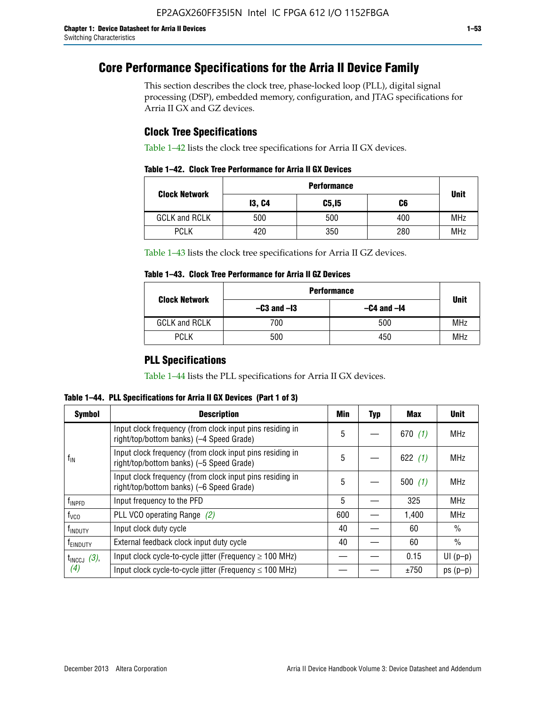# **Core Performance Specifications for the Arria II Device Family**

This section describes the clock tree, phase-locked loop (PLL), digital signal processing (DSP), embedded memory, configuration, and JTAG specifications for Arria II GX and GZ devices.

# **Clock Tree Specifications**

Table 1–42 lists the clock tree specifications for Arria II GX devices.

|  |  |  |  | Table 1–42. Clock Tree Performance for Arria II GX Devices |
|--|--|--|--|------------------------------------------------------------|
|--|--|--|--|------------------------------------------------------------|

|                      | <b>Performance</b> |        |     |             |  |  |  |  |
|----------------------|--------------------|--------|-----|-------------|--|--|--|--|
| <b>Clock Network</b> | <b>13, C4</b>      | C5, I5 | C6  | <b>Unit</b> |  |  |  |  |
| <b>GCLK and RCLK</b> | 500                | 500    | 400 | <b>MHz</b>  |  |  |  |  |
| <b>PCLK</b>          | 420                | 350    | 280 | <b>MHz</b>  |  |  |  |  |

Table 1–43 lists the clock tree specifications for Arria II GZ devices.

### **Table 1–43. Clock Tree Performance for Arria II GZ Devices**

| <b>Clock Network</b> | <b>Performance</b> |             |            |  |  |  |  |
|----------------------|--------------------|-------------|------------|--|--|--|--|
|                      | $-C3$ and $-I3$    | <b>Unit</b> |            |  |  |  |  |
| <b>GCLK and RCLK</b> | 700                | 500         | <b>MHz</b> |  |  |  |  |
| <b>PCLK</b>          | 500                | 450         | <b>MHz</b> |  |  |  |  |

# **PLL Specifications**

Table 1–44 lists the PLL specifications for Arria II GX devices.

**Table 1–44. PLL Specifications for Arria II GX Devices (Part 1 of 3)**

| <b>Symbol</b>              | <b>Description</b>                                                                                   | Min | <b>Typ</b> | Max       | <b>Unit</b>   |
|----------------------------|------------------------------------------------------------------------------------------------------|-----|------------|-----------|---------------|
|                            | Input clock frequency (from clock input pins residing in<br>right/top/bottom banks) (-4 Speed Grade) | 5   |            | 670(1)    | <b>MHz</b>    |
| $f_{\parallel N}$          | Input clock frequency (from clock input pins residing in<br>right/top/bottom banks) (-5 Speed Grade) |     |            | 622 $(1)$ | <b>MHz</b>    |
|                            | Input clock frequency (from clock input pins residing in<br>right/top/bottom banks) (-6 Speed Grade) |     |            | 500(1)    | <b>MHz</b>    |
| f <sub>INPFD</sub>         | Input frequency to the PFD                                                                           |     |            | 325       | <b>MHz</b>    |
| $f_{\rm VCO}$              | PLL VCO operating Range (2)                                                                          |     |            | 1,400     | <b>MHz</b>    |
| <b>f</b> <sub>INDUTY</sub> | Input clock duty cycle                                                                               |     |            | 60        | $\frac{0}{0}$ |
| T <sub>EINDUTY</sub>       | External feedback clock input duty cycle                                                             |     |            | 60        | $\frac{0}{0}$ |
| $t_{\text{INCCJ}}$ (3),    | Input clock cycle-to-cycle jitter (Frequency $\geq$ 100 MHz)                                         |     |            | 0.15      | $UI(p-p)$     |
| (4)                        | Input clock cycle-to-cycle jitter (Frequency $\leq 100$ MHz)                                         |     |            | ±750      | $ps(p-p)$     |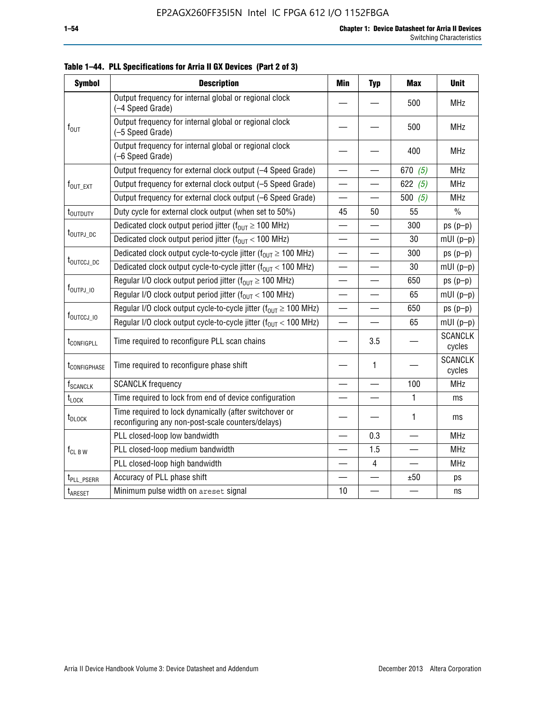| <b>Symbol</b>               | <b>Description</b>                                                                                          | Min                      | <b>Typ</b>               | <b>Max</b> | <b>Unit</b>              |
|-----------------------------|-------------------------------------------------------------------------------------------------------------|--------------------------|--------------------------|------------|--------------------------|
|                             | Output frequency for internal global or regional clock<br>(-4 Speed Grade)                                  |                          |                          | 500        | <b>MHz</b>               |
| $f_{\text{OUT}}$            | Output frequency for internal global or regional clock<br>(-5 Speed Grade)                                  |                          |                          | 500        | <b>MHz</b>               |
|                             | Output frequency for internal global or regional clock<br>(-6 Speed Grade)                                  |                          |                          | 400        | <b>MHz</b>               |
|                             | Output frequency for external clock output (-4 Speed Grade)                                                 | $\overline{\phantom{0}}$ |                          | 670 $(5)$  | <b>MHz</b>               |
| $f_{\text{OUT\_EXT}}$       | Output frequency for external clock output (-5 Speed Grade)                                                 |                          |                          | 622 $(5)$  | <b>MHz</b>               |
|                             | Output frequency for external clock output (-6 Speed Grade)                                                 | $\overline{\phantom{0}}$ |                          | 500 $(5)$  | <b>MHz</b>               |
| t <sub>outduty</sub>        | Duty cycle for external clock output (when set to 50%)                                                      | 45                       | 50                       | 55         | $\frac{0}{0}$            |
|                             | Dedicated clock output period jitter ( $f_{OIII} \ge 100$ MHz)                                              |                          |                          | 300        | $ps(p-p)$                |
| t <sub>outpj_dc</sub>       | Dedicated clock output period jitter ( $f_{OUT}$ < 100 MHz)                                                 |                          |                          | 30         | $mUI(p-p)$               |
|                             | Dedicated clock output cycle-to-cycle jitter ( $f_{OIIT} \ge 100$ MHz)                                      |                          |                          | 300        | $ps(p-p)$                |
| t <sub>outccj_pc</sub>      | Dedicated clock output cycle-to-cycle jitter ( $f_{OUT}$ < 100 MHz)                                         |                          |                          | 30         | $mUI(p-p)$               |
|                             | Regular I/O clock output period jitter ( $f_{OUT} \ge 100$ MHz)                                             |                          |                          | 650        | $ps(p-p)$                |
| f <sub>outpj_io</sub>       | Regular I/O clock output period jitter ( $f_{OUT}$ < 100 MHz)                                               | $\overline{\phantom{0}}$ | $\overline{\phantom{0}}$ | 65         | $mUI(p-p)$               |
|                             | Regular I/O clock output cycle-to-cycle jitter ( $f_{OUT} \ge 100$ MHz)                                     |                          |                          | 650        | $ps(p-p)$                |
| f <sub>outccj_io</sub>      | Regular I/O clock output cycle-to-cycle jitter $(f_{OIII} < 100 \text{ MHz})$                               |                          |                          | 65         | $mUI(p-p)$               |
| t <sub>configpll</sub>      | Time required to reconfigure PLL scan chains                                                                |                          | 3.5                      |            | <b>SCANCLK</b><br>cycles |
| t <sub>configphase</sub>    | Time required to reconfigure phase shift                                                                    |                          | 1                        |            | <b>SCANCLK</b><br>cycles |
| <b>f</b> <sub>SCANCLK</sub> | <b>SCANCLK</b> frequency                                                                                    |                          |                          | 100        | <b>MHz</b>               |
| $t_{\text{LOCK}}$           | Time required to lock from end of device configuration                                                      |                          |                          | 1          | ms                       |
| t <sub>DLOCK</sub>          | Time required to lock dynamically (after switchover or<br>reconfiguring any non-post-scale counters/delays) |                          |                          | 1          | ms                       |
|                             | PLL closed-loop low bandwidth                                                                               |                          | 0.3                      |            | <b>MHz</b>               |
| $f_{CL~B~W}$                | PLL closed-loop medium bandwidth                                                                            |                          | 1.5                      |            | <b>MHz</b>               |
|                             | PLL closed-loop high bandwidth                                                                              |                          | 4                        |            | <b>MHz</b>               |
| t <sub>PLL_PSERR</sub>      | Accuracy of PLL phase shift                                                                                 |                          |                          | ±50        | ps                       |
| t <sub>ARESET</sub>         | Minimum pulse width on areset signal                                                                        | 10                       |                          |            | ns                       |

**Table 1–44. PLL Specifications for Arria II GX Devices (Part 2 of 3)**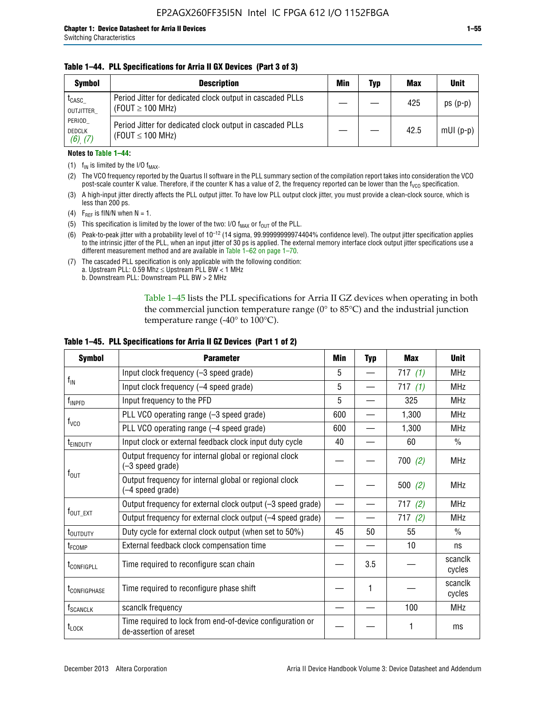### **Table 1–44. PLL Specifications for Arria II GX Devices (Part 3 of 3)**

| <b>Symbol</b>                            | <b>Description</b>                                                                 | Min | Typ | <b>Max</b> | <b>Unit</b> |
|------------------------------------------|------------------------------------------------------------------------------------|-----|-----|------------|-------------|
| t <sub>CASC</sub><br>OUTJITTER           | Period Jitter for dedicated clock output in cascaded PLLs<br>(FOUT $\geq$ 100 MHz) |     |     | 425        | $ps(p-p)$   |
| PERIOD<br><b>DEDCLK</b><br>$(6)$ , $(7)$ | Period Jitter for dedicated clock output in cascaded PLLs<br>(FOUT $\leq$ 100 MHz) |     |     | 42.5       | $mUI(p-p)$  |

#### **Notes to Table 1–44:**

- (1)  $f_{IN}$  is limited by the I/O  $f_{MAX}$ .
- (2) The VCO frequency reported by the Quartus II software in the PLL summary section of the compilation report takes into consideration the VCO post-scale counter K value. Therefore, if the counter K has a value of 2, the frequency reported can be lower than the f<sub>VCO</sub> specification.
- (3) A high-input jitter directly affects the PLL output jitter. To have low PLL output clock jitter, you must provide a clean-clock source, which is less than 200 ps.
- (4) F<sub>REF</sub> is fIN/N when N = 1.
- (5) This specification is limited by the lower of the two: I/O  $f_{MAX}$  or  $f_{OUT}$  of the PLL.
- (6) Peak-to-peak jitter with a probability level of 10–12 (14 sigma, 99.99999999974404% confidence level). The output jitter specification applies to the intrinsic jitter of the PLL, when an input jitter of 30 ps is applied. The external memory interface clock output jitter specifications use a different measurement method and are available in Table 1–62 on page 1–70.
- (7) The cascaded PLL specification is only applicable with the following condition: a. Upstream PLL:  $0.59$  Mhz  $\leq$  Upstream PLL BW  $<$  1 MHz
	- b. Downstream PLL: Downstream PLL BW > 2 MHz

Table 1–45 lists the PLL specifications for Arria II GZ devices when operating in both the commercial junction temperature range (0° to 85°C) and the industrial junction temperature range (-40 $\degree$  to 100 $\degree$ C).

| <b>Symbol</b>                                      | Min<br><b>Parameter</b>                                                             |     | <b>Typ</b> | <b>Max</b> | <b>Unit</b>       |
|----------------------------------------------------|-------------------------------------------------------------------------------------|-----|------------|------------|-------------------|
|                                                    | Input clock frequency (-3 speed grade)<br>5                                         |     |            | 717(1)     | <b>MHz</b>        |
| $f_{IN}$<br>Input clock frequency (-4 speed grade) |                                                                                     | 5   |            | 717(1)     | <b>MHz</b>        |
| $f_{\mathsf{INPPD}}$                               | Input frequency to the PFD                                                          | 5   |            | 325        | <b>MHz</b>        |
|                                                    | PLL VCO operating range (-3 speed grade)                                            | 600 |            | 1,300      | <b>MHz</b>        |
| $f_{\rm VCO}$                                      | PLL VCO operating range (-4 speed grade)                                            | 600 |            | 1,300      | <b>MHz</b>        |
| <b>TEINDUTY</b>                                    | Input clock or external feedback clock input duty cycle                             | 40  |            | 60         | $\frac{0}{0}$     |
|                                                    | Output frequency for internal global or regional clock<br>(-3 speed grade)          |     |            | 700(2)     | <b>MHz</b>        |
| $f_{\text{OUT}}$                                   | Output frequency for internal global or regional clock<br>(-4 speed grade)          |     |            | 500(2)     | <b>MHz</b>        |
|                                                    | Output frequency for external clock output (-3 speed grade)                         |     |            | 717(2)     | <b>MHz</b>        |
| $f_{\text{OUT\_EXT}}$                              | Output frequency for external clock output (-4 speed grade)                         |     |            | 717(2)     | <b>MHz</b>        |
| t <sub>outduty</sub>                               | Duty cycle for external clock output (when set to 50%)                              | 45  | 50         | 55         | $\frac{0}{0}$     |
| t <sub>FCOMP</sub>                                 | External feedback clock compensation time                                           |     |            | 10         | ns                |
| t <sub>configpll</sub>                             | Time required to reconfigure scan chain                                             |     | 3.5        |            | scanclk<br>cycles |
| <b><i>LCONFIGPHASE</i></b>                         | Time required to reconfigure phase shift                                            |     | 1          |            | scanclk<br>cycles |
| f <sub>SCANCLK</sub>                               | scanclk frequency                                                                   |     |            | 100        | <b>MHz</b>        |
| $t_{\text{LOCK}}$                                  | Time required to lock from end-of-device configuration or<br>de-assertion of areset |     |            |            | ms                |

### **Table 1–45. PLL Specifications for Arria II GZ Devices (Part 1 of 2)**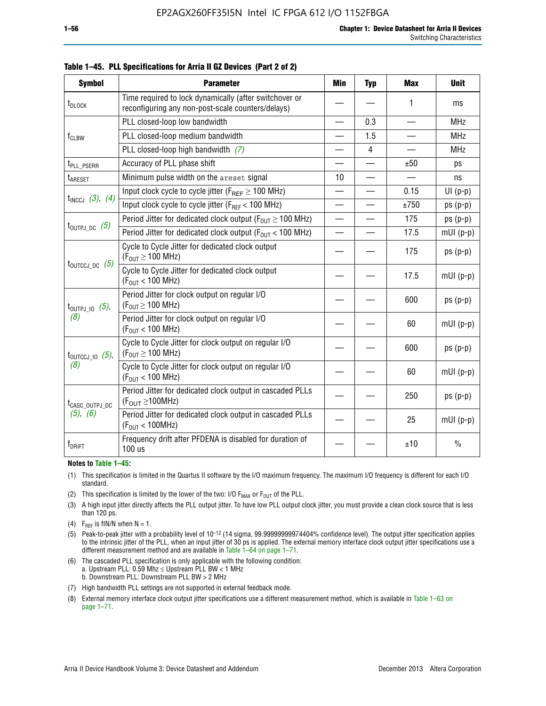| <b>Symbol</b>                | <b>Parameter</b>                                                                                            | <b>Min</b>               | <b>Typ</b> | <b>Max</b>               | <b>Unit</b>   |
|------------------------------|-------------------------------------------------------------------------------------------------------------|--------------------------|------------|--------------------------|---------------|
| $t_{\text{DLOCK}}$           | Time required to lock dynamically (after switchover or<br>reconfiguring any non-post-scale counters/delays) |                          |            | 1                        | ms            |
|                              | PLL closed-loop low bandwidth                                                                               |                          | 0.3        |                          | <b>MHz</b>    |
| $f_{CLBW}$                   | PLL closed-loop medium bandwidth                                                                            | $\overline{\phantom{0}}$ | 1.5        | $\overline{\phantom{0}}$ | <b>MHz</b>    |
|                              | PLL closed-loop high bandwidth (7)                                                                          |                          | 4          |                          | <b>MHz</b>    |
| t <sub>PLL</sub> PSERR       | Accuracy of PLL phase shift                                                                                 |                          |            | ±50                      | ps            |
| t <sub>ARESET</sub>          | Minimum pulse width on the areset signal                                                                    | 10                       | $\equiv$   |                          | ns            |
|                              | Input clock cycle to cycle jitter ( $F_{REF} \ge 100$ MHz)                                                  | $\overline{\phantom{0}}$ |            | 0.15                     | $UI(p-p)$     |
| $t_{INCCJ}$ (3), (4)         | Input clock cycle to cycle jitter (F <sub>REF</sub> < 100 MHz)                                              |                          |            | ±750                     | $ps(p-p)$     |
|                              | Period Jitter for dedicated clock output ( $F_{OUT} \ge 100$ MHz)                                           | $\equiv$                 |            | 175                      | $ps(p-p)$     |
| $t_{\text{OUTPJ\_DC}}$ (5)   | Period Jitter for dedicated clock output ( $F_{OIII}$ < 100 MHz)                                            | —                        |            | 17.5                     | $mUI(p-p)$    |
| $t_{\text{OUTCCJ\_DC}}$ (5)  | Cycle to Cycle Jitter for dedicated clock output<br>$(F_{OUT} \ge 100$ MHz)                                 |                          |            | 175                      | $ps(p-p)$     |
|                              | Cycle to Cycle Jitter for dedicated clock output<br>$(F_{OUT} < 100$ MHz)                                   |                          |            | 17.5                     | $mUI(p-p)$    |
| $t_{\text{OUTPJ\_IO}}$ (5),  | Period Jitter for clock output on regular I/O<br>$(F_{OUT} \geq 100$ MHz)                                   |                          |            | 600                      | $ps(p-p)$     |
| (8)                          | Period Jitter for clock output on regular I/O<br>$(F_{OUT}$ < 100 MHz)                                      |                          |            | 60                       | $mUI(p-p)$    |
| $t_{\text{OUTCCJ\_IO}}$ (5), | Cycle to Cycle Jitter for clock output on regular I/O<br>$(F_{OUT} \ge 100$ MHz)                            |                          |            | 600                      | $ps(p-p)$     |
| (8)                          | Cycle to Cycle Jitter for clock output on regular I/O<br>$(F_{OUT} < 100$ MHz)                              |                          |            | 60                       | $mUI(p-p)$    |
| t <sub>CASC_OUTPJ_DC</sub>   | Period Jitter for dedicated clock output in cascaded PLLs<br>$(F_{\text{OUT}} \ge 100 \text{MHz})$          |                          |            | 250                      | $ps(p-p)$     |
| (5), (6)                     | Period Jitter for dedicated clock output in cascaded PLLs<br>(F <sub>OUT</sub> < 100MHz)                    |                          |            | 25                       | $mUI(p-p)$    |
| f <sub>DRIFT</sub>           | Frequency drift after PFDENA is disabled for duration of<br>100 us                                          |                          |            | ±10                      | $\frac{0}{0}$ |

**Table 1–45. PLL Specifications for Arria II GZ Devices (Part 2 of 2)**

#### **Notes to Table 1–45:**

- (1) This specification is limited in the Quartus II software by the I/O maximum frequency. The maximum I/O frequency is different for each I/O standard.
- (2) This specification is limited by the lower of the two: I/O  $F_{MAX}$  or  $F_{OUT}$  of the PLL.
- (3) A high input jitter directly affects the PLL output jitter. To have low PLL output clock jitter, you must provide a clean clock source that is less than 120 ps.
- (4) F<sub>REF</sub> is fIN/N when  $N = 1$ .
- (5) Peak-to-peak jitter with a probability level of 10–12 (14 sigma, 99.99999999974404% confidence level). The output jitter specification applies to the intrinsic jitter of the PLL, when an input jitter of 30 ps is applied. The external memory interface clock output jitter specifications use a different measurement method and are available in Table 1–64 on page 1–71.
- (6) The cascaded PLL specification is only applicable with the following condition: a. Upstream PLL: 0.59 Mhz  $\leq$  Upstream PLL BW  $<$  1 MHz b. Downstream PLL: Downstream PLL BW > 2 MHz
- (7) High bandwidth PLL settings are not supported in external feedback mode.
- (8) External memory interface clock output jitter specifications use a different measurement method, which is available in Table 1–63 on page 1–71.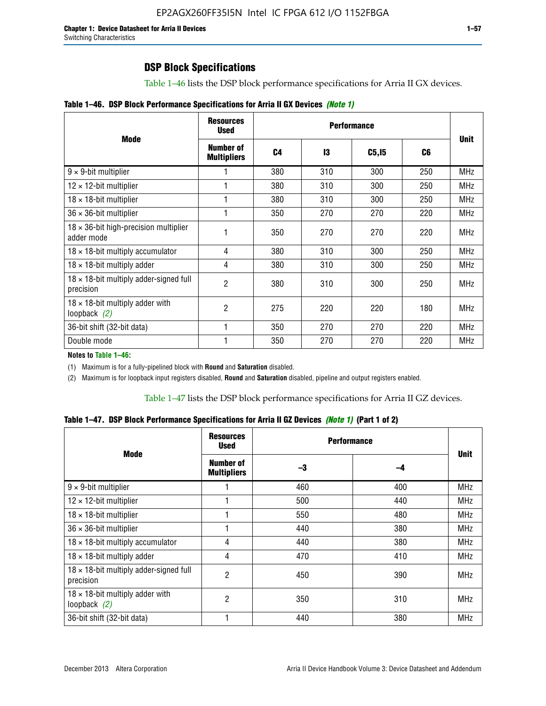# **DSP Block Specifications**

Table 1–46 lists the DSP block performance specifications for Arria II GX devices.

| Table 1-46. DSP Block Performance Specifications for Arria II GX Devices (Note 1) |
|-----------------------------------------------------------------------------------|
|-----------------------------------------------------------------------------------|

|                                                             | <b>Resources</b><br><b>Used</b> |     |     |                   |     |             |
|-------------------------------------------------------------|---------------------------------|-----|-----|-------------------|-----|-------------|
| <b>Mode</b>                                                 | Number of<br><b>Multipliers</b> | C4  | 13  | C <sub>5,15</sub> | C6  | <b>Unit</b> |
| $9 \times 9$ -bit multiplier                                |                                 | 380 | 310 | 300               | 250 | <b>MHz</b>  |
| $12 \times 12$ -bit multiplier                              |                                 | 380 | 310 | 300               | 250 | <b>MHz</b>  |
| $18 \times 18$ -bit multiplier                              |                                 | 380 | 310 | 300               | 250 | <b>MHz</b>  |
| $36 \times 36$ -bit multiplier                              |                                 | 350 | 270 | 270               | 220 | <b>MHz</b>  |
| $18 \times 36$ -bit high-precision multiplier<br>adder mode |                                 | 350 | 270 | 270               | 220 | <b>MHz</b>  |
| $18 \times 18$ -bit multiply accumulator                    | 4                               | 380 | 310 | 300               | 250 | <b>MHz</b>  |
| $18 \times 18$ -bit multiply adder                          | 4                               | 380 | 310 | 300               | 250 | <b>MHz</b>  |
| $18 \times 18$ -bit multiply adder-signed full<br>precision | $\overline{2}$                  | 380 | 310 | 300               | 250 | <b>MHz</b>  |
| $18 \times 18$ -bit multiply adder with<br>loopback $(2)$   | $\mathfrak{p}$                  | 275 | 220 | 220               | 180 | <b>MHz</b>  |
| 36-bit shift (32-bit data)                                  |                                 | 350 | 270 | 270               | 220 | <b>MHz</b>  |
| Double mode                                                 |                                 | 350 | 270 | 270               | 220 | <b>MHz</b>  |

**Notes to Table 1–46:**

(1) Maximum is for a fully-pipelined block with **Round** and **Saturation** disabled.

(2) Maximum is for loopback input registers disabled, **Round** and **Saturation** disabled, pipeline and output registers enabled.

Table 1–47 lists the DSP block performance specifications for Arria II GZ devices.

**Table 1–47. DSP Block Performance Specifications for Arria II GZ Devices** *(Note 1)* **(Part 1 of 2)**

| <b>Mode</b>                                               | <b>Resources</b><br><b>Used</b> | <b>Performance</b> |     | <b>Unit</b> |
|-----------------------------------------------------------|---------------------------------|--------------------|-----|-------------|
|                                                           | Number of<br><b>Multipliers</b> | -3                 | -4  |             |
| $9 \times 9$ -bit multiplier                              |                                 | 460                | 400 | <b>MHz</b>  |
| $12 \times 12$ -bit multiplier                            |                                 | 500                | 440 | <b>MHz</b>  |
| $18 \times 18$ -bit multiplier                            |                                 | 550                | 480 | <b>MHz</b>  |
| $36 \times 36$ -bit multiplier                            |                                 | 440                | 380 | MHz         |
| $18 \times 18$ -bit multiply accumulator                  | 4                               | 440                | 380 | MHz         |
| $18 \times 18$ -bit multiply adder                        | 4                               | 470                | 410 | <b>MHz</b>  |
| 18 x 18-bit multiply adder-signed full<br>precision       | 2                               | 450                | 390 | <b>MHz</b>  |
| $18 \times 18$ -bit multiply adder with<br>loopback $(2)$ | 2                               | 350                | 310 | <b>MHz</b>  |
| 36-bit shift (32-bit data)                                |                                 | 440                | 380 | <b>MHz</b>  |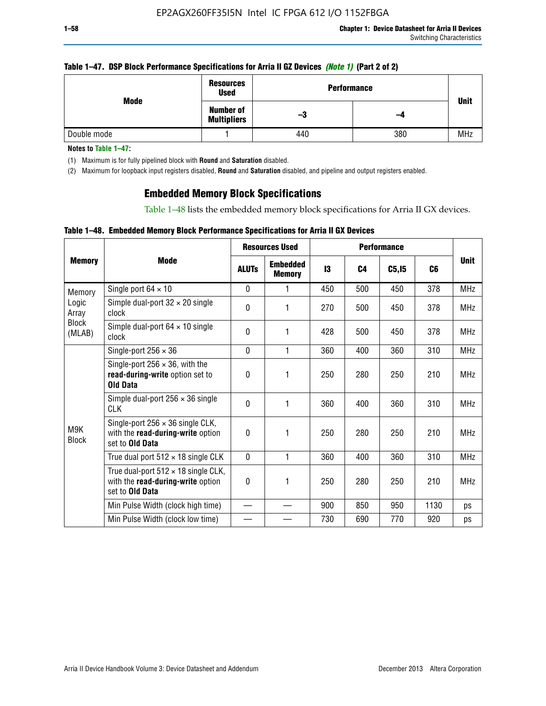|  | Table 1–47. DSP Block Performance Specifications for Arria II GZ Devices (Note 1) (Part 2 of 2) |  |
|--|-------------------------------------------------------------------------------------------------|--|
|  |                                                                                                 |  |

| Mode        | <b>Resources</b><br><b>Used</b>        | <b>Performance</b> |     |             |  |  |
|-------------|----------------------------------------|--------------------|-----|-------------|--|--|
|             | <b>Number of</b><br><b>Multipliers</b> | -3                 | -4  | <b>Unit</b> |  |  |
| Double mode |                                        | 440                | 380 | <b>MHz</b>  |  |  |

**Notes to Table 1–47:**

(1) Maximum is for fully pipelined block with **Round** and **Saturation** disabled.

(2) Maximum for loopback input registers disabled, **Round** and **Saturation** disabled, and pipeline and output registers enabled.

# **Embedded Memory Block Specifications**

Table 1–48 lists the embedded memory block specifications for Arria II GX devices.

|  |  | Table 1–48. Embedded Memory Block Performance Specifications for Arria II GX Devices |  |  |
|--|--|--------------------------------------------------------------------------------------|--|--|
|--|--|--------------------------------------------------------------------------------------|--|--|

|                                          |                                                                                                        | <b>Resources Used</b> |                                  |     |                |        |                |             |
|------------------------------------------|--------------------------------------------------------------------------------------------------------|-----------------------|----------------------------------|-----|----------------|--------|----------------|-------------|
| <b>Memory</b>                            | Mode                                                                                                   | <b>ALUTs</b>          | <b>Embedded</b><br><b>Memory</b> | 13  | C <sub>4</sub> | C5, I5 | C <sub>6</sub> | <b>Unit</b> |
| Memory                                   | Single port $64 \times 10$                                                                             | $\Omega$              |                                  | 450 | 500            | 450    | 378            | <b>MHz</b>  |
| Logic<br>Array<br><b>Block</b><br>(MLAB) | Simple dual-port $32 \times 20$ single<br>clock                                                        | $\Omega$              | 1                                | 270 | 500            | 450    | 378            | <b>MHz</b>  |
|                                          | Simple dual-port $64 \times 10$ single<br>clock                                                        | $\theta$              | 1                                | 428 | 500            | 450    | 378            | <b>MHz</b>  |
| M9K<br><b>Block</b>                      | Single-port $256 \times 36$                                                                            | $\mathbf{0}$          | 1                                | 360 | 400            | 360    | 310            | <b>MHz</b>  |
|                                          | Single-port $256 \times 36$ , with the<br>read-during-write option set to<br><b>Old Data</b>           | $\Omega$              | 1                                | 250 | 280            | 250    | 210            | <b>MHz</b>  |
|                                          | Simple dual-port $256 \times 36$ single<br><b>CLK</b>                                                  | $\Omega$              | 1                                | 360 | 400            | 360    | 310            | <b>MHz</b>  |
|                                          | Single-port $256 \times 36$ single CLK,<br>with the read-during-write option<br>set to <b>Old Data</b> | $\theta$              | 1                                | 250 | 280            | 250    | 210            | <b>MHz</b>  |
|                                          | True dual port $512 \times 18$ single CLK                                                              | $\Omega$              | 1                                | 360 | 400            | 360    | 310            | <b>MHz</b>  |
|                                          | True dual-port $512 \times 18$ single CLK,<br>with the read-during-write option<br>set to Old Data     | 0                     | 1                                | 250 | 280            | 250    | 210            | <b>MHz</b>  |
|                                          | Min Pulse Width (clock high time)                                                                      |                       |                                  | 900 | 850            | 950    | 1130           | ps          |
|                                          | Min Pulse Width (clock low time)                                                                       |                       |                                  | 730 | 690            | 770    | 920            | ps          |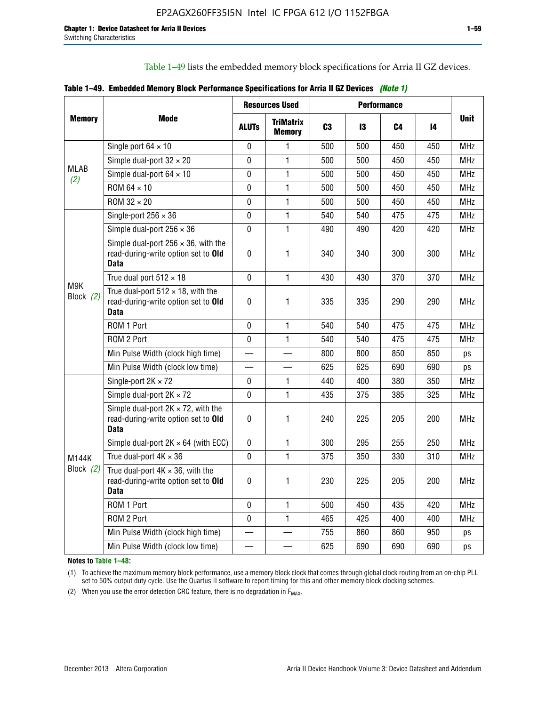Table 1–49 lists the embedded memory block specifications for Arria II GZ devices.

|  |  | Table 1–49. Embedded Memory Block Performance Specifications for Arria II GZ Devices (Note 1) |  |  |
|--|--|-----------------------------------------------------------------------------------------------|--|--|
|--|--|-----------------------------------------------------------------------------------------------|--|--|

| <b>Memory</b>      |                                                                                                   |              | <b>Resources Used</b>             |                |     | <b>Performance</b> |     |             |
|--------------------|---------------------------------------------------------------------------------------------------|--------------|-----------------------------------|----------------|-----|--------------------|-----|-------------|
|                    | Mode                                                                                              | <b>ALUTs</b> | <b>TriMatrix</b><br><b>Memory</b> | C <sub>3</sub> | 13  | C4                 | 14  | <b>Unit</b> |
|                    | Single port $64 \times 10$                                                                        | 0            | 1                                 | 500            | 500 | 450                | 450 | MHz         |
|                    | Simple dual-port $32 \times 20$                                                                   | $\Omega$     | $\mathbf{1}$                      | 500            | 500 | 450                | 450 | <b>MHz</b>  |
| <b>MLAB</b><br>(2) | Simple dual-port $64 \times 10$                                                                   | 0            | 1                                 | 500            | 500 | 450                | 450 | <b>MHz</b>  |
|                    | ROM 64 × 10                                                                                       | $\mathbf 0$  | $\mathbf{1}$                      | 500            | 500 | 450                | 450 | <b>MHz</b>  |
|                    | $ROM 32 \times 20$                                                                                | 0            | 1                                 | 500            | 500 | 450                | 450 | <b>MHz</b>  |
|                    | Single-port $256 \times 36$                                                                       | $\mathbf 0$  | $\mathbf{1}$                      | 540            | 540 | 475                | 475 | <b>MHz</b>  |
|                    | Simple dual-port $256 \times 36$                                                                  | $\Omega$     | 1                                 | 490            | 490 | 420                | 420 | <b>MHz</b>  |
|                    | Simple dual-port $256 \times 36$ , with the<br>read-during-write option set to Old<br><b>Data</b> | $\pmb{0}$    | 1                                 | 340            | 340 | 300                | 300 | <b>MHz</b>  |
|                    | True dual port $512 \times 18$                                                                    | $\mathbf{0}$ | 1                                 | 430            | 430 | 370                | 370 | <b>MHz</b>  |
| M9K<br>Block (2)   | True dual-port $512 \times 18$ , with the<br>read-during-write option set to Old<br><b>Data</b>   | $\mathbf 0$  | 1                                 | 335            | 335 | 290                | 290 | <b>MHz</b>  |
|                    | ROM 1 Port                                                                                        | $\mathbf 0$  | 1                                 | 540            | 540 | 475                | 475 | <b>MHz</b>  |
|                    | ROM 2 Port                                                                                        | $\mathbf 0$  | 1                                 | 540            | 540 | 475                | 475 | <b>MHz</b>  |
|                    | Min Pulse Width (clock high time)                                                                 |              |                                   | 800            | 800 | 850                | 850 | ps          |
|                    | Min Pulse Width (clock low time)                                                                  |              |                                   | 625            | 625 | 690                | 690 | ps          |
|                    | Single-port $2K \times 72$                                                                        | 0            | 1.                                | 440            | 400 | 380                | 350 | <b>MHz</b>  |
|                    | Simple dual-port $2K \times 72$                                                                   | $\mathbf{0}$ | 1                                 | 435            | 375 | 385                | 325 | <b>MHz</b>  |
|                    | Simple dual-port $2K \times 72$ , with the<br>read-during-write option set to Old<br><b>Data</b>  | 0            | 1                                 | 240            | 225 | 205                | 200 | <b>MHz</b>  |
|                    | Simple dual-port $2K \times 64$ (with ECC)                                                        | $\mathbf 0$  | 1                                 | 300            | 295 | 255                | 250 | <b>MHz</b>  |
| <b>M144K</b>       | True dual-port $4K \times 36$                                                                     | $\mathbf 0$  | $\mathbf{1}$                      | 375            | 350 | 330                | 310 | <b>MHz</b>  |
| Block (2)          | True dual-port $4K \times 36$ , with the<br>read-during-write option set to Old<br><b>Data</b>    | 0            | 1                                 | 230            | 225 | 205                | 200 | <b>MHz</b>  |
|                    | ROM 1 Port                                                                                        | $\mathbf 0$  | 1                                 | 500            | 450 | 435                | 420 | <b>MHz</b>  |
|                    | ROM 2 Port                                                                                        | 0            | $\mathbf{1}$                      | 465            | 425 | 400                | 400 | MHz         |
|                    | Min Pulse Width (clock high time)                                                                 |              |                                   | 755            | 860 | 860                | 950 | ps          |
|                    | Min Pulse Width (clock low time)                                                                  |              |                                   | 625            | 690 | 690                | 690 | ps          |

**Notes to Table 1–48:**

(1) To achieve the maximum memory block performance, use a memory block clock that comes through global clock routing from an on-chip PLL set to 50% output duty cycle. Use the Quartus II software to report timing for this and other memory block clocking schemes.

(2) When you use the error detection CRC feature, there is no degradation in  $F_{MAX}$ .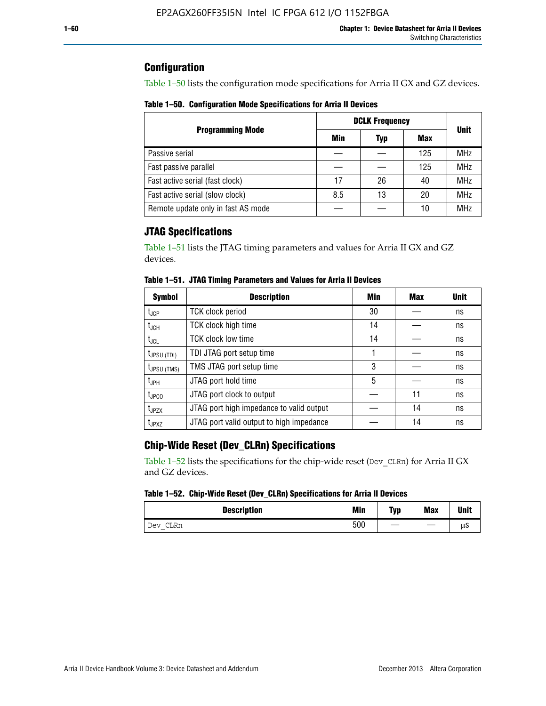# **Configuration**

Table 1–50 lists the configuration mode specifications for Arria II GX and GZ devices.

**Table 1–50. Configuration Mode Specifications for Arria II Devices**

|                                    | <b>DCLK Frequency</b> | <b>Unit</b> |     |            |  |
|------------------------------------|-----------------------|-------------|-----|------------|--|
| <b>Programming Mode</b>            | Min                   | <b>Typ</b>  | Max |            |  |
| Passive serial                     |                       |             | 125 | <b>MHz</b> |  |
| Fast passive parallel              |                       |             | 125 | <b>MHz</b> |  |
| Fast active serial (fast clock)    | 17                    | 26          | 40  | <b>MHz</b> |  |
| Fast active serial (slow clock)    | 8.5                   | 13          | 20  | <b>MHz</b> |  |
| Remote update only in fast AS mode |                       |             | 10  | <b>MHz</b> |  |

# **JTAG Specifications**

Table 1–51 lists the JTAG timing parameters and values for Arria II GX and GZ devices.

| <b>Symbol</b>     | <b>Description</b>                       | Min | Max | <b>Unit</b> |
|-------------------|------------------------------------------|-----|-----|-------------|
| $t_{JCP}$         | <b>TCK clock period</b>                  | 30  |     | ns          |
| $t_{JCH}$         | TCK clock high time                      | 14  |     | ns          |
| $t_{\text{JCL}}$  | <b>TCK clock low time</b>                | 14  |     | ns          |
| $t_{JPSU(TDI)}$   | TDI JTAG port setup time                 |     |     | ns          |
| $t_{JPSU\,(TMS)}$ | TMS JTAG port setup time                 | 3   |     | ns          |
| $t_{\sf JPH}$     | JTAG port hold time                      | 5   |     | ns          |
| $t_{\text{JPCO}}$ | JTAG port clock to output                |     | 11  | ns          |
| t <sub>JPZX</sub> | JTAG port high impedance to valid output |     | 14  | ns          |
| t <sub>JPXZ</sub> | JTAG port valid output to high impedance |     | 14  | ns          |

**Table 1–51. JTAG Timing Parameters and Values for Arria II Devices**

# **Chip-Wide Reset (Dev\_CLRn) Specifications**

Table 1–52 lists the specifications for the chip-wide reset (Dev\_CLRn) for Arria II GX and GZ devices.

### **Table 1–52. Chip-Wide Reset (Dev\_CLRn) Specifications for Arria II Devices**

| <b>Description</b> | <b>Min</b> | Typ | <b>Max</b> | <b>Unit</b> |
|--------------------|------------|-----|------------|-------------|
| CLRn<br>Dev        | 500        | __  |            | μS          |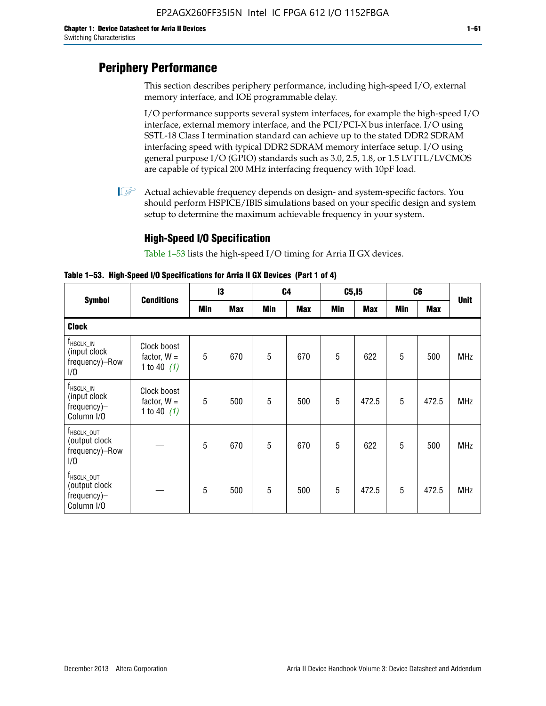# **Periphery Performance**

This section describes periphery performance, including high-speed I/O, external memory interface, and IOE programmable delay.

I/O performance supports several system interfaces, for example the high-speed I/O interface, external memory interface, and the PCI/PCI-X bus interface. I/O using SSTL-18 Class I termination standard can achieve up to the stated DDR2 SDRAM interfacing speed with typical DDR2 SDRAM memory interface setup. I/O using general purpose I/O (GPIO) standards such as 3.0, 2.5, 1.8, or 1.5 LVTTL/LVCMOS are capable of typical 200 MHz interfacing frequency with 10pF load.

 $\mathbb{I}$  Actual achievable frequency depends on design- and system-specific factors. You should perform HSPICE/IBIS simulations based on your specific design and system setup to determine the maximum achievable frequency in your system.

# **High-Speed I/O Specification**

Table 1–53 lists the high-speed I/O timing for Arria II GX devices.

**Table 1–53. High-Speed I/O Specifications for Arria II GX Devices (Part 1 of 4)**

|                                                                      |                                               | 13  |            |            | C <sub>4</sub> |            | C5, I5     | C6         |            |             |
|----------------------------------------------------------------------|-----------------------------------------------|-----|------------|------------|----------------|------------|------------|------------|------------|-------------|
| <b>Symbol</b>                                                        | <b>Conditions</b>                             | Min | <b>Max</b> | <b>Min</b> | <b>Max</b>     | <b>Min</b> | <b>Max</b> | <b>Min</b> | <b>Max</b> | <b>Unit</b> |
| <b>Clock</b>                                                         |                                               |     |            |            |                |            |            |            |            |             |
| $f_{HSCLK\_IN}$<br>(input clock<br>frequency)-Row<br>1/0             | Clock boost<br>factor, $W =$<br>1 to 40 $(1)$ | 5   | 670        | 5          | 670            | 5          | 622        | 5          | 500        | <b>MHz</b>  |
| $f_{HSCLK\_IN}$<br>(input clock<br>frequency)-<br>Column I/O         | Clock boost<br>factor, $W =$<br>1 to 40 $(1)$ | 5   | 500        | 5          | 500            | 5          | 472.5      | 5          | 472.5      | <b>MHz</b>  |
| T <sub>HSCLK_OUT</sub><br>(output clock<br>frequency)-Row<br>1/0     |                                               | 5   | 670        | 5          | 670            | 5          | 622        | 5          | 500        | <b>MHz</b>  |
| f <sub>HSCLK_OUT</sub><br>(output clock<br>frequency)-<br>Column I/O |                                               | 5   | 500        | 5          | 500            | 5          | 472.5      | 5          | 472.5      | <b>MHz</b>  |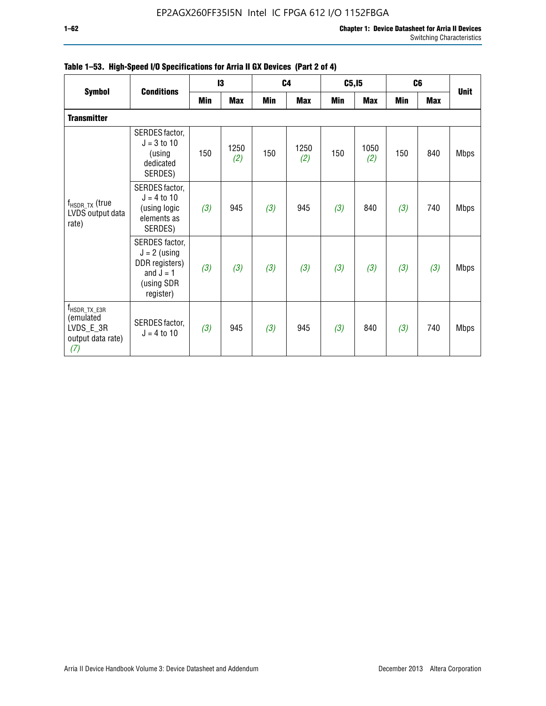| <b>Symbol</b>                                                                    | <b>Conditions</b>                                                                            |     | 13          |     | C <sub>4</sub> | C5, I5 |             | C <sub>6</sub> |            | <b>Unit</b> |
|----------------------------------------------------------------------------------|----------------------------------------------------------------------------------------------|-----|-------------|-----|----------------|--------|-------------|----------------|------------|-------------|
|                                                                                  |                                                                                              | Min | <b>Max</b>  | Min | <b>Max</b>     | Min    | <b>Max</b>  | Min            | <b>Max</b> |             |
| <b>Transmitter</b>                                                               |                                                                                              |     |             |     |                |        |             |                |            |             |
| $f_{\sf{HSDR\_TX}}$ (true<br>LVDS output data<br>rate)                           | SERDES factor,<br>$J = 3$ to 10<br>(using<br>dedicated<br>SERDES)                            | 150 | 1250<br>(2) | 150 | 1250<br>(2)    | 150    | 1050<br>(2) | 150            | 840        | <b>Mbps</b> |
|                                                                                  | SERDES factor,<br>$J = 4$ to 10<br>(using logic<br>elements as<br>SERDES)                    | (3) | 945         | (3) | 945            | (3)    | 840         | (3)            | 740        | <b>Mbps</b> |
|                                                                                  | SERDES factor,<br>$J = 2$ (using<br>DDR registers)<br>and $J = 1$<br>(using SDR<br>register) | (3) | (3)         | (3) | (3)            | (3)    | (3)         | (3)            | (3)        | <b>Mbps</b> |
| $f_{\text{HSDR\_TX\_E3R}}$<br>(emulated<br>LVDS_E_3R<br>output data rate)<br>(7) | SERDES factor,<br>$J = 4$ to 10                                                              | (3) | 945         | (3) | 945            | (3)    | 840         | (3)            | 740        | <b>Mbps</b> |

|  |  | Table 1–53. High-Speed I/O Specifications for Arria II GX Devices (Part 2 of 4) |  |
|--|--|---------------------------------------------------------------------------------|--|
|--|--|---------------------------------------------------------------------------------|--|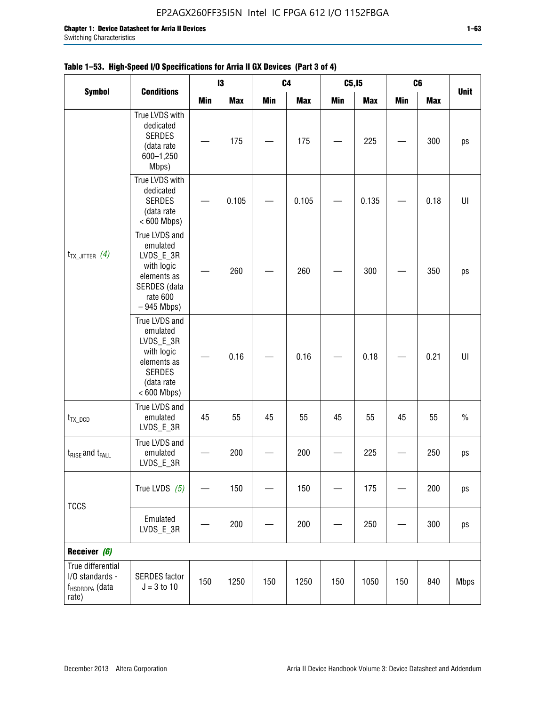|                                                                             |                                                                                                                     |            | $\mathbf{I}3$ | C <sub>4</sub> |            | C5, I5     |            | C <sub>6</sub> | <b>Max</b> |             |
|-----------------------------------------------------------------------------|---------------------------------------------------------------------------------------------------------------------|------------|---------------|----------------|------------|------------|------------|----------------|------------|-------------|
| <b>Symbol</b>                                                               | <b>Conditions</b>                                                                                                   | <b>Min</b> | <b>Max</b>    | <b>Min</b>     | <b>Max</b> | <b>Min</b> | <b>Max</b> | <b>Min</b>     |            | <b>Unit</b> |
|                                                                             | True LVDS with<br>dedicated<br><b>SERDES</b><br>(data rate<br>600-1,250<br>Mbps)                                    |            | 175           |                | 175        |            | 225        |                | 300        | ps          |
| $t_{TX\_JITTER}$ (4)                                                        | True LVDS with<br>dedicated<br><b>SERDES</b><br>(data rate<br>$< 600$ Mbps)                                         |            | 0.105         |                | 0.105      |            | 0.135      |                | 0.18       | UI          |
|                                                                             | True LVDS and<br>emulated<br>LVDS_E_3R<br>with logic<br>elements as<br>SERDES (data<br>rate 600<br>$-945$ Mbps)     |            | 260           |                | 260        |            | 300        |                | 350        | ps          |
|                                                                             | True LVDS and<br>emulated<br>LVDS_E_3R<br>with logic<br>elements as<br><b>SERDES</b><br>(data rate<br>$< 600$ Mbps) |            | 0.16          |                | 0.16       |            | 0.18       |                | 0.21       | U           |
| $t_{TX\_DCD}$                                                               | True LVDS and<br>emulated<br>LVDS_E_3R                                                                              | 45         | 55            | 45             | 55         | 45         | 55         | 45             | 55         | $\%$        |
| $t_{\text{RISE}}$ and $t_{\text{FALL}}$                                     | True LVDS and<br>emulated<br>LVDS_E_3R                                                                              |            | 200           |                | 200        |            | 225        |                | 250        | ps          |
| <b>TCCS</b>                                                                 | True LVDS $(5)$                                                                                                     |            | 150           |                | 150        |            | 175        |                | 200        | ps          |
|                                                                             | Emulated<br>LVDS_E_3R                                                                                               |            | 200           |                | 200        |            | 250        |                | 300        | ps          |
| Receiver (6)                                                                |                                                                                                                     |            |               |                |            |            |            |                |            |             |
| True differential<br>I/O standards -<br>f <sub>HSDRDPA</sub> (data<br>rate) | <b>SERDES</b> factor<br>$J = 3 to 10$                                                                               | 150        | 1250          | 150            | 1250       | 150        | 1050       | 150            | 840        | <b>Mbps</b> |

# **Table 1–53. High-Speed I/O Specifications for Arria II GX Devices (Part 3 of 4)**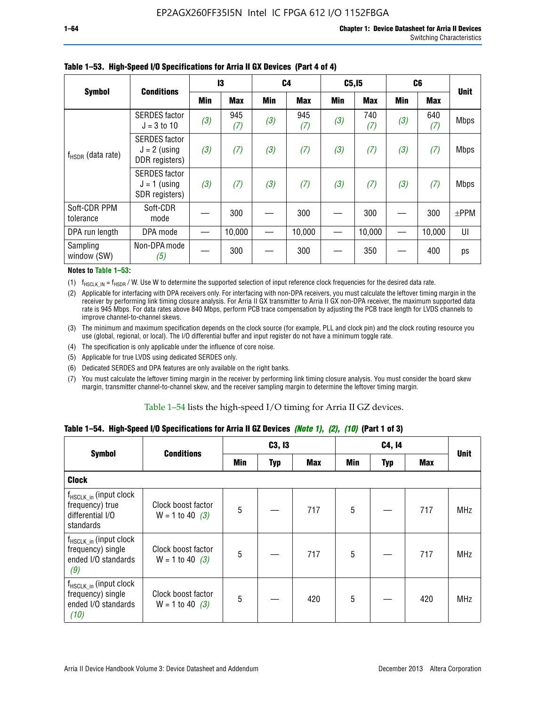|                           | <b>Conditions</b>                                        | 13  |            | C <sub>4</sub> |            | C5, I5     |            | C <sub>6</sub> |            |             |
|---------------------------|----------------------------------------------------------|-----|------------|----------------|------------|------------|------------|----------------|------------|-------------|
| <b>Symbol</b>             |                                                          | Min | <b>Max</b> | Min            | <b>Max</b> | <b>Min</b> | <b>Max</b> | <b>Min</b>     | <b>Max</b> | <b>Unit</b> |
| $f_{HSDR}$ (data rate)    | <b>SERDES</b> factor<br>$J = 3$ to 10                    | (3) | 945<br>(7) | (3)            | 945<br>(7) | (3)        | 740<br>(7) | (3)            | 640<br>(7) | <b>Mbps</b> |
|                           | <b>SERDES</b> factor<br>$J = 2$ (using<br>DDR registers) | (3) | (7)        | (3)            | (7)        | (3)        | (7)        | (3)            | (7)        | <b>Mbps</b> |
|                           | <b>SERDES</b> factor<br>$J = 1$ (using<br>SDR registers) | (3) | (7)        | (3)            | (7)        | (3)        | (7)        | (3)            | (7)        | <b>Mbps</b> |
| Soft-CDR PPM<br>tolerance | Soft-CDR<br>mode                                         |     | 300        |                | 300        |            | 300        |                | 300        | $\pm$ PPM   |
| DPA run length            | DPA mode                                                 |     | 10,000     |                | 10,000     |            | 10,000     |                | 10,000     | UI          |
| Sampling<br>window (SW)   | Non-DPA mode<br>(5)                                      |     | 300        |                | 300        |            | 350        |                | 400        | ps          |

### **Table 1–53. High-Speed I/O Specifications for Arria II GX Devices (Part 4 of 4)**

#### **Notes to Table 1–53:**

(1)  $f_{HSCLK\_IN} = f_{HSDR}$  / W. Use W to determine the supported selection of input reference clock frequencies for the desired data rate.

(2) Applicable for interfacing with DPA receivers only. For interfacing with non-DPA receivers, you must calculate the leftover timing margin in the receiver by performing link timing closure analysis. For Arria II GX transmitter to Arria II GX non-DPA receiver, the maximum supported data rate is 945 Mbps. For data rates above 840 Mbps, perform PCB trace compensation by adjusting the PCB trace length for LVDS channels to improve channel-to-channel skews.

- (3) The minimum and maximum specification depends on the clock source (for example, PLL and clock pin) and the clock routing resource you use (global, regional, or local). The I/O differential buffer and input register do not have a minimum toggle rate.
- (4) The specification is only applicable under the influence of core noise.
- (5) Applicable for true LVDS using dedicated SERDES only.
- (6) Dedicated SERDES and DPA features are only available on the right banks.
- (7) You must calculate the leftover timing margin in the receiver by performing link timing closure analysis. You must consider the board skew margin, transmitter channel-to-channel skew, and the receiver sampling margin to determine the leftover timing margin.

### Table 1–54 lists the high-speed I/O timing for Arria II GZ devices.

### **Table 1–54. High-Speed I/O Specifications for Arria II GZ Devices** *(Note 1), (2), (10)* **(Part 1 of 3)**

|                                                                                        | <b>Conditions</b>                       |     | C3, I3     |            |                 | C4, 14     |     |             |
|----------------------------------------------------------------------------------------|-----------------------------------------|-----|------------|------------|-----------------|------------|-----|-------------|
| <b>Symbol</b>                                                                          |                                         | Min | <b>Typ</b> | <b>Max</b> | Min             | <b>Typ</b> | Max | <b>Unit</b> |
| <b>Clock</b>                                                                           |                                         |     |            |            |                 |            |     |             |
| $f_{HSCLK_in}$ (input clock<br>frequency) true<br>differential I/O<br>standards        | Clock boost factor<br>$W = 1$ to 40 (3) | 5   |            | 717        | 5               |            | 717 | <b>MHz</b>  |
| f <sub>HSCLK_in</sub> (input clock<br>frequency) single<br>ended I/O standards<br>(9)  | Clock boost factor<br>$W = 1$ to 40 (3) | 5   |            | 717        | $5\phantom{.0}$ |            | 717 | <b>MHz</b>  |
| f <sub>HSCLK_in</sub> (input clock<br>frequency) single<br>ended I/O standards<br>(10) | Clock boost factor<br>$W = 1$ to 40 (3) | 5   |            | 420        | 5               |            | 420 | <b>MHz</b>  |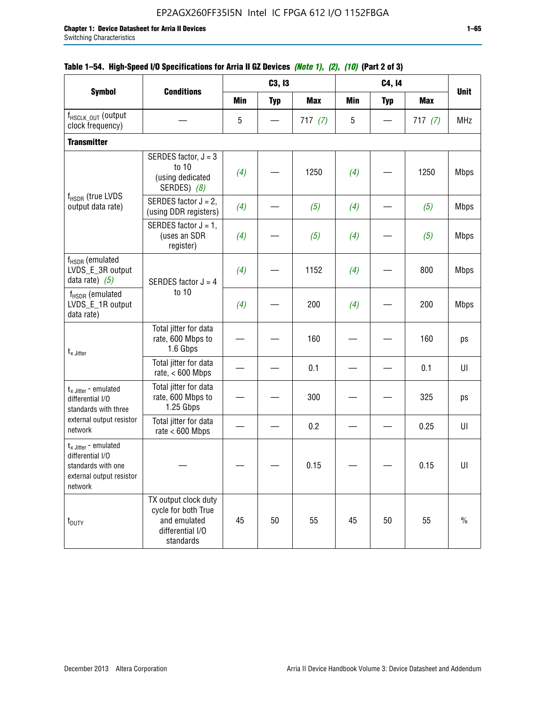|                                                                                                                    |                                                                                              |            | C3, I3     |            |     | C4, 14     |            |             |
|--------------------------------------------------------------------------------------------------------------------|----------------------------------------------------------------------------------------------|------------|------------|------------|-----|------------|------------|-------------|
| <b>Symbol</b>                                                                                                      | <b>Conditions</b>                                                                            | <b>Min</b> | <b>Typ</b> | <b>Max</b> | Min | <b>Typ</b> | <b>Max</b> | <b>Unit</b> |
| f <sub>HSCLK_OUT</sub> (output<br>clock frequency)                                                                 |                                                                                              | 5          |            | 717(7)     | 5   |            | 717(7)     | <b>MHz</b>  |
| <b>Transmitter</b>                                                                                                 |                                                                                              |            |            |            |     |            |            |             |
|                                                                                                                    | SERDES factor, $J = 3$<br>to 10<br>(using dedicated<br>SERDES) (8)                           | (4)        |            | 1250       | (4) |            | 1250       | <b>Mbps</b> |
| f <sub>HSDR</sub> (true LVDS<br>output data rate)                                                                  | SERDES factor $J = 2$ ,<br>(using DDR registers)                                             | (4)        |            | (5)        | (4) |            | (5)        | <b>Mbps</b> |
| f <sub>HSDR</sub> (emulated                                                                                        | SERDES factor $J = 1$ ,<br>(uses an SDR<br>register)                                         | (4)        |            | (5)        | (4) |            | (5)        | <b>Mbps</b> |
| LVDS_E_3R output<br>data rate) $(5)$                                                                               | SERDES factor $J = 4$                                                                        | (4)        |            | 1152       | (4) |            | 800        | <b>Mbps</b> |
| $f_{\rm HSDR}$ (emulated<br>LVDS_E_1R output<br>data rate)                                                         | to 10                                                                                        | (4)        |            | 200        | (4) |            | 200        | <b>Mbps</b> |
| $t_{x}$ Jitter                                                                                                     | Total jitter for data<br>rate, 600 Mbps to<br>1.6 Gbps                                       |            |            | 160        |     |            | 160        | ps          |
|                                                                                                                    | Total jitter for data<br>rate, $< 600$ Mbps                                                  |            |            | 0.1        |     |            | 0.1        | UI          |
| $t_{x}$ Jitter - emulated<br>differential I/O<br>standards with three                                              | Total jitter for data<br>rate, 600 Mbps to<br>1.25 Gbps                                      |            |            | 300        |     |            | 325        | ps          |
| external output resistor<br>network                                                                                | Total jitter for data<br>rate $< 600$ Mbps                                                   |            |            | 0.2        |     |            | 0.25       | UI          |
| $t_{x \text{ Jitter}}$ - emulated<br>differential I/O<br>standards with one<br>external output resistor<br>network |                                                                                              |            |            | 0.15       |     |            | 0.15       | U           |
| t <sub>DUTY</sub>                                                                                                  | TX output clock duty<br>cycle for both True<br>and emulated<br>differential I/O<br>standards | 45         | 50         | 55         | 45  | 50         | 55         | $\%$        |

## **Table 1–54. High-Speed I/O Specifications for Arria II GZ Devices** *(Note 1), (2), (10)* **(Part 2 of 3)**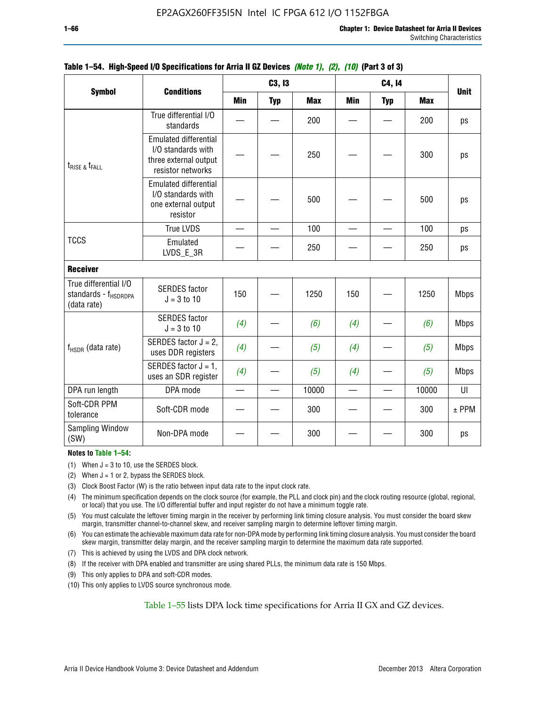|                                                                          |                                                                                                  | C3, I3     |            | C4, 14     |            |            |            |             |
|--------------------------------------------------------------------------|--------------------------------------------------------------------------------------------------|------------|------------|------------|------------|------------|------------|-------------|
| <b>Symbol</b>                                                            | <b>Conditions</b>                                                                                | <b>Min</b> | <b>Typ</b> | <b>Max</b> | <b>Min</b> | <b>Typ</b> | <b>Max</b> | <b>Unit</b> |
|                                                                          | True differential I/O<br>standards                                                               |            |            | 200        |            |            | 200        | ps          |
| $t_{RISE}$ & $t_{FALL}$                                                  | <b>Emulated differential</b><br>I/O standards with<br>three external output<br>resistor networks |            |            | 250        |            |            | 300        | ps          |
|                                                                          | <b>Emulated differential</b><br>I/O standards with<br>one external output<br>resistor            |            |            | 500        |            |            | 500        | ps          |
|                                                                          | <b>True LVDS</b>                                                                                 |            |            | 100        |            |            | 100        | ps          |
| <b>TCCS</b>                                                              | Emulated<br>LVDS_E_3R                                                                            |            |            | 250        |            |            | 250        | ps          |
| <b>Receiver</b>                                                          |                                                                                                  |            |            |            |            |            |            |             |
| True differential I/O<br>standards - f <sub>HSDRDPA</sub><br>(data rate) | <b>SERDES</b> factor<br>$J = 3$ to 10                                                            | 150        |            | 1250       | 150        |            | 1250       | <b>Mbps</b> |
|                                                                          | <b>SERDES</b> factor<br>$J = 3$ to 10                                                            | (4)        |            | (6)        | (4)        |            | (6)        | <b>Mbps</b> |
| f <sub>HSDR</sub> (data rate)                                            | SERDES factor $J = 2$ ,<br>uses DDR registers                                                    | (4)        |            | (5)        | (4)        |            | (5)        | <b>Mbps</b> |
|                                                                          | SERDES factor $J = 1$ ,<br>uses an SDR register                                                  | (4)        |            | (5)        | (4)        |            | (5)        | <b>Mbps</b> |
| DPA run length                                                           | DPA mode                                                                                         |            |            | 10000      |            |            | 10000      | UI          |
| Soft-CDR PPM<br>tolerance                                                | Soft-CDR mode                                                                                    |            |            | 300        |            |            | 300        | $±$ PPM     |
| <b>Sampling Window</b><br>(SW)                                           | Non-DPA mode                                                                                     |            |            | 300        |            |            | 300        | ps          |

### **Table 1–54. High-Speed I/O Specifications for Arria II GZ Devices** *(Note 1), (2), (10)* **(Part 3 of 3)**

### **Notes to Table 1–54:**

(1) When  $J = 3$  to 10, use the SERDES block.

- (2) When  $J = 1$  or 2, bypass the SERDES block.
- (3) Clock Boost Factor (W) is the ratio between input data rate to the input clock rate.
- (4) The minimum specification depends on the clock source (for example, the PLL and clock pin) and the clock routing resource (global, regional, or local) that you use. The I/O differential buffer and input register do not have a minimum toggle rate.
- (5) You must calculate the leftover timing margin in the receiver by performing link timing closure analysis. You must consider the board skew margin, transmitter channel-to-channel skew, and receiver sampling margin to determine leftover timing margin.
- (6) You can estimate the achievable maximum data rate for non-DPA mode by performing link timing closure analysis. You must consider the board skew margin, transmitter delay margin, and the receiver sampling margin to determine the maximum data rate supported.
- (7) This is achieved by using the LVDS and DPA clock network.
- (8) If the receiver with DPA enabled and transmitter are using shared PLLs, the minimum data rate is 150 Mbps.
- (9) This only applies to DPA and soft-CDR modes.
- (10) This only applies to LVDS source synchronous mode.

Table 1–55 lists DPA lock time specifications for Arria II GX and GZ devices.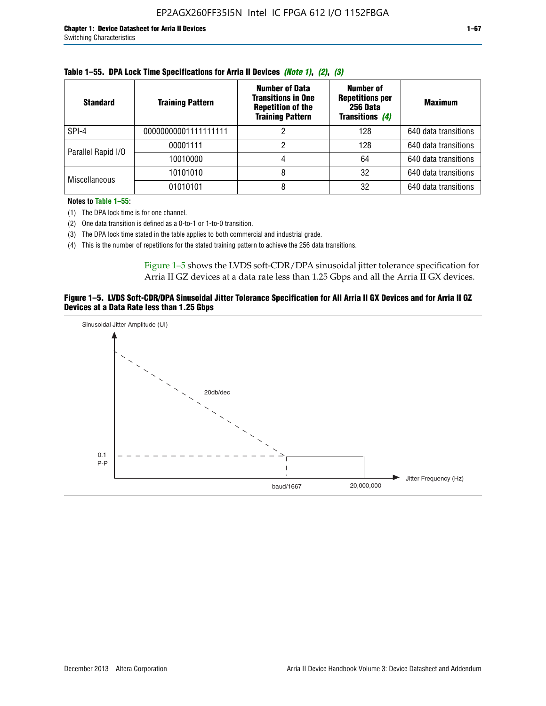| <b>Standard</b>      | <b>Training Pattern</b> | <b>Number of Data</b><br><b>Transitions in One</b><br><b>Repetition of the</b><br><b>Training Pattern</b> | Number of<br><b>Repetitions per</b><br>256 Data<br>Transitions (4) | <b>Maximum</b>       |
|----------------------|-------------------------|-----------------------------------------------------------------------------------------------------------|--------------------------------------------------------------------|----------------------|
| SPI-4                | 00000000001111111111    |                                                                                                           | 128                                                                | 640 data transitions |
|                      | 00001111                |                                                                                                           | 128                                                                | 640 data transitions |
| Parallel Rapid I/O   | 10010000                |                                                                                                           | 64                                                                 | 640 data transitions |
| <b>Miscellaneous</b> | 10101010                |                                                                                                           | 32                                                                 | 640 data transitions |
|                      | 01010101                |                                                                                                           | 32                                                                 | 640 data transitions |

| Table 1–55. DPA Lock Time Specifications for Arria II Devices (Note 1), (2), (3) |  |  |
|----------------------------------------------------------------------------------|--|--|
|----------------------------------------------------------------------------------|--|--|

**Notes to Table 1–55:**

(1) The DPA lock time is for one channel.

(2) One data transition is defined as a 0-to-1 or 1-to-0 transition.

(3) The DPA lock time stated in the table applies to both commercial and industrial grade.

(4) This is the number of repetitions for the stated training pattern to achieve the 256 data transitions.

Figure 1–5 shows the LVDS soft-CDR/DPA sinusoidal jitter tolerance specification for Arria II GZ devices at a data rate less than 1.25 Gbps and all the Arria II GX devices.

### **Figure 1–5. LVDS Soft-CDR/DPA Sinusoidal Jitter Tolerance Specification for All Arria II GX Devices and for Arria II GZ Devices at a Data Rate less than 1.25 Gbps**

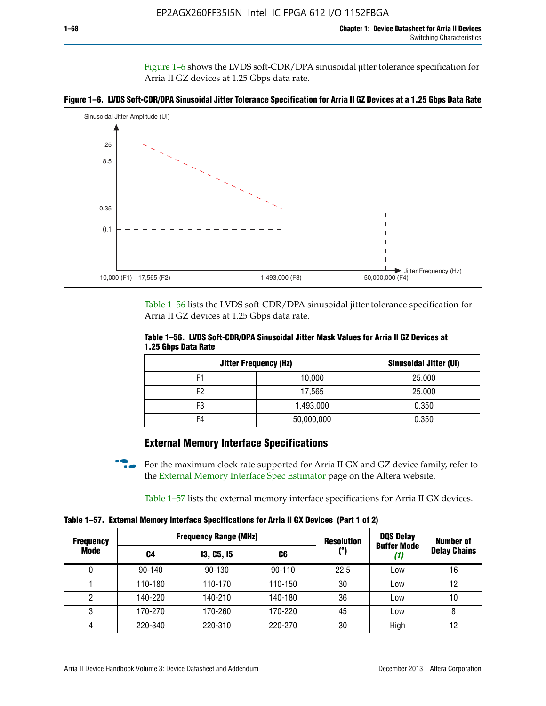Figure 1–6 shows the LVDS soft-CDR/DPA sinusoidal jitter tolerance specification for Arria II GZ devices at 1.25 Gbps data rate.





Table 1–56 lists the LVDS soft-CDR/DPA sinusoidal jitter tolerance specification for Arria II GZ devices at 1.25 Gbps data rate.

|                     | Table 1–56. LVDS Soft-CDR/DPA Sinusoidal Jitter Mask Values for Arria II GZ Devices at |  |  |
|---------------------|----------------------------------------------------------------------------------------|--|--|
| 1.25 Gbps Data Rate |                                                                                        |  |  |

| <b>Jitter Frequency (Hz)</b> |            | Sinusoidal Jitter (UI) |
|------------------------------|------------|------------------------|
| F1                           | 10,000     | 25.000                 |
| F2                           | 17,565     | 25.000                 |
| F3                           | 1,493,000  | 0.350                  |
| F4                           | 50,000,000 | 0.350                  |

# **External Memory Interface Specifications**

For the maximum clock rate supported for Arria II GX and GZ device family, refer to the [External Memory Interface Spec Estimator](http://www.altera.com/technology/memory/estimator/mem-emif-index.html) page on the Altera website.

Table 1–57 lists the external memory interface specifications for Arria II GX devices.

**Table 1–57. External Memory Interface Specifications for Arria II GX Devices (Part 1 of 2)**

| <b>Frequency</b> |            | <b>Frequency Range (MHz)</b> |            | <b>Resolution</b> | <b>DQS Delay</b>          | <b>Number of</b>    |  |
|------------------|------------|------------------------------|------------|-------------------|---------------------------|---------------------|--|
| Mode             | C4         | <b>13, C5, 15</b>            | C6         | (°)               | <b>Buffer Mode</b><br>(1) | <b>Delay Chains</b> |  |
|                  | $90 - 140$ | $90 - 130$                   | $90 - 110$ | 22.5              | Low                       | 16                  |  |
|                  | 110-180    | 110-170                      | 110-150    | 30                | Low                       | 12                  |  |
| 2                | 140-220    | 140-210                      | 140-180    | 36                | Low                       | 10                  |  |
| 3                | 170-270    | 170-260                      | 170-220    | 45                | Low                       | 8                   |  |
| 4                | 220-340    | 220-310                      | 220-270    | 30                | High                      | 12                  |  |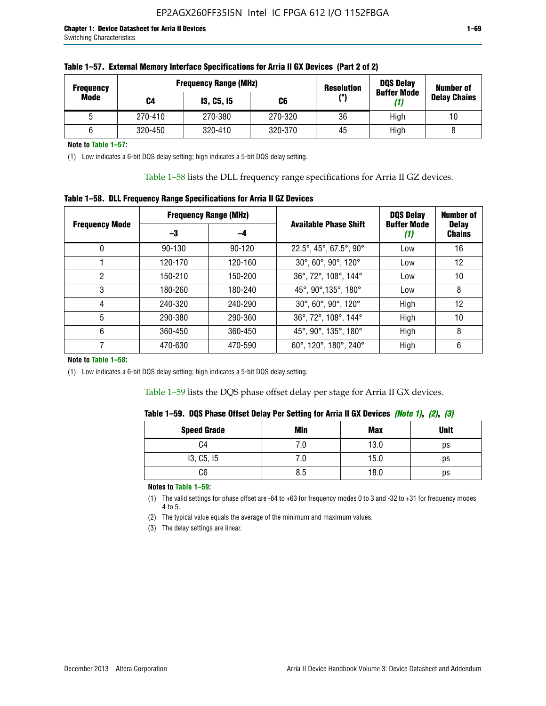| <b>Frequency</b> |         | <b>Frequency Range (MHz)</b> |         | <b>DQS Delay</b><br><b>Resolution</b><br><b>Buffer Mode</b> |      | <b>Number of</b>    |
|------------------|---------|------------------------------|---------|-------------------------------------------------------------|------|---------------------|
| Mode             | C4      | <b>13, C5, 15</b>            | C6      | (°)                                                         | (1)  | <b>Delay Chains</b> |
|                  | 270-410 | 270-380                      | 270-320 | 36                                                          | High | 10                  |
|                  | 320-450 | 320-410                      | 320-370 | 45                                                          | High |                     |

| Table 1–57. External Memory Interface Specifications for Arria II GX Devices (Part 2 of 2) |
|--------------------------------------------------------------------------------------------|
|--------------------------------------------------------------------------------------------|

**Note to Table 1–57:**

(1) Low indicates a 6-bit DQS delay setting; high indicates a 5-bit DQS delay setting.

Table 1–58 lists the DLL frequency range specifications for Arria II GZ devices.

### **Table 1–58. DLL Frequency Range Specifications for Arria II GZ Devices**

|                       | <b>Frequency Range (MHz)</b> |            |                              |                           | <b>Number of</b>              |
|-----------------------|------------------------------|------------|------------------------------|---------------------------|-------------------------------|
| <b>Frequency Mode</b> | -3<br>-4                     |            | <b>Available Phase Shift</b> | <b>Buffer Mode</b><br>(1) | <b>Delay</b><br><b>Chains</b> |
| 0                     | $90 - 130$                   | $90 - 120$ | 22.5°, 45°, 67.5°, 90°       | Low                       | 16                            |
|                       | 120-170                      | 120-160    | 30°, 60°, 90°, 120°          | Low                       | 12                            |
| 2                     | 150-210                      | 150-200    | 36°, 72°, 108°, 144°         | Low                       | 10                            |
| 3                     | 180-260                      | 180-240    | 45°, 90°, 135°, 180°         | Low                       | 8                             |
| 4                     | 240-320                      | 240-290    | 30°, 60°, 90°, 120°          | High                      | 12                            |
| 5                     | 290-380                      | 290-360    | 36°, 72°, 108°, 144°         | High                      | 10                            |
| 6                     | 360-450                      | 360-450    | 45°, 90°, 135°, 180°         | High                      | 8                             |
|                       | 470-630                      | 470-590    | 60°, 120°, 180°, 240°        | High                      | 6                             |

#### **Note to Table 1–58:**

(1) Low indicates a 6-bit DQS delay setting; high indicates a 5-bit DQS delay setting.

Table 1–59 lists the DQS phase offset delay per stage for Arria II GX devices.

| Table 1–59.  DQS Phase Offset Delay Per Setting for Arria II GX Devices <i>(Note 1), (2), (3)</i> |  |  |  |  |  |  |
|---------------------------------------------------------------------------------------------------|--|--|--|--|--|--|
|---------------------------------------------------------------------------------------------------|--|--|--|--|--|--|

| <b>Speed Grade</b> | Min  | Max  | <b>Unit</b> |
|--------------------|------|------|-------------|
| C4                 | ن. ، | 13.0 | ps          |
| 13, C5, I5         | 7.U  | 15.0 | ps          |
| C6                 | 8.5  | 18.0 | ps          |

**Notes to Table 1–59:**

(1) The valid settings for phase offset are -64 to +63 for frequency modes 0 to 3 and -32 to +31 for frequency modes 4 to 5.

(2) The typical value equals the average of the minimum and maximum values.

(3) The delay settings are linear.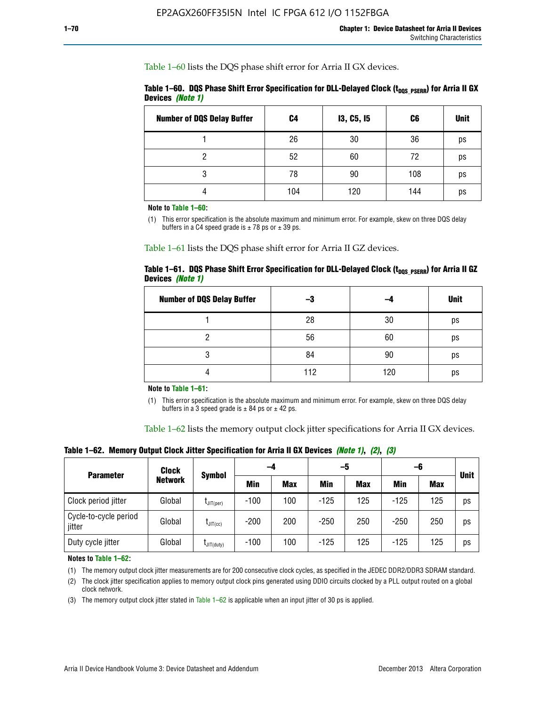Table 1–60 lists the DQS phase shift error for Arria II GX devices.

Table 1–60. DQS Phase Shift Error Specification for DLL-Delayed Clock (t<sub>DQS\_PSERR</sub>) for Arria II GX **Devices** *(Note 1)*

| <b>Number of DQS Delay Buffer</b> | C <sub>4</sub> | I3, C5, I5 | C6  | <b>Unit</b> |
|-----------------------------------|----------------|------------|-----|-------------|
|                                   | 26             | 30         | 36  | ps          |
| ი                                 | 52             | 60         | 72  | ps          |
| 3                                 | 78             | 90         | 108 | ps          |
|                                   | 104            | 120        | 144 | ps          |

**Note to Table 1–60:**

(1) This error specification is the absolute maximum and minimum error. For example, skew on three DQS delay buffers in a C4 speed grade is  $\pm$  78 ps or  $\pm$  39 ps.

Table 1–61 lists the DQS phase shift error for Arria II GZ devices.

|                         |  | Table 1–61.DQS Phase Shift Error Specification for DLL-Delayed Clock (t <sub>oos PsERR</sub> ) for Arria II GZ |
|-------------------------|--|----------------------------------------------------------------------------------------------------------------|
| Devices <i>(Note 1)</i> |  |                                                                                                                |

| <b>Number of DQS Delay Buffer</b> | -3  |     | <b>Unit</b> |
|-----------------------------------|-----|-----|-------------|
|                                   | 28  | 30  | ps          |
|                                   | 56  | 60  | ps          |
| Q                                 | 84  | 90  | ps          |
|                                   | 112 | 120 | ps          |

**Note to Table 1–61:**

(1) This error specification is the absolute maximum and minimum error. For example, skew on three DQS delay buffers in a 3 speed grade is  $\pm$  84 ps or  $\pm$  42 ps.

Table 1–62 lists the memory output clock jitter specifications for Arria II GX devices.

**Table 1–62. Memory Output Clock Jitter Specification for Arria II GX Devices** *(Note 1)***,** *(2)***,** *(3)*

| <b>Parameter</b>                | Clock          |                  |        | -5<br>-4   |            |            | -6         |            | <b>Unit</b> |
|---------------------------------|----------------|------------------|--------|------------|------------|------------|------------|------------|-------------|
|                                 | <b>Network</b> | <b>Symbol</b>    | Min    | <b>Max</b> | <b>Min</b> | <b>Max</b> | <b>Min</b> | <b>Max</b> |             |
| Clock period jitter             | Global         | $L$ JIT(per)     | $-100$ | 100        | $-125$     | 125        | $-125$     | 125        | ps          |
| Cycle-to-cycle period<br>jitter | Global         | $L$ JIT $(cc)$   | $-200$ | 200        | $-250$     | 250        | $-250$     | 250        | ps          |
| Duty cycle jitter               | Global         | $L$ JIT $(duty)$ | $-100$ | 100        | $-125$     | 125        | $-125$     | 125        | ps          |

**Notes to Table 1–62:**

(1) The memory output clock jitter measurements are for 200 consecutive clock cycles, as specified in the JEDEC DDR2/DDR3 SDRAM standard.

(2) The clock jitter specification applies to memory output clock pins generated using DDIO circuits clocked by a PLL output routed on a global clock network.

(3) The memory output clock jitter stated in Table  $1-62$  is applicable when an input jitter of 30 ps is applied.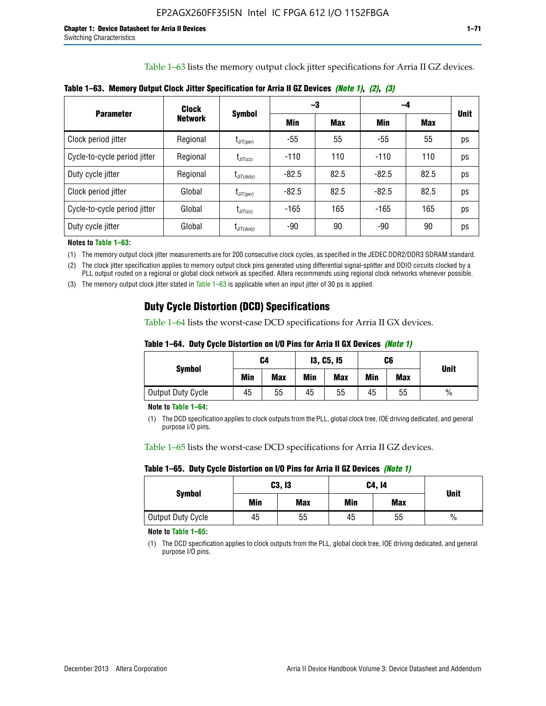Table 1–63 lists the memory output clock jitter specifications for Arria II GZ devices.

|                              | Clock          | <b>Symbol</b>                              |         | -3         | -4      |            |             |
|------------------------------|----------------|--------------------------------------------|---------|------------|---------|------------|-------------|
| <b>Parameter</b>             | <b>Network</b> |                                            | Min     | <b>Max</b> | Min     | <b>Max</b> | <b>Unit</b> |
| Clock period jitter          | Regional       | $\mathsf{t}_{\mathsf{JIT(per)}}$           | -55     | 55         | $-55$   | 55         | ps          |
| Cycle-to-cycle period jitter | Regional       | $t_{\text{JIT(cc)}}$                       | $-110$  | 110        | $-110$  | 110        | ps          |
| Duty cycle jitter            | Regional       | $\mathsf{t}_{\mathsf{JIT}(\mathsf{duty})}$ | $-82.5$ | 82.5       | $-82.5$ | 82.5       | ps          |
| Clock period jitter          | Global         | $I_{\text{JIT(per)}}$                      | $-82.5$ | 82.5       | $-82.5$ | 82.5       | ps          |
| Cycle-to-cycle period jitter | Global         | $t_{\text{JIT(cc)}}$                       | $-165$  | 165        | $-165$  | 165        | ps          |
| Duty cycle jitter            | Global         | $t_{\text{JIT(duty)}}$                     | -90     | 90         | -90     | 90         | ps          |

**Table 1–63. Memory Output Clock Jitter Specification for Arria II GZ Devices** *(Note 1)***,** *(2)***,** *(3)*

**Notes to Table 1–63:**

(1) The memory output clock jitter measurements are for 200 consecutive clock cycles, as specified in the JEDEC DDR2/DDR3 SDRAM standard.

(2) The clock jitter specification applies to memory output clock pins generated using differential signal-splitter and DDIO circuits clocked by a PLL output routed on a regional or global clock network as specified. Altera recommends using regional clock networks whenever possible.

(3) The memory output clock jitter stated in Table 1–63 is applicable when an input jitter of 30 ps is applied.

# **Duty Cycle Distortion (DCD) Specifications**

Table 1–64 lists the worst-case DCD specifications for Arria II GX devices.

| Table 1–64.  Duty Cycle Distortion on I/O Pins for Arria II GX Devices <i>(Note 1)</i> |  |  |
|----------------------------------------------------------------------------------------|--|--|
|----------------------------------------------------------------------------------------|--|--|

| <b>Symbol</b>     | C4  |            | <b>13, C5, 15</b> |            | C6  |            | <b>Unit</b>   |  |
|-------------------|-----|------------|-------------------|------------|-----|------------|---------------|--|
|                   | Min | <b>Max</b> | Min               | <b>Max</b> | Min | <b>Max</b> |               |  |
| Output Duty Cycle | 45  | 55         | 45                | 55         | 45  | 55         | $\frac{0}{0}$ |  |

**Note to Table 1–64:**

(1) The DCD specification applies to clock outputs from the PLL, global clock tree, IOE driving dedicated, and general purpose I/O pins.

Table 1–65 lists the worst-case DCD specifications for Arria II GZ devices.

**Table 1–65. Duty Cycle Distortion on I/O Pins for Arria II GZ Devices** *(Note 1)*

| <b>Symbol</b>     |     | C3, I3     | C4, 14 | <b>Unit</b> |      |  |
|-------------------|-----|------------|--------|-------------|------|--|
|                   | Min | <b>Max</b> | Min    | <b>Max</b>  |      |  |
| Output Duty Cycle | 45  | 55         | 45     | 55          | $\%$ |  |

**Note to Table 1–65:**

(1) The DCD specification applies to clock outputs from the PLL, global clock tree, IOE driving dedicated, and general purpose I/O pins.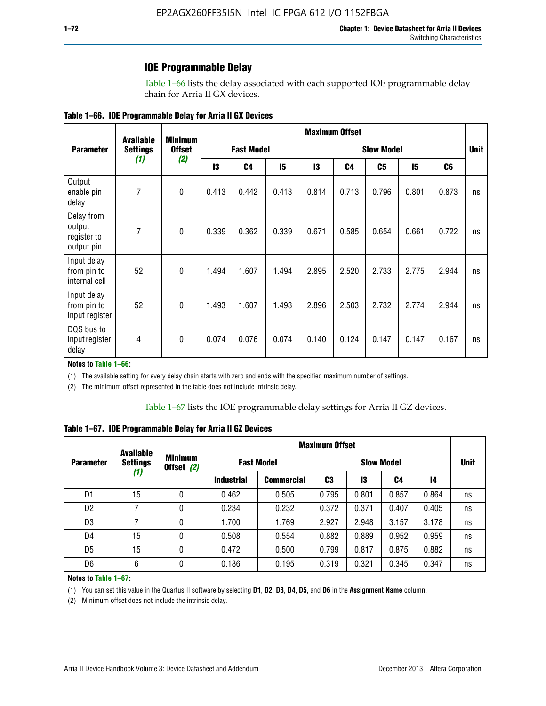### **IOE Programmable Delay**

Table 1–66 lists the delay associated with each supported IOE programmable delay chain for Arria II GX devices.

| Table 1–66. IOE Programmable Delay for Arria II GX Devices |
|------------------------------------------------------------|
|------------------------------------------------------------|

|                                                   | <b>Available</b> | <b>Minimum</b><br><b>Offset</b><br>(2) | <b>Maximum Offset</b> |                |                   |       |       |       |       |                |    |
|---------------------------------------------------|------------------|----------------------------------------|-----------------------|----------------|-------------------|-------|-------|-------|-------|----------------|----|
| <b>Parameter</b>                                  | <b>Settings</b>  |                                        | <b>Fast Model</b>     |                | <b>Slow Model</b> |       |       |       |       | <b>Unit</b>    |    |
|                                                   | (1)              |                                        | 13                    | C <sub>4</sub> | 15                | 13    | C4    | C5    | 15    | C <sub>6</sub> |    |
| Output<br>enable pin<br>delay                     | $\overline{7}$   | $\mathbf 0$                            | 0.413                 | 0.442          | 0.413             | 0.814 | 0.713 | 0.796 | 0.801 | 0.873          | ns |
| Delay from<br>output<br>register to<br>output pin | $\overline{7}$   | $\mathbf{0}$                           | 0.339                 | 0.362          | 0.339             | 0.671 | 0.585 | 0.654 | 0.661 | 0.722          | ns |
| Input delay<br>from pin to<br>internal cell       | 52               | $\mathbf{0}$                           | 1.494                 | 1.607          | 1.494             | 2.895 | 2.520 | 2.733 | 2.775 | 2.944          | ns |
| Input delay<br>from pin to<br>input register      | 52               | $\mathbf{0}$                           | 1.493                 | 1.607          | 1.493             | 2.896 | 2.503 | 2.732 | 2.774 | 2.944          | ns |
| DQS bus to<br>input register<br>delay             | $\overline{4}$   | 0                                      | 0.074                 | 0.076          | 0.074             | 0.140 | 0.124 | 0.147 | 0.147 | 0.167          | ns |

**Notes to Table 1–66:**

(1) The available setting for every delay chain starts with zero and ends with the specified maximum number of settings.

(2) The minimum offset represented in the table does not include intrinsic delay.

**Table 1–67. IOE Programmable Delay for Arria II GZ Devices**

|                  | <b>Available</b><br><b>Settings</b><br>(1) |   | <b>Maximum Offset</b>        |                   |                   |       |       |       |             |
|------------------|--------------------------------------------|---|------------------------------|-------------------|-------------------|-------|-------|-------|-------------|
| <b>Parameter</b> |                                            |   | <b>Minimum</b><br>Offset (2) | <b>Fast Model</b> | <b>Slow Model</b> |       |       |       | <b>Unit</b> |
|                  |                                            |   | <b>Industrial</b>            | <b>Commercial</b> | C3                | 13    | C4    | 14    |             |
| D1               | 15                                         | 0 | 0.462                        | 0.505             | 0.795             | 0.801 | 0.857 | 0.864 | ns          |
| D <sub>2</sub>   | 7                                          | 0 | 0.234                        | 0.232             | 0.372             | 0.371 | 0.407 | 0.405 | ns          |
| D <sub>3</sub>   | 7                                          | 0 | 1.700                        | 1.769             | 2.927             | 2.948 | 3.157 | 3.178 | ns          |
| D4               | 15                                         | 0 | 0.508                        | 0.554             | 0.882             | 0.889 | 0.952 | 0.959 | ns          |
| D <sub>5</sub>   | 15                                         | 0 | 0.472                        | 0.500             | 0.799             | 0.817 | 0.875 | 0.882 | ns          |
| D <sub>6</sub>   | 6                                          | 0 | 0.186                        | 0.195             | 0.319             | 0.321 | 0.345 | 0.347 | ns          |

#### **Notes to Table 1–67:**

(1) You can set this value in the Quartus II software by selecting **D1**, **D2**, **D3**, **D4**, **D5**, and **D6** in the **Assignment Name** column.

(2) Minimum offset does not include the intrinsic delay.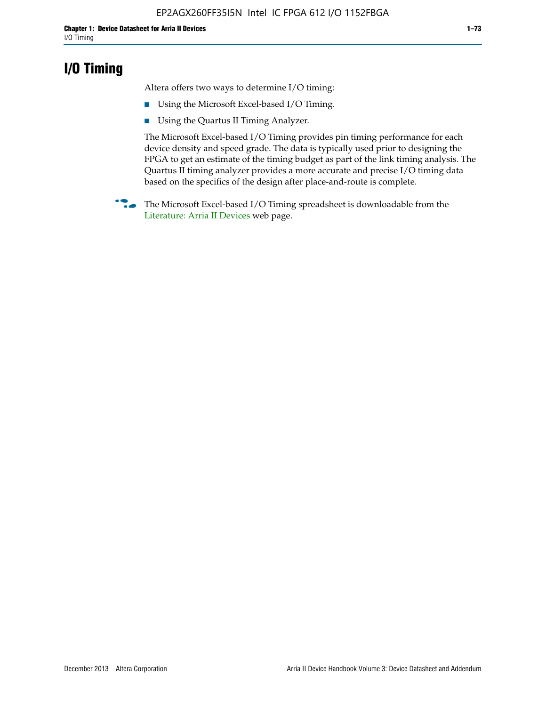## **I/O Timing**

Altera offers two ways to determine I/O timing:

- Using the Microsoft Excel-based I/O Timing.
- Using the Quartus II Timing Analyzer.

The Microsoft Excel-based I/O Timing provides pin timing performance for each device density and speed grade. The data is typically used prior to designing the FPGA to get an estimate of the timing budget as part of the link timing analysis. The Quartus II timing analyzer provides a more accurate and precise I/O timing data based on the specifics of the design after place-and-route is complete.

**f The Microsoft Excel-based I/O Timing spreadsheet is downloadable from the** [Literature: Arria II Devices](http://www.altera.com/literature/lit-arria-ii-gx.jsp) web page.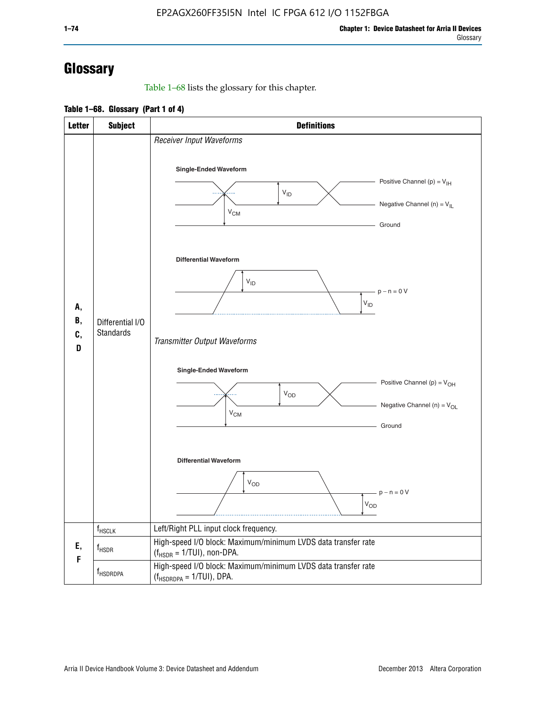# **Glossary**

Table 1–68 lists the glossary for this chapter.

**Table 1–68. Glossary (Part 1 of 4)**

| <b>Letter</b>       | <b>Subject</b>                       | <b>Definitions</b>                                                                                                                         |
|---------------------|--------------------------------------|--------------------------------------------------------------------------------------------------------------------------------------------|
|                     |                                      | Receiver Input Waveforms<br>Single-Ended Waveform<br>Positive Channel (p) = $V_{\text{IH}}$<br>$V_{ID}$<br>Negative Channel (n) = $V_{IL}$ |
| А,<br>В,<br>C,<br>D |                                      | $V_{CM}$<br>Ground<br><b>Differential Waveform</b>                                                                                         |
|                     | Differential I/O<br><b>Standards</b> | $V_{ID}$<br>$-p - n = 0 V$<br>$\rm V_{ID}$<br>Transmitter Output Waveforms                                                                 |
|                     |                                      | Single-Ended Waveform<br>Positive Channel (p) = $V_{OH}$<br>$V_{OD}$<br>Negative Channel (n) = $V_{OL}$<br>$V_{CM}$<br>Ground              |
|                     |                                      | <b>Differential Waveform</b><br><b>V<sub>OD</sub></b><br>$p - n = 0 V$<br>$\rm V_{OD}$                                                     |
|                     | f <sub>HSCLK</sub>                   | Left/Right PLL input clock frequency.                                                                                                      |
| Ε,<br>F             | $f_{HSDR}$                           | High-speed I/O block: Maximum/minimum LVDS data transfer rate<br>$(f_{\text{HSDR}} = 1/\text{TUI})$ , non-DPA.                             |
|                     | f <sub>HSDRDPA</sub>                 | High-speed I/O block: Maximum/minimum LVDS data transfer rate<br>$(f_{HSDRDPA} = 1/TUI)$ , DPA.                                            |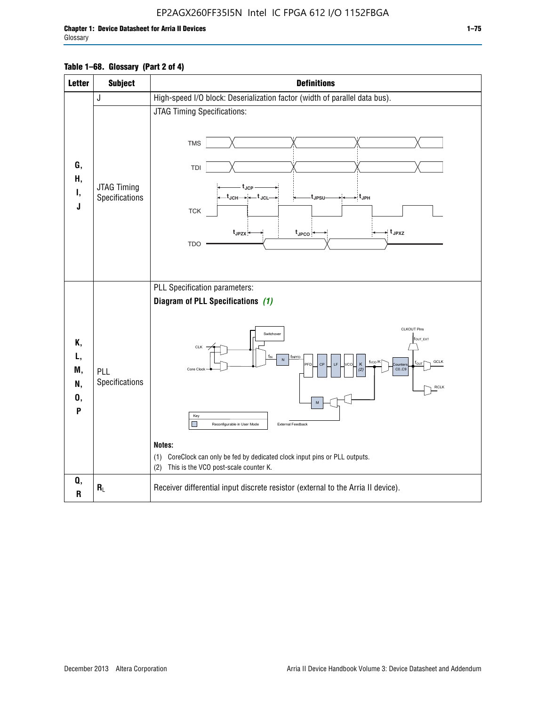### EP2AGX260FF35I5N Intel IC FPGA 612 I/O 1152FBGA

### **Table 1–68. Glossary (Part 2 of 4)**

| <b>Letter</b>                   | <b>Subject</b>                | <b>Definitions</b>                                                                                                                                                                                                                                                                                                                                                                                                                                                                                                        |
|---------------------------------|-------------------------------|---------------------------------------------------------------------------------------------------------------------------------------------------------------------------------------------------------------------------------------------------------------------------------------------------------------------------------------------------------------------------------------------------------------------------------------------------------------------------------------------------------------------------|
|                                 | J                             | High-speed I/O block: Deserialization factor (width of parallel data bus).                                                                                                                                                                                                                                                                                                                                                                                                                                                |
| G,<br>Н,<br>Ι,<br>J             | JTAG Timing<br>Specifications | JTAG Timing Specifications:<br><b>TMS</b><br>TDI<br>$t_{\sf JCP}$<br>_t <sub>JCH</sub> ____+__t <sub>JCL</sub> _<br>t <sub>JPSU</sub><br>∽ t <sub>JPH</sub><br><b>TCK</b><br>$\star$ t <sub>JPXZ</sub><br>$t_{JPZX}$<br>t <sub>JPCO</sub><br><b>TDO</b>                                                                                                                                                                                                                                                                   |
| Κ,<br>L,<br>M,<br>N,<br>0,<br>P | PLL<br>Specifications         | PLL Specification parameters:<br>Diagram of PLL Specifications (1)<br><b>CLKOUT Pins</b><br>Switchover<br>fout_ext<br>CLK<br>f <sub>INPFD</sub><br>ŤiN<br>$\overline{\mathsf{N}}$<br>GCLK<br>f <sub>vco</sub> /K<br>fοιπ<br>CF<br>K<br><b>FD</b><br><b>CC</b><br><b>Qunter</b><br>Core Clock<br>CO.C9<br>RCLK<br>Key<br>П<br>External Feedback<br>Reconfigurable in User Mode<br>Notes:<br>CoreClock can only be fed by dedicated clock input pins or PLL outputs.<br>(1)<br>This is the VCO post-scale counter K.<br>(2) |
| Q,<br>$\mathsf{R}$              | $R_L$                         | Receiver differential input discrete resistor (external to the Arria II device).                                                                                                                                                                                                                                                                                                                                                                                                                                          |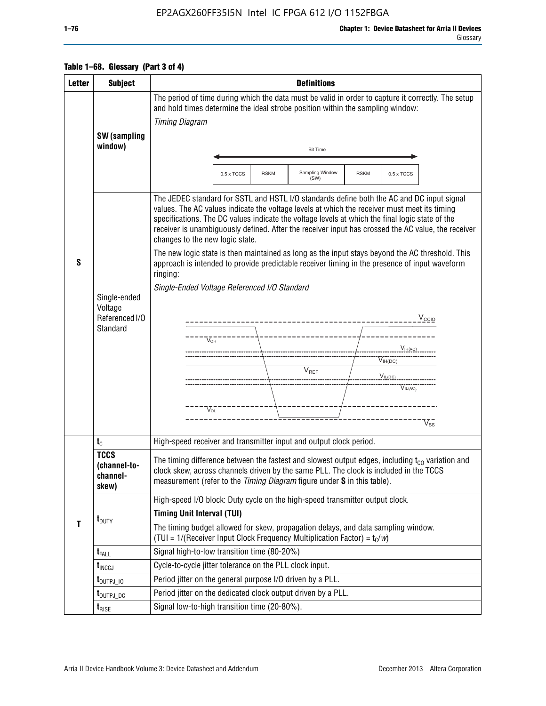### EP2AGX260FF35I5N Intel IC FPGA 612 I/O 1152FBGA

| <b>Letter</b> | <b>Subject</b>                                   | <b>Definitions</b>                                                                                                                                                                                                                                                                                                                                                                                                                                                                                                                       |
|---------------|--------------------------------------------------|------------------------------------------------------------------------------------------------------------------------------------------------------------------------------------------------------------------------------------------------------------------------------------------------------------------------------------------------------------------------------------------------------------------------------------------------------------------------------------------------------------------------------------------|
|               | <b>SW</b> (sampling                              | The period of time during which the data must be valid in order to capture it correctly. The setup<br>and hold times determine the ideal strobe position within the sampling window:<br><b>Timing Diagram</b>                                                                                                                                                                                                                                                                                                                            |
|               | window)                                          | <b>Bit Time</b>                                                                                                                                                                                                                                                                                                                                                                                                                                                                                                                          |
|               |                                                  | Sampling Window<br>0.5 x TCCS<br><b>RSKM</b><br><b>RSKM</b><br>0.5 x TCCS<br>(SW)                                                                                                                                                                                                                                                                                                                                                                                                                                                        |
| S             |                                                  | The JEDEC standard for SSTL and HSTL I/O standards define both the AC and DC input signal<br>values. The AC values indicate the voltage levels at which the receiver must meet its timing<br>specifications. The DC values indicate the voltage levels at which the final logic state of the<br>receiver is unambiguously defined. After the receiver input has crossed the AC value, the receiver<br>changes to the new logic state.<br>The new logic state is then maintained as long as the input stays beyond the AC threshold. This |
|               |                                                  | approach is intended to provide predictable receiver timing in the presence of input waveform<br>ringing:                                                                                                                                                                                                                                                                                                                                                                                                                                |
|               | Single-ended                                     | Single-Ended Voltage Referenced I/O Standard                                                                                                                                                                                                                                                                                                                                                                                                                                                                                             |
|               | Voltage<br>Referenced I/O<br>Standard            | V <sub>CCIO</sub><br>---------------------                                                                                                                                                                                                                                                                                                                                                                                                                                                                                               |
|               |                                                  | $V_{OH}$<br>$V_{H(AC)}$                                                                                                                                                                                                                                                                                                                                                                                                                                                                                                                  |
|               |                                                  | $V_{IH(DC)}$                                                                                                                                                                                                                                                                                                                                                                                                                                                                                                                             |
|               |                                                  | V <sub>REF</sub><br>$V_{I L (DC)}$<br>$V^{\bullet\bullet\bullet\bullet}_{\mathsf{IL}(\mathsf{AC})}$                                                                                                                                                                                                                                                                                                                                                                                                                                      |
|               |                                                  |                                                                                                                                                                                                                                                                                                                                                                                                                                                                                                                                          |
|               |                                                  | $\sqrt{\ }_{OL}$<br>$\rm\overline{V_{SS}}$                                                                                                                                                                                                                                                                                                                                                                                                                                                                                               |
|               | $t_{\rm C}$                                      | High-speed receiver and transmitter input and output clock period.                                                                                                                                                                                                                                                                                                                                                                                                                                                                       |
|               | <b>TCCS</b><br>(channel-to-<br>channel-<br>skew) | The timing difference between the fastest and slowest output edges, including $t_{c0}$ variation and<br>clock skew, across channels driven by the same PLL. The clock is included in the TCCS<br>measurement (refer to the Timing Diagram figure under S in this table).                                                                                                                                                                                                                                                                 |
|               |                                                  | High-speed I/O block: Duty cycle on the high-speed transmitter output clock.                                                                                                                                                                                                                                                                                                                                                                                                                                                             |
| $\mathbf{T}$  | $t_{\text{DUTY}}$                                | <b>Timing Unit Interval (TUI)</b><br>The timing budget allowed for skew, propagation delays, and data sampling window.<br>(TUI = $1/($ Receiver Input Clock Frequency Multiplication Factor) = $t_c/w$ )                                                                                                                                                                                                                                                                                                                                 |
|               | $t_{\sf FALL}$                                   | Signal high-to-low transition time (80-20%)                                                                                                                                                                                                                                                                                                                                                                                                                                                                                              |
|               | $t_{\text{INCCJ}}$                               | Cycle-to-cycle jitter tolerance on the PLL clock input.                                                                                                                                                                                                                                                                                                                                                                                                                                                                                  |
|               | $t_{\text{OUTPJ\_10}}$                           | Period jitter on the general purpose I/O driven by a PLL.                                                                                                                                                                                                                                                                                                                                                                                                                                                                                |
|               | t <sub>outpj_dc</sub>                            | Period jitter on the dedicated clock output driven by a PLL.                                                                                                                                                                                                                                                                                                                                                                                                                                                                             |
|               | $t_{\text{RISE}}$                                | Signal low-to-high transition time (20-80%).                                                                                                                                                                                                                                                                                                                                                                                                                                                                                             |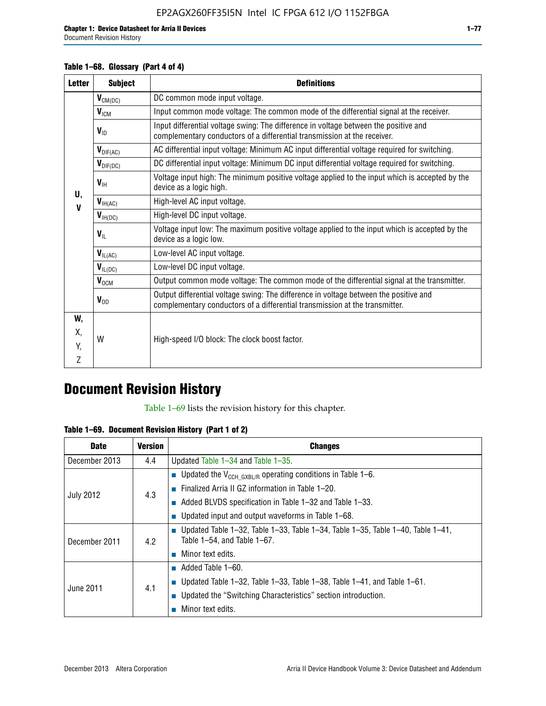#### **Table 1–68. Glossary (Part 4 of 4)**

| <b>Letter</b> | <b>Subject</b>            | <b>Definitions</b>                                                                                                                                                   |
|---------------|---------------------------|----------------------------------------------------------------------------------------------------------------------------------------------------------------------|
|               | $V_{CM(DC)}$              | DC common mode input voltage.                                                                                                                                        |
|               | V <sub>ICM</sub>          | Input common mode voltage: The common mode of the differential signal at the receiver.                                                                               |
|               | $V_{ID}$                  | Input differential voltage swing: The difference in voltage between the positive and<br>complementary conductors of a differential transmission at the receiver.     |
|               | $\bm{V}_{\text{DIF(AC)}}$ | AC differential input voltage: Minimum AC input differential voltage required for switching.                                                                         |
|               | $V_{\text{DIF(DC)}}$      | DC differential input voltage: Minimum DC input differential voltage required for switching.                                                                         |
| U.            | $V_{\text{H}}$            | Voltage input high: The minimum positive voltage applied to the input which is accepted by the<br>device as a logic high.                                            |
| $\mathbf{V}$  | $V_{\text{IH(AC)}}$       | High-level AC input voltage.                                                                                                                                         |
|               | $V_{H(DC)}$               | High-level DC input voltage.                                                                                                                                         |
|               | $V_{\text{IL}}$           | Voltage input low: The maximum positive voltage applied to the input which is accepted by the<br>device as a logic low.                                              |
|               | $V_{IL(AC)}$              | Low-level AC input voltage.                                                                                                                                          |
|               | $V_{IL(DC)}$              | Low-level DC input voltage.                                                                                                                                          |
|               | $V_{OCM}$                 | Output common mode voltage: The common mode of the differential signal at the transmitter.                                                                           |
|               | $V_{OD}$                  | Output differential voltage swing: The difference in voltage between the positive and<br>complementary conductors of a differential transmission at the transmitter. |
| W,            |                           |                                                                                                                                                                      |
| Χ.            | W                         | High-speed I/O block: The clock boost factor.                                                                                                                        |
| Y.            |                           |                                                                                                                                                                      |
| Z             |                           |                                                                                                                                                                      |

## **Document Revision History**

Table 1–69 lists the revision history for this chapter.

**Table 1–69. Document Revision History (Part 1 of 2)**

| <b>Date</b>      | <b>Version</b> | <b>Changes</b>                                                                                                                |
|------------------|----------------|-------------------------------------------------------------------------------------------------------------------------------|
| December 2013    | 4.4            | Updated Table $1-34$ and Table $1-35$ .                                                                                       |
|                  |                | ■ Updated the $V_{CCH GXBL/R}$ operating conditions in Table 1–6.                                                             |
| <b>July 2012</b> | 4.3            | ■ Finalized Arria II GZ information in Table $1-20$ .                                                                         |
|                  |                | $\blacksquare$ Added BLVDS specification in Table 1-32 and Table 1-33.                                                        |
|                  |                | <b>Updated input and output waveforms in Table 1–68.</b>                                                                      |
| December 2011    | 4.2            | $\blacksquare$ Updated Table 1-32, Table 1-33, Table 1-34, Table 1-35, Table 1-40, Table 1-41,<br>Table 1-54, and Table 1-67. |
|                  |                | $\blacksquare$ Minor text edits.                                                                                              |
|                  | 4.1            | $\blacksquare$ Added Table 1–60.                                                                                              |
| June 2011        |                | Updated Table 1-32, Table 1-33, Table 1-38, Table 1-41, and Table 1-61.                                                       |
|                  |                | ■ Updated the "Switching Characteristics" section introduction.                                                               |
|                  |                | Minor text edits.                                                                                                             |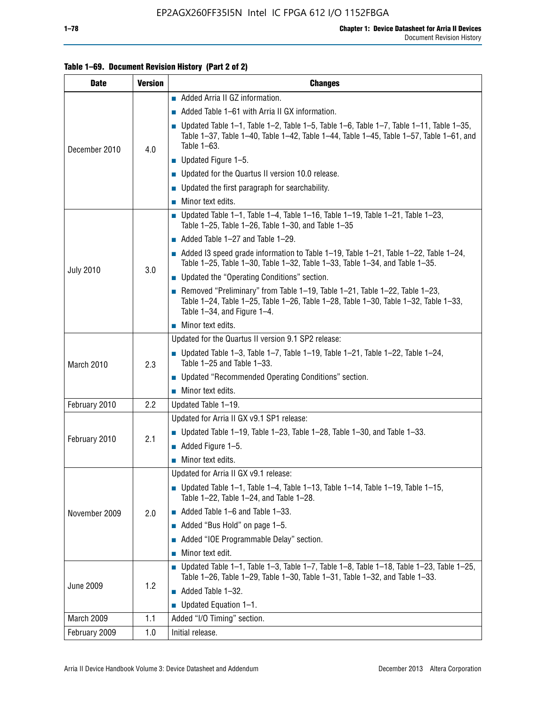| <b>Date</b>      | <b>Version</b> | <b>Changes</b>                                                                                                                                                                                               |
|------------------|----------------|--------------------------------------------------------------------------------------------------------------------------------------------------------------------------------------------------------------|
|                  |                | Added Arria II GZ information.                                                                                                                                                                               |
|                  |                | Added Table 1–61 with Arria II GX information.                                                                                                                                                               |
| December 2010    | 4.0            | <b>Updated Table 1–1, Table 1–2, Table 1–5, Table 1–6, Table 1–7, Table 1–11, Table 1–35,</b><br>Table 1-37, Table 1-40, Table 1-42, Table 1-44, Table 1-45, Table 1-57, Table 1-61, and<br>Table 1-63.      |
|                  |                | $\blacksquare$ Updated Figure 1-5.                                                                                                                                                                           |
|                  |                | Updated for the Quartus II version 10.0 release.                                                                                                                                                             |
|                  |                | $\blacksquare$ Updated the first paragraph for searchability.                                                                                                                                                |
|                  |                | $\blacksquare$ Minor text edits.                                                                                                                                                                             |
|                  |                | Updated Table 1-1, Table 1-4, Table 1-16, Table 1-19, Table 1-21, Table 1-23,<br>Table $1-25$ , Table $1-26$ , Table $1-30$ , and Table $1-35$                                                               |
|                  |                | Added Table 1-27 and Table 1-29.                                                                                                                                                                             |
|                  |                | Added I3 speed grade information to Table $1-19$ , Table $1-21$ , Table $1-22$ , Table $1-24$ ,<br>Table 1-25, Table 1-30, Table 1-32, Table 1-33, Table 1-34, and Table 1-35.                               |
| <b>July 2010</b> | 3.0            | • Updated the "Operating Conditions" section.                                                                                                                                                                |
|                  |                | Removed "Preliminary" from Table $1-19$ , Table $1-21$ , Table $1-22$ , Table $1-23$ ,<br>Table 1-24, Table 1-25, Table 1-26, Table 1-28, Table 1-30, Table 1-32, Table 1-33,<br>Table 1-34, and Figure 1-4. |
|                  |                | $\blacksquare$ Minor text edits.                                                                                                                                                                             |
|                  | 2.3            | Updated for the Quartus II version 9.1 SP2 release:                                                                                                                                                          |
| March 2010       |                | $\blacksquare$ Updated Table 1-3, Table 1-7, Table 1-19, Table 1-21, Table 1-22, Table 1-24,<br>Table 1-25 and Table 1-33.                                                                                   |
|                  |                | • Updated "Recommended Operating Conditions" section.                                                                                                                                                        |
|                  |                | $\blacksquare$ Minor text edits.                                                                                                                                                                             |
| February 2010    | $2.2\,$        | Updated Table 1-19.                                                                                                                                                                                          |
|                  | 2.1            | Updated for Arria II GX v9.1 SP1 release:                                                                                                                                                                    |
| February 2010    |                | Updated Table 1–19, Table 1–23, Table 1–28, Table 1–30, and Table 1–33.                                                                                                                                      |
|                  |                | $\blacksquare$ Added Figure 1-5.                                                                                                                                                                             |
|                  |                | $\blacksquare$ Minor text edits.                                                                                                                                                                             |
|                  |                | Updated for Arria II GX v9.1 release:                                                                                                                                                                        |
|                  |                | Updated Table 1-1, Table 1-4, Table 1-13, Table 1-14, Table 1-19, Table 1-15,<br>Table 1-22, Table 1-24, and Table 1-28.                                                                                     |
| November 2009    | 2.0            | $\blacksquare$ Added Table 1-6 and Table 1-33.                                                                                                                                                               |
|                  |                | Added "Bus Hold" on page 1-5.                                                                                                                                                                                |
|                  |                | Added "IOE Programmable Delay" section.                                                                                                                                                                      |
|                  |                | Minor text edit.                                                                                                                                                                                             |
|                  |                | $\blacksquare$ Updated Table 1-1, Table 1-3, Table 1-7, Table 1-8, Table 1-18, Table 1-23, Table 1-25,<br>Table 1-26, Table 1-29, Table 1-30, Table 1-31, Table 1-32, and Table 1-33.                        |
| <b>June 2009</b> | 1.2            | $\blacksquare$ Added Table 1-32.                                                                                                                                                                             |
|                  |                | $\blacksquare$ Updated Equation 1-1.                                                                                                                                                                         |
| March 2009       | 1.1            | Added "I/O Timing" section.                                                                                                                                                                                  |
| February 2009    | 1.0            | Initial release.                                                                                                                                                                                             |